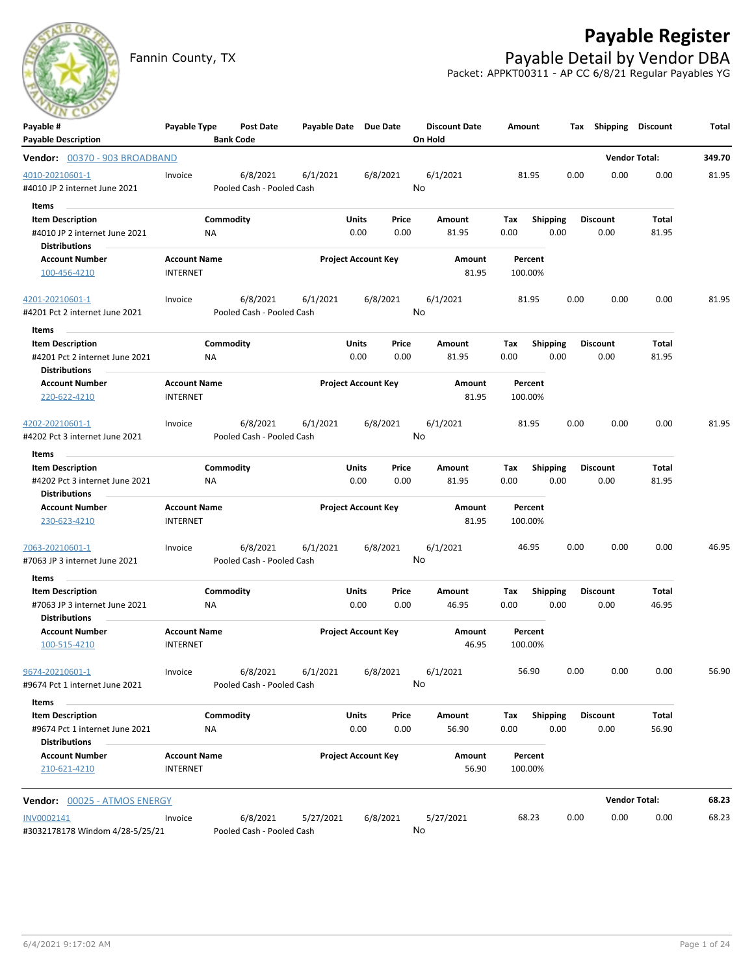

# **Payable Register**

Fannin County, TX **Payable Detail by Vendor DBA** Packet: APPKT00311 - AP CC 6/8/21 Regular Payables YG

| Payable #                                              | Payable Type        | Post Date                 | Payable Date Due Date |                            |               | <b>Discount Date</b> | Amount       |                         |      | Tax Shipping            | <b>Discount</b>      | Total  |
|--------------------------------------------------------|---------------------|---------------------------|-----------------------|----------------------------|---------------|----------------------|--------------|-------------------------|------|-------------------------|----------------------|--------|
| <b>Payable Description</b>                             |                     | <b>Bank Code</b>          |                       |                            |               | On Hold              |              |                         |      |                         |                      |        |
| Vendor: 00370 - 903 BROADBAND                          |                     |                           |                       |                            |               |                      |              |                         |      | <b>Vendor Total:</b>    |                      | 349.70 |
| 4010-20210601-1                                        | Invoice             | 6/8/2021                  | 6/1/2021              |                            | 6/8/2021      | 6/1/2021             | 81.95        |                         | 0.00 | 0.00                    | 0.00                 | 81.95  |
| #4010 JP 2 internet June 2021                          |                     | Pooled Cash - Pooled Cash |                       |                            |               | No                   |              |                         |      |                         |                      |        |
| Items                                                  |                     |                           |                       |                            |               |                      |              |                         |      |                         |                      |        |
| <b>Item Description</b>                                |                     | Commodity                 |                       | Units                      | Price         | Amount               | Tax          | Shipping                |      | <b>Discount</b>         | Total                |        |
| #4010 JP 2 internet June 2021<br><b>Distributions</b>  |                     | ΝA                        |                       | 0.00                       | 0.00          | 81.95                | 0.00         | 0.00                    |      | 0.00                    | 81.95                |        |
| <b>Account Number</b>                                  | <b>Account Name</b> |                           |                       | <b>Project Account Key</b> |               | Amount               | Percent      |                         |      |                         |                      |        |
| 100-456-4210                                           | <b>INTERNET</b>     |                           |                       |                            |               | 81.95                | 100.00%      |                         |      |                         |                      |        |
|                                                        |                     |                           |                       |                            |               |                      |              |                         |      |                         |                      |        |
| 4201-20210601-1                                        | Invoice             | 6/8/2021                  | 6/1/2021              |                            | 6/8/2021      | 6/1/2021             | 81.95        |                         | 0.00 | 0.00                    | 0.00                 | 81.95  |
| #4201 Pct 2 internet June 2021                         |                     | Pooled Cash - Pooled Cash |                       |                            |               | No                   |              |                         |      |                         |                      |        |
| Items                                                  |                     |                           |                       |                            |               |                      |              |                         |      |                         |                      |        |
| <b>Item Description</b>                                |                     | Commodity                 |                       | Units                      | Price         | Amount               | Tax          | <b>Shipping</b>         |      | <b>Discount</b>         | Total                |        |
| #4201 Pct 2 internet June 2021<br><b>Distributions</b> | ΝA                  |                           |                       | 0.00                       | 0.00          | 81.95                | 0.00         | 0.00                    |      | 0.00                    | 81.95                |        |
| <b>Account Number</b>                                  | <b>Account Name</b> |                           |                       | <b>Project Account Key</b> |               | Amount               | Percent      |                         |      |                         |                      |        |
| 220-622-4210                                           | <b>INTERNET</b>     |                           |                       |                            |               | 81.95                | 100.00%      |                         |      |                         |                      |        |
| 4202-20210601-1                                        |                     | 6/8/2021                  | 6/1/2021              |                            | 6/8/2021      | 6/1/2021             |              |                         | 0.00 | 0.00                    | 0.00                 | 81.95  |
| #4202 Pct 3 internet June 2021                         | Invoice             | Pooled Cash - Pooled Cash |                       |                            |               | No                   | 81.95        |                         |      |                         |                      |        |
|                                                        |                     |                           |                       |                            |               |                      |              |                         |      |                         |                      |        |
| Items<br><b>Item Description</b>                       |                     | Commodity                 |                       | Units                      |               |                      |              |                         |      |                         | Total                |        |
| #4202 Pct 3 internet June 2021                         |                     | NA                        |                       | 0.00                       | Price<br>0.00 | Amount<br>81.95      | Tax<br>0.00  | <b>Shipping</b><br>0.00 |      | <b>Discount</b><br>0.00 | 81.95                |        |
| <b>Distributions</b>                                   |                     |                           |                       |                            |               |                      |              |                         |      |                         |                      |        |
| <b>Account Number</b>                                  | <b>Account Name</b> |                           |                       | <b>Project Account Key</b> |               | Amount               | Percent      |                         |      |                         |                      |        |
| 230-623-4210                                           | <b>INTERNET</b>     |                           |                       |                            |               | 81.95                | 100.00%      |                         |      |                         |                      |        |
|                                                        |                     |                           |                       |                            |               |                      |              |                         |      |                         |                      |        |
| 7063-20210601-1                                        | Invoice             | 6/8/2021                  | 6/1/2021              |                            | 6/8/2021      | 6/1/2021             | 46.95        |                         | 0.00 | 0.00                    | 0.00                 | 46.95  |
| #7063 JP 3 internet June 2021                          |                     | Pooled Cash - Pooled Cash |                       |                            |               | No                   |              |                         |      |                         |                      |        |
| Items                                                  |                     |                           |                       |                            |               |                      |              |                         |      |                         |                      |        |
| <b>Item Description</b>                                |                     | Commodity                 |                       | Units                      | Price         | Amount               | Tax          | <b>Shipping</b>         |      | <b>Discount</b>         | Total                |        |
| #7063 JP 3 internet June 2021<br><b>Distributions</b>  | ΝA                  |                           |                       | 0.00                       | 0.00          | 46.95                | 0.00         | 0.00                    |      | 0.00                    | 46.95                |        |
| <b>Account Number</b>                                  | <b>Account Name</b> |                           |                       | <b>Project Account Key</b> |               | Amount               | Percent      |                         |      |                         |                      |        |
| 100-515-4210                                           | <b>INTERNET</b>     |                           |                       |                            |               | 46.95                | 100.00%      |                         |      |                         |                      |        |
| 9674-20210601-1                                        | Invoice             |                           | 6/8/2021 6/1/2021     |                            | 6/8/2021      | 6/1/2021             | 56.90        |                         | 0.00 | 0.00                    | 0.00                 | 56.90  |
| #9674 Pct 1 internet June 2021                         |                     | Pooled Cash - Pooled Cash |                       |                            |               | No                   |              |                         |      |                         |                      |        |
| Items                                                  |                     |                           |                       |                            |               |                      |              |                         |      |                         |                      |        |
| <b>Item Description</b>                                |                     | Commodity                 |                       | <b>Units</b>               | Price         | Amount               | Tax Shipping |                         |      | <b>Discount</b>         | Total                |        |
| #9674 Pct 1 internet June 2021                         |                     | NA.                       |                       | 0.00                       | 0.00          | 56.90                | 0.00         | 0.00                    |      | 0.00                    | 56.90                |        |
| <b>Distributions</b>                                   |                     |                           |                       |                            |               |                      |              |                         |      |                         |                      |        |
| <b>Account Number</b>                                  | <b>Account Name</b> |                           |                       | <b>Project Account Key</b> |               | Amount               | Percent      |                         |      |                         |                      |        |
| 210-621-4210                                           | <b>INTERNET</b>     |                           |                       |                            |               | 56.90                | 100.00%      |                         |      |                         |                      |        |
| Vendor: 00025 - ATMOS ENERGY                           |                     |                           |                       |                            |               |                      |              |                         |      |                         | <b>Vendor Total:</b> | 68.23  |
| INV0002141                                             | Invoice             | 6/8/2021                  | 5/27/2021             |                            | 6/8/2021      | 5/27/2021            | 68.23        |                         | 0.00 | 0.00                    | 0.00                 | 68.23  |
| #3032178178 Windom 4/28-5/25/21                        |                     | Pooled Cash - Pooled Cash |                       |                            |               | No                   |              |                         |      |                         |                      |        |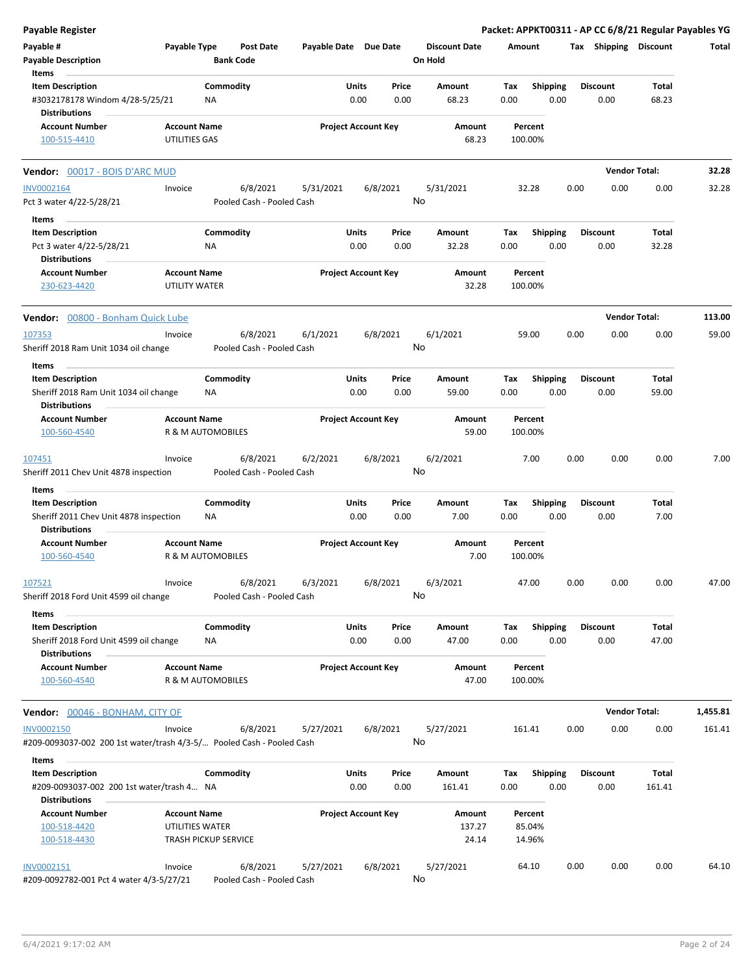| <b>Payable Register</b>                                                                    |                                      |                                       |                       |                            |                |                                 |             |                         |      |                         | Packet: APPKT00311 - AP CC 6/8/21 Regular Payables YG |          |
|--------------------------------------------------------------------------------------------|--------------------------------------|---------------------------------------|-----------------------|----------------------------|----------------|---------------------------------|-------------|-------------------------|------|-------------------------|-------------------------------------------------------|----------|
| Payable #<br><b>Payable Description</b>                                                    | Payable Type                         | <b>Post Date</b><br><b>Bank Code</b>  | Payable Date Due Date |                            |                | <b>Discount Date</b><br>On Hold | Amount      |                         |      | Tax Shipping Discount   |                                                       | Total    |
| Items                                                                                      |                                      |                                       |                       |                            |                |                                 |             |                         |      |                         |                                                       |          |
| <b>Item Description</b>                                                                    |                                      | Commodity                             |                       | Units                      | Price          | Amount                          | Tax         | Shipping                |      | <b>Discount</b>         | Total                                                 |          |
| #3032178178 Windom 4/28-5/25/21<br><b>Distributions</b>                                    |                                      | NA                                    |                       | 0.00                       | 0.00           | 68.23                           | 0.00        | 0.00                    |      | 0.00                    | 68.23                                                 |          |
|                                                                                            |                                      |                                       |                       |                            |                |                                 |             |                         |      |                         |                                                       |          |
| <b>Account Number</b><br>100-515-4410                                                      | <b>Account Name</b><br>UTILITIES GAS |                                       |                       | <b>Project Account Key</b> |                | Amount<br>68.23                 |             | Percent<br>100.00%      |      |                         |                                                       |          |
| <b>Vendor: 00017 - BOIS D'ARC MUD</b>                                                      |                                      |                                       |                       |                            |                |                                 |             |                         |      | <b>Vendor Total:</b>    |                                                       | 32.28    |
| <b>INV0002164</b>                                                                          | Invoice                              | 6/8/2021                              | 5/31/2021             |                            | 6/8/2021       | 5/31/2021                       |             | 32.28                   | 0.00 | 0.00                    | 0.00                                                  | 32.28    |
| Pct 3 water 4/22-5/28/21                                                                   |                                      | Pooled Cash - Pooled Cash             |                       |                            |                | No                              |             |                         |      |                         |                                                       |          |
| Items                                                                                      |                                      |                                       |                       |                            |                |                                 |             |                         |      |                         |                                                       |          |
| <b>Item Description</b>                                                                    |                                      | Commodity                             |                       | Units                      | Price          | Amount                          | Tax         | <b>Shipping</b>         |      | <b>Discount</b>         | Total                                                 |          |
| Pct 3 water 4/22-5/28/21                                                                   |                                      | ΝA                                    |                       | 0.00                       | 0.00           | 32.28                           | 0.00        | 0.00                    |      | 0.00                    | 32.28                                                 |          |
| <b>Distributions</b>                                                                       |                                      |                                       |                       |                            |                |                                 |             |                         |      |                         |                                                       |          |
| <b>Account Number</b><br>230-623-4420                                                      | <b>Account Name</b><br>UTILITY WATER |                                       |                       | <b>Project Account Key</b> |                | Amount<br>32.28                 |             | Percent<br>100.00%      |      |                         |                                                       |          |
| Vendor: 00800 - Bonham Quick Lube                                                          |                                      |                                       |                       |                            |                |                                 |             |                         |      | <b>Vendor Total:</b>    |                                                       | 113.00   |
| 107353                                                                                     | Invoice                              | 6/8/2021                              | 6/1/2021              |                            | 6/8/2021       | 6/1/2021                        |             | 59.00                   | 0.00 | 0.00                    | 0.00                                                  | 59.00    |
| Sheriff 2018 Ram Unit 1034 oil change                                                      |                                      | Pooled Cash - Pooled Cash             |                       |                            |                | No                              |             |                         |      |                         |                                                       |          |
| Items<br><b>Item Description</b>                                                           |                                      | Commodity                             |                       | Units                      | Price          | Amount                          | Tax         | <b>Shipping</b>         |      | <b>Discount</b>         | Total                                                 |          |
| Sheriff 2018 Ram Unit 1034 oil change<br><b>Distributions</b>                              |                                      | ΝA                                    |                       | 0.00                       | 0.00           | 59.00                           | 0.00        | 0.00                    |      | 0.00                    | 59.00                                                 |          |
| <b>Account Number</b>                                                                      | <b>Account Name</b>                  |                                       |                       | <b>Project Account Key</b> |                | Amount                          |             | Percent                 |      |                         |                                                       |          |
| 100-560-4540                                                                               |                                      | R & M AUTOMOBILES                     |                       |                            |                | 59.00                           |             | 100.00%                 |      |                         |                                                       |          |
|                                                                                            |                                      |                                       |                       |                            |                |                                 |             |                         |      |                         |                                                       |          |
| 107451<br>Sheriff 2011 Chev Unit 4878 inspection                                           | Invoice                              | 6/8/2021<br>Pooled Cash - Pooled Cash | 6/2/2021              |                            | 6/8/2021       | 6/2/2021<br>No                  |             | 7.00                    | 0.00 | 0.00                    | 0.00                                                  | 7.00     |
| Items                                                                                      |                                      |                                       |                       |                            |                |                                 |             |                         |      |                         |                                                       |          |
| <b>Item Description</b>                                                                    |                                      | Commodity                             |                       | Units                      | Price          | Amount                          | Tax         | Shipping                |      | <b>Discount</b>         | Total                                                 |          |
| Sheriff 2011 Chev Unit 4878 inspection<br><b>Distributions</b>                             |                                      | NA                                    |                       | 0.00                       | 0.00           | 7.00                            | 0.00        | 0.00                    |      | 0.00                    | 7.00                                                  |          |
| <b>Account Number</b>                                                                      | <b>Account Name</b>                  |                                       |                       | <b>Project Account Key</b> |                | Amount                          |             | Percent                 |      |                         |                                                       |          |
| 100-560-4540                                                                               |                                      | <b>R &amp; M AUTOMOBILES</b>          |                       |                            |                | 7.00                            |             | 100.00%                 |      |                         |                                                       |          |
| 107521<br>Sheriff 2018 Ford Unit 4599 oil change                                           | Invoice                              | 6/8/2021<br>Pooled Cash - Pooled Cash | 6/3/2021              |                            | 6/8/2021<br>No | 6/3/2021                        |             | 47.00                   | 0.00 | 0.00                    | 0.00                                                  | 47.00    |
| Items                                                                                      |                                      |                                       |                       |                            |                |                                 |             |                         |      |                         |                                                       |          |
| <b>Item Description</b><br>Sheriff 2018 Ford Unit 4599 oil change                          |                                      | Commodity<br>ΝA                       |                       | Units<br>0.00              | Price<br>0.00  | Amount<br>47.00                 | Tax<br>0.00 | <b>Shipping</b><br>0.00 |      | <b>Discount</b><br>0.00 | Total<br>47.00                                        |          |
| <b>Distributions</b>                                                                       |                                      |                                       |                       |                            |                |                                 |             |                         |      |                         |                                                       |          |
| <b>Account Number</b><br>100-560-4540                                                      | <b>Account Name</b>                  | R & M AUTOMOBILES                     |                       | <b>Project Account Key</b> |                | Amount<br>47.00                 |             | Percent<br>100.00%      |      |                         |                                                       |          |
| <b>Vendor: 00046 - BONHAM, CITY OF</b>                                                     |                                      |                                       |                       |                            |                |                                 |             |                         |      | <b>Vendor Total:</b>    |                                                       | 1,455.81 |
| <b>INV0002150</b><br>#209-0093037-002 200 1st water/trash 4/3-5/ Pooled Cash - Pooled Cash | Invoice                              | 6/8/2021                              | 5/27/2021             |                            | 6/8/2021       | 5/27/2021<br>No                 | 161.41      |                         | 0.00 | 0.00                    | 0.00                                                  | 161.41   |
| Items                                                                                      |                                      |                                       |                       |                            |                |                                 |             |                         |      |                         |                                                       |          |
| <b>Item Description</b>                                                                    |                                      | Commodity                             |                       | Units                      | Price          | Amount                          | Tax         | <b>Shipping</b>         |      | <b>Discount</b>         | Total                                                 |          |
| #209-0093037-002 200 1st water/trash 4 NA                                                  |                                      |                                       |                       | 0.00                       | 0.00           | 161.41                          | 0.00        | 0.00                    |      | 0.00                    | 161.41                                                |          |
| <b>Distributions</b>                                                                       |                                      |                                       |                       |                            |                |                                 |             |                         |      |                         |                                                       |          |
| <b>Account Number</b>                                                                      | <b>Account Name</b>                  |                                       |                       | <b>Project Account Key</b> |                | Amount                          |             | Percent                 |      |                         |                                                       |          |
| 100-518-4420                                                                               | UTILITIES WATER                      |                                       |                       |                            |                | 137.27                          |             | 85.04%                  |      |                         |                                                       |          |
| 100-518-4430                                                                               |                                      | <b>TRASH PICKUP SERVICE</b>           |                       |                            |                | 24.14                           |             | 14.96%                  |      |                         |                                                       |          |
| INV0002151                                                                                 | Invoice                              | 6/8/2021                              | 5/27/2021             |                            | 6/8/2021       | 5/27/2021                       |             | 64.10                   | 0.00 | 0.00                    | 0.00                                                  | 64.10    |
| #209-0092782-001 Pct 4 water 4/3-5/27/21                                                   |                                      | Pooled Cash - Pooled Cash             |                       |                            |                | No                              |             |                         |      |                         |                                                       |          |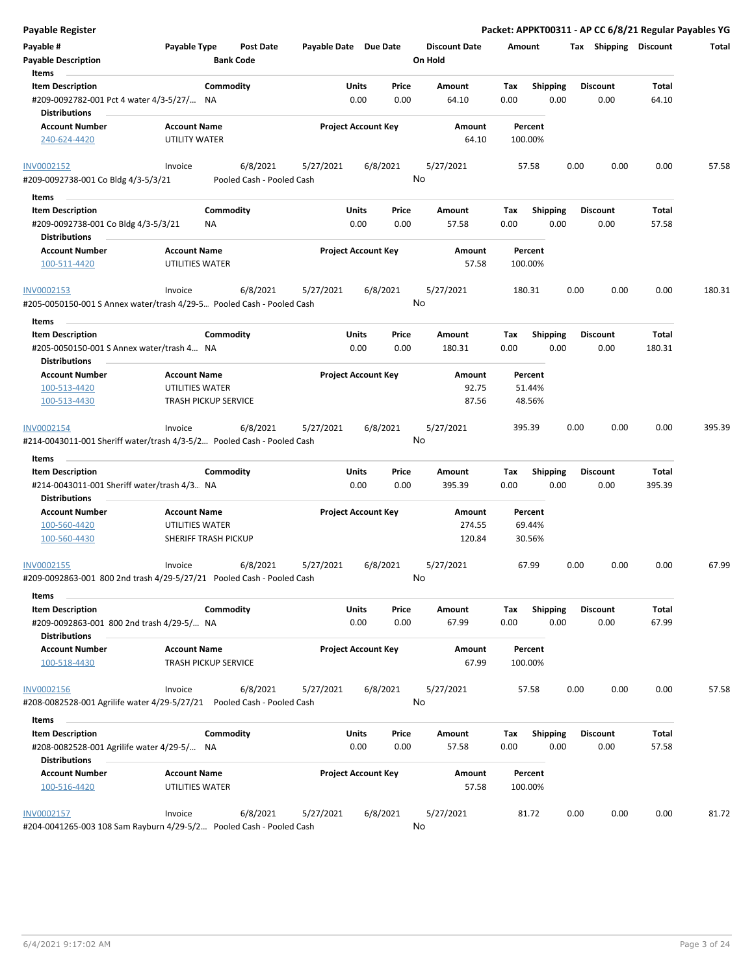| <b>Payable Register</b>                                                         |                                                                                                            |                       |                            |                                 | Packet: APPKT00311 - AP CC 6/8/21 Regular Payables YG |                          |                |        |
|---------------------------------------------------------------------------------|------------------------------------------------------------------------------------------------------------|-----------------------|----------------------------|---------------------------------|-------------------------------------------------------|--------------------------|----------------|--------|
| Payable #<br><b>Payable Description</b>                                         | Payable Type<br><b>Post Date</b><br><b>Bank Code</b>                                                       | Payable Date Due Date |                            | <b>Discount Date</b><br>On Hold | Amount                                                | Tax Shipping Discount    |                | Total  |
| Items<br><b>Item Description</b><br>#209-0092782-001 Pct 4 water 4/3-5/27/      | Commodity<br>NA                                                                                            | Units<br>0.00         | Price<br>0.00              | Amount<br>64.10                 | <b>Shipping</b><br>Tax<br>0.00<br>0.00                | <b>Discount</b><br>0.00  | Total<br>64.10 |        |
| Distributions                                                                   |                                                                                                            |                       |                            |                                 |                                                       |                          |                |        |
| <b>Account Number</b><br>240-624-4420                                           | <b>Account Name</b><br>UTILITY WATER                                                                       |                       | <b>Project Account Key</b> | Amount<br>64.10                 | Percent<br>100.00%                                    |                          |                |        |
| INV0002152                                                                      | 6/8/2021<br>Invoice                                                                                        | 5/27/2021             | 6/8/2021                   | 5/27/2021                       | 57.58                                                 | 0.00<br>0.00             | 0.00           | 57.58  |
| #209-0092738-001 Co Bldg 4/3-5/3/21                                             | Pooled Cash - Pooled Cash                                                                                  |                       |                            | No                              |                                                       |                          |                |        |
| Items                                                                           |                                                                                                            |                       |                            |                                 |                                                       |                          |                |        |
| <b>Item Description</b><br>#209-0092738-001 Co Bldg 4/3-5/3/21<br>Distributions | Commodity<br>ΝA                                                                                            | Units<br>0.00         | Price<br>0.00              | Amount<br>57.58                 | <b>Shipping</b><br>Tax<br>0.00<br>0.00                | <b>Discount</b><br>0.00  | Total<br>57.58 |        |
| <b>Account Number</b>                                                           | <b>Account Name</b>                                                                                        |                       | <b>Project Account Key</b> | Amount                          | Percent                                               |                          |                |        |
| 100-511-4420                                                                    | UTILITIES WATER                                                                                            |                       |                            | 57.58                           | 100.00%                                               |                          |                |        |
| INV0002153                                                                      | 6/8/2021<br>Invoice<br>#205-0050150-001 S Annex water/trash 4/29-5 Pooled Cash - Pooled Cash               | 5/27/2021             | 6/8/2021                   | 5/27/2021<br>No                 | 180.31                                                | 0.00<br>0.00             | 0.00           | 180.31 |
| Items                                                                           |                                                                                                            |                       |                            |                                 |                                                       |                          |                |        |
| <b>Item Description</b>                                                         | Commodity                                                                                                  | Units                 | Price                      | Amount                          | Tax<br><b>Shipping</b>                                | <b>Discount</b>          | Total          |        |
| #205-0050150-001 S Annex water/trash 4 NA<br><b>Distributions</b>               |                                                                                                            | 0.00                  | 0.00                       | 180.31                          | 0.00<br>0.00                                          | 0.00                     | 180.31         |        |
| <b>Account Number</b>                                                           | <b>Account Name</b>                                                                                        |                       | <b>Project Account Key</b> | Amount                          | Percent                                               |                          |                |        |
| 100-513-4420                                                                    | UTILITIES WATER                                                                                            |                       |                            | 92.75                           | 51.44%                                                |                          |                |        |
| 100-513-4430                                                                    | <b>TRASH PICKUP SERVICE</b>                                                                                |                       |                            | 87.56                           | 48.56%                                                |                          |                |        |
| INV0002154<br>Items<br><b>Item Description</b>                                  | 6/8/2021<br>Invoice<br>#214-0043011-001 Sheriff water/trash 4/3-5/2 Pooled Cash - Pooled Cash<br>Commodity | 5/27/2021<br>Units    | 6/8/2021<br>Price          | 5/27/2021<br>No<br>Amount       | 395.39<br><b>Shipping</b><br>Tax                      | 0.00<br>0.00<br>Discount | 0.00<br>Total  | 395.39 |
| #214-0043011-001 Sheriff water/trash 4/3 NA                                     |                                                                                                            | 0.00                  | 0.00                       | 395.39                          | 0.00<br>0.00                                          | 0.00                     | 395.39         |        |
| <b>Distributions</b>                                                            |                                                                                                            |                       |                            |                                 |                                                       |                          |                |        |
| <b>Account Number</b>                                                           | <b>Account Name</b>                                                                                        |                       | <b>Project Account Key</b> | Amount                          | Percent                                               |                          |                |        |
| 100-560-4420<br>100-560-4430                                                    | UTILITIES WATER<br>SHERIFF TRASH PICKUP                                                                    |                       |                            | 274.55<br>120.84                | 69.44%<br>30.56%                                      |                          |                |        |
| INV0002155                                                                      | 6/8/2021<br>Invoice<br>#209-0092863-001 800 2nd trash 4/29-5/27/21 Pooled Cash - Pooled Cash               | 5/27/2021             | 6/8/2021                   | 5/27/2021<br>No                 | 67.99                                                 | 0.00<br>0.00             | 0.00           | 67.99  |
| Items                                                                           |                                                                                                            |                       |                            |                                 |                                                       |                          |                |        |
| <b>Item Description</b><br>#209-0092863-001 800 2nd trash 4/29-5/ NA            | Commodity                                                                                                  | <b>Units</b><br>0.00  | Price<br>0.00              | Amount<br>67.99                 | <b>Shipping</b><br>Tax<br>0.00<br>0.00                | <b>Discount</b><br>0.00  | Total<br>67.99 |        |
| <b>Distributions</b><br><b>Account Number</b><br>100-518-4430                   | <b>Account Name</b><br><b>TRASH PICKUP SERVICE</b>                                                         |                       | <b>Project Account Key</b> | Amount<br>67.99                 | Percent<br>100.00%                                    |                          |                |        |
| INV0002156                                                                      | 6/8/2021<br>Invoice                                                                                        | 5/27/2021             | 6/8/2021                   | 5/27/2021                       | 57.58                                                 | 0.00<br>0.00             | 0.00           | 57.58  |
|                                                                                 | #208-0082528-001 Agrilife water 4/29-5/27/21    Pooled Cash - Pooled Cash                                  |                       |                            | No                              |                                                       |                          |                |        |
| Items                                                                           |                                                                                                            |                       |                            |                                 |                                                       |                          |                |        |
| <b>Item Description</b><br>#208-0082528-001 Agrilife water 4/29-5/ NA           | Commodity                                                                                                  | <b>Units</b><br>0.00  | Price<br>0.00              | Amount<br>57.58                 | <b>Shipping</b><br>Tax<br>0.00<br>0.00                | <b>Discount</b><br>0.00  | Total<br>57.58 |        |
| Distributions<br><b>Account Number</b>                                          | <b>Account Name</b>                                                                                        |                       | <b>Project Account Key</b> | Amount                          | Percent                                               |                          |                |        |
| 100-516-4420                                                                    | UTILITIES WATER                                                                                            |                       |                            | 57.58                           | 100.00%                                               |                          |                |        |
| INV0002157                                                                      | 6/8/2021<br>Invoice<br>#204-0041265-003 108 Sam Rayburn 4/29-5/2 Pooled Cash - Pooled Cash                 | 5/27/2021             | 6/8/2021                   | 5/27/2021<br>No                 | 81.72                                                 | 0.00<br>0.00             | 0.00           | 81.72  |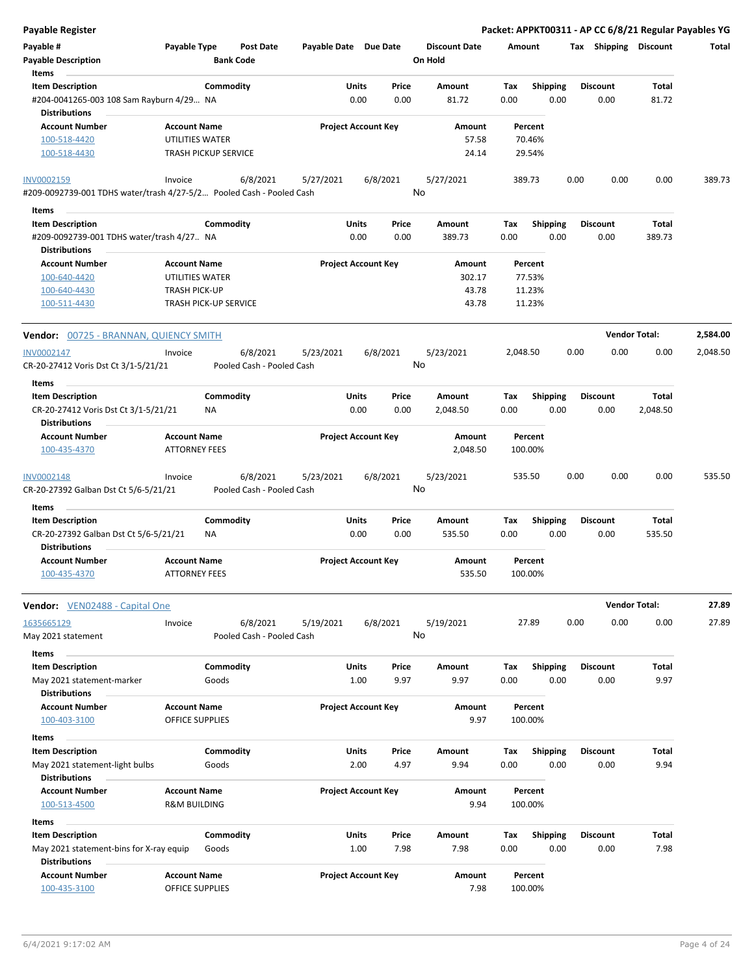| Payable #<br><b>Payable Description</b><br>Items                                         | Payable Type                                   |                    | Post Date<br><b>Bank Code</b>         | Payable Date Due Date      |                      |               | <b>Discount Date</b><br>On Hold | Amount      |                         | Tax  | <b>Shipping</b>         | <b>Discount</b>   | Total    |
|------------------------------------------------------------------------------------------|------------------------------------------------|--------------------|---------------------------------------|----------------------------|----------------------|---------------|---------------------------------|-------------|-------------------------|------|-------------------------|-------------------|----------|
| <b>Item Description</b><br>#204-0041265-003 108 Sam Rayburn 4/29 NA                      |                                                | Commodity          |                                       |                            | Units<br>0.00        | Price<br>0.00 | Amount<br>81.72                 | Tax<br>0.00 | Shipping<br>0.00        |      | <b>Discount</b><br>0.00 | Total<br>81.72    |          |
| <b>Distributions</b><br><b>Account Number</b><br>100-518-4420                            | <b>Account Name</b><br>UTILITIES WATER         |                    |                                       | <b>Project Account Key</b> |                      |               | Amount<br>57.58                 |             | Percent<br>70.46%       |      |                         |                   |          |
| 100-518-4430                                                                             | <b>TRASH PICKUP SERVICE</b>                    |                    |                                       |                            |                      |               | 24.14                           |             | 29.54%                  |      |                         |                   |          |
| INV0002159<br>#209-0092739-001 TDHS water/trash 4/27-5/2 Pooled Cash - Pooled Cash       | Invoice                                        |                    | 6/8/2021                              | 5/27/2021                  |                      | 6/8/2021      | 5/27/2021<br>No                 |             | 389.73                  | 0.00 | 0.00                    | 0.00              | 389.73   |
| Items                                                                                    |                                                |                    |                                       |                            |                      |               |                                 |             |                         |      |                         |                   |          |
| <b>Item Description</b>                                                                  |                                                | Commodity          |                                       |                            | Units                | Price         | Amount                          | Tax         | <b>Shipping</b>         |      | <b>Discount</b>         | Total             |          |
| #209-0092739-001 TDHS water/trash 4/27 NA<br><b>Distributions</b>                        |                                                |                    |                                       |                            | 0.00                 | 0.00          | 389.73                          | 0.00        | 0.00                    |      | 0.00                    | 389.73            |          |
| <b>Account Number</b>                                                                    | <b>Account Name</b>                            |                    |                                       | <b>Project Account Key</b> |                      |               | Amount                          |             | Percent                 |      |                         |                   |          |
| 100-640-4420                                                                             | UTILITIES WATER                                |                    |                                       |                            |                      |               | 302.17                          |             | 77.53%                  |      |                         |                   |          |
| 100-640-4430                                                                             | TRASH PICK-UP                                  |                    |                                       |                            |                      |               | 43.78                           |             | 11.23%                  |      |                         |                   |          |
| 100-511-4430                                                                             | TRASH PICK-UP SERVICE                          |                    |                                       |                            |                      |               | 43.78                           |             | 11.23%                  |      |                         |                   |          |
| Vendor: 00725 - BRANNAN, QUIENCY SMITH                                                   |                                                |                    |                                       |                            |                      |               |                                 |             |                         |      | <b>Vendor Total:</b>    |                   | 2,584.00 |
| INV0002147                                                                               | Invoice                                        |                    | 6/8/2021                              | 5/23/2021                  |                      | 6/8/2021      | 5/23/2021                       | 2,048.50    |                         | 0.00 | 0.00                    | 0.00              | 2,048.50 |
| CR-20-27412 Voris Dst Ct 3/1-5/21/21                                                     |                                                |                    | Pooled Cash - Pooled Cash             |                            |                      |               | No                              |             |                         |      |                         |                   |          |
| Items                                                                                    |                                                |                    |                                       |                            |                      |               |                                 |             |                         |      |                         |                   |          |
| <b>Item Description</b><br>CR-20-27412 Voris Dst Ct 3/1-5/21/21<br><b>Distributions</b>  |                                                | Commodity<br>ΝA    |                                       |                            | Units<br>0.00        | Price<br>0.00 | Amount<br>2,048.50              | Tax<br>0.00 | Shipping<br>0.00        |      | <b>Discount</b><br>0.00 | Total<br>2,048.50 |          |
| <b>Account Number</b>                                                                    | <b>Account Name</b>                            |                    |                                       | <b>Project Account Key</b> |                      |               | Amount                          |             | Percent                 |      |                         |                   |          |
| 100-435-4370                                                                             | <b>ATTORNEY FEES</b>                           |                    |                                       |                            |                      |               | 2,048.50                        |             | 100.00%                 |      |                         |                   |          |
| <b>INV0002148</b><br>CR-20-27392 Galban Dst Ct 5/6-5/21/21                               | Invoice                                        |                    | 6/8/2021<br>Pooled Cash - Pooled Cash | 5/23/2021                  |                      | 6/8/2021      | 5/23/2021<br>No                 |             | 535.50                  | 0.00 | 0.00                    | 0.00              | 535.50   |
|                                                                                          |                                                |                    |                                       |                            |                      |               |                                 |             |                         |      |                         |                   |          |
| <b>Items</b>                                                                             |                                                |                    |                                       |                            |                      |               |                                 |             |                         |      |                         |                   |          |
| <b>Item Description</b><br>CR-20-27392 Galban Dst Ct 5/6-5/21/21<br><b>Distributions</b> |                                                | Commodity<br>ΝA    |                                       |                            | <b>Units</b><br>0.00 | Price<br>0.00 | Amount<br>535.50                | Tax<br>0.00 | <b>Shipping</b><br>0.00 |      | <b>Discount</b><br>0.00 | Total<br>535.50   |          |
| <b>Account Number</b><br>100-435-4370                                                    | <b>Account Name</b><br><b>ATTORNEY FEES</b>    |                    |                                       | <b>Project Account Key</b> |                      |               | <b>Amount</b><br>535.50         |             | Percent<br>100.00%      |      |                         |                   |          |
| <b>Vendor:</b> VEN02488 - Capital One                                                    |                                                |                    |                                       |                            |                      |               |                                 |             |                         |      | <b>Vendor Total:</b>    |                   | 27.89    |
| 1635665129<br>May 2021 statement                                                         | Invoice                                        |                    | 6/8/2021<br>Pooled Cash - Pooled Cash | 5/19/2021                  |                      | 6/8/2021      | 5/19/2021<br>No                 |             | 27.89                   | 0.00 | 0.00                    | 0.00              | 27.89    |
| Items                                                                                    |                                                |                    |                                       |                            |                      |               |                                 |             |                         |      |                         |                   |          |
| <b>Item Description</b><br>May 2021 statement-marker                                     |                                                | Commodity<br>Goods |                                       |                            | Units<br>1.00        | Price<br>9.97 | Amount<br>9.97                  | Tax<br>0.00 | <b>Shipping</b><br>0.00 |      | <b>Discount</b><br>0.00 | Total<br>9.97     |          |
| <b>Distributions</b><br><b>Account Number</b>                                            | <b>Account Name</b>                            |                    |                                       | <b>Project Account Key</b> |                      |               | <b>Amount</b>                   |             | Percent                 |      |                         |                   |          |
| 100-403-3100                                                                             | <b>OFFICE SUPPLIES</b>                         |                    |                                       |                            |                      |               | 9.97                            |             | 100.00%                 |      |                         |                   |          |
| Items                                                                                    |                                                |                    |                                       |                            |                      |               |                                 |             |                         |      |                         |                   |          |
| <b>Item Description</b>                                                                  |                                                | Commodity          |                                       |                            | <b>Units</b>         | Price         | Amount                          | Tax         | Shipping                |      | <b>Discount</b>         | Total             |          |
| May 2021 statement-light bulbs<br><b>Distributions</b>                                   |                                                | Goods              |                                       |                            | 2.00                 | 4.97          | 9.94                            | 0.00        | 0.00                    |      | 0.00                    | 9.94              |          |
| <b>Account Number</b><br>100-513-4500                                                    | <b>Account Name</b><br><b>R&amp;M BUILDING</b> |                    |                                       | <b>Project Account Key</b> |                      |               | Amount<br>9.94                  |             | Percent<br>100.00%      |      |                         |                   |          |
|                                                                                          |                                                |                    |                                       |                            |                      |               |                                 |             |                         |      |                         |                   |          |
| Items<br><b>Item Description</b>                                                         |                                                | Commodity          |                                       |                            | Units                | Price         | Amount                          | Tax         | <b>Shipping</b>         |      | <b>Discount</b>         | Total             |          |
| May 2021 statement-bins for X-ray equip<br><b>Distributions</b>                          |                                                | Goods              |                                       |                            | 1.00                 | 7.98          | 7.98                            | 0.00        | 0.00                    |      | 0.00                    | 7.98              |          |
| <b>Account Number</b>                                                                    | <b>Account Name</b>                            |                    |                                       | <b>Project Account Key</b> |                      |               | Amount                          |             | Percent                 |      |                         |                   |          |
| 100-435-3100                                                                             | OFFICE SUPPLIES                                |                    |                                       |                            |                      |               | 7.98                            |             | 100.00%                 |      |                         |                   |          |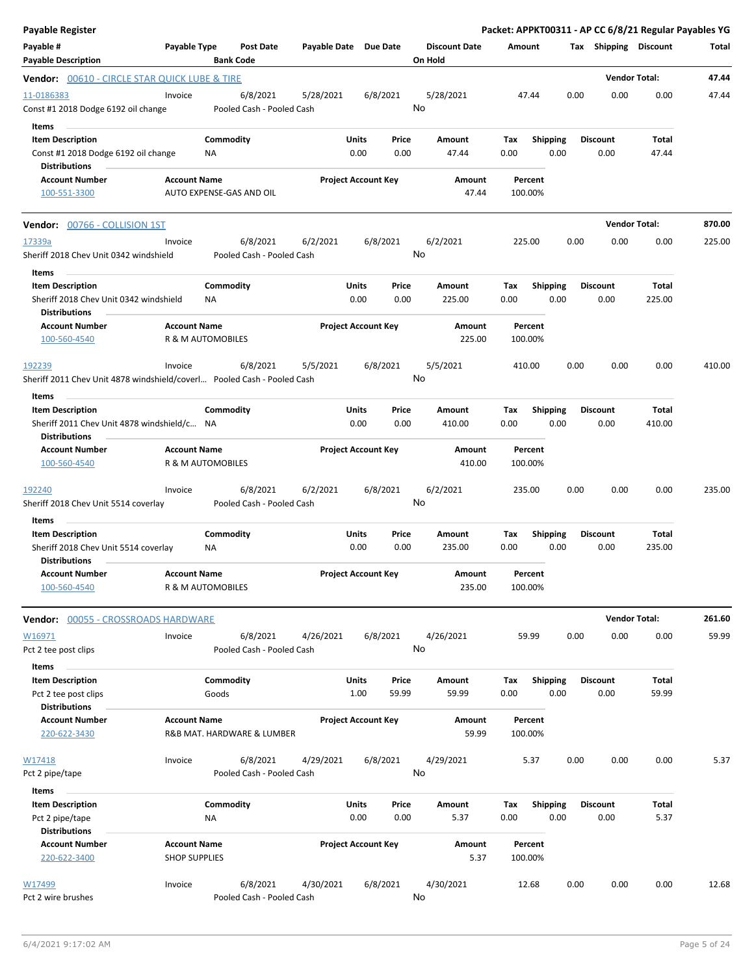| Payable Register                                                                                        |                                             |                        |                                       |                       |                            |               |                                 |                    |                         |      |                         | Packet: APPKT00311 - AP CC 6/8/21 Regular Payables YG |        |
|---------------------------------------------------------------------------------------------------------|---------------------------------------------|------------------------|---------------------------------------|-----------------------|----------------------------|---------------|---------------------------------|--------------------|-------------------------|------|-------------------------|-------------------------------------------------------|--------|
| Payable #<br><b>Payable Description</b>                                                                 | Payable Type                                | <b>Bank Code</b>       | Post Date                             | Payable Date Due Date |                            |               | <b>Discount Date</b><br>On Hold | Amount             |                         |      | Tax Shipping Discount   |                                                       | Total  |
| Vendor: 00610 - CIRCLE STAR QUICK LUBE & TIRE                                                           |                                             |                        |                                       |                       |                            |               |                                 |                    |                         |      |                         | <b>Vendor Total:</b>                                  | 47.44  |
| 11-0186383<br>Const #1 2018 Dodge 6192 oil change<br>Items                                              | Invoice                                     |                        | 6/8/2021<br>Pooled Cash - Pooled Cash | 5/28/2021             |                            | 6/8/2021      | 5/28/2021<br>No                 | 47.44              |                         | 0.00 | 0.00                    | 0.00                                                  | 47.44  |
| <b>Item Description</b><br>Const #1 2018 Dodge 6192 oil change<br><b>Distributions</b>                  |                                             | Commodity<br>ΝA        |                                       |                       | Units<br>0.00              | Price<br>0.00 | Amount<br>47.44                 | Тах<br>0.00        | <b>Shipping</b><br>0.00 |      | <b>Discount</b><br>0.00 | Total<br>47.44                                        |        |
| <b>Account Number</b><br>100-551-3300                                                                   | <b>Account Name</b>                         |                        | AUTO EXPENSE-GAS AND OIL              |                       | <b>Project Account Key</b> |               | Amount<br>47.44                 | Percent<br>100.00% |                         |      |                         |                                                       |        |
| Vendor: 00766 - COLLISION 1ST                                                                           |                                             |                        |                                       |                       |                            |               |                                 |                    |                         |      |                         | <b>Vendor Total:</b>                                  | 870.00 |
| 17339a<br>Sheriff 2018 Chev Unit 0342 windshield                                                        | Invoice                                     |                        | 6/8/2021<br>Pooled Cash - Pooled Cash | 6/2/2021              |                            | 6/8/2021      | 6/2/2021<br>No                  | 225.00             |                         | 0.00 | 0.00                    | 0.00                                                  | 225.00 |
| Items<br><b>Item Description</b><br>Sheriff 2018 Chev Unit 0342 windshield<br><b>Distributions</b>      |                                             | Commodity<br>ΝA        |                                       |                       | Units<br>0.00              | Price<br>0.00 | <b>Amount</b><br>225.00         | Тах<br>0.00        | <b>Shipping</b><br>0.00 |      | <b>Discount</b><br>0.00 | Total<br>225.00                                       |        |
| <b>Account Number</b><br>100-560-4540                                                                   | <b>Account Name</b><br>R & M AUTOMOBILES    |                        |                                       |                       | <b>Project Account Key</b> |               | Amount<br>225.00                | Percent<br>100.00% |                         |      |                         |                                                       |        |
| <u> 192239</u><br>Sheriff 2011 Chev Unit 4878 windshield/coverl Pooled Cash - Pooled Cash               | Invoice                                     |                        | 6/8/2021                              | 5/5/2021              |                            | 6/8/2021      | 5/5/2021<br>No                  | 410.00             |                         | 0.00 | 0.00                    | 0.00                                                  | 410.00 |
| Items<br><b>Item Description</b><br>Sheriff 2011 Chev Unit 4878 windshield/c NA<br><b>Distributions</b> |                                             | Commodity              |                                       |                       | Units<br>0.00              | Price<br>0.00 | Amount<br>410.00                | Tax<br>0.00        | <b>Shipping</b><br>0.00 |      | <b>Discount</b><br>0.00 | Total<br>410.00                                       |        |
| <b>Account Number</b><br>100-560-4540                                                                   | <b>Account Name</b><br>R & M AUTOMOBILES    |                        |                                       |                       | <b>Project Account Key</b> |               | Amount<br>410.00                | Percent<br>100.00% |                         |      |                         |                                                       |        |
| <u> 192240</u><br>Sheriff 2018 Chev Unit 5514 coverlay                                                  | Invoice                                     |                        | 6/8/2021<br>Pooled Cash - Pooled Cash | 6/2/2021              |                            | 6/8/2021      | 6/2/2021<br>No                  | 235.00             |                         | 0.00 | 0.00                    | 0.00                                                  | 235.00 |
| Items                                                                                                   |                                             |                        |                                       |                       |                            |               |                                 |                    |                         |      |                         |                                                       |        |
| <b>Item Description</b><br>Sheriff 2018 Chev Unit 5514 coverlay<br><b>Distributions</b>                 |                                             | Commodity<br><b>NA</b> |                                       |                       | Units<br>0.00              | Price<br>0.00 | Amount<br>235.00                | Tax<br>0.00        | <b>Shipping</b><br>0.00 |      | <b>Discount</b><br>0.00 | Total<br>235.00                                       |        |
| Account Number<br>100-560-4540                                                                          | <b>Account Name</b><br>R & M AUTOMOBILES    |                        |                                       |                       | <b>Project Account Key</b> |               | Amount<br>235.00                | Percent<br>100.00% |                         |      |                         |                                                       |        |
| Vendor: 00055 - CROSSROADS HARDWARE                                                                     |                                             |                        |                                       |                       |                            |               |                                 |                    |                         |      |                         | <b>Vendor Total:</b>                                  | 261.60 |
| W16971<br>Pct 2 tee post clips                                                                          | Invoice                                     |                        | 6/8/2021<br>Pooled Cash - Pooled Cash | 4/26/2021             |                            | 6/8/2021      | 4/26/2021<br>No                 | 59.99              |                         | 0.00 | 0.00                    | 0.00                                                  | 59.99  |
| Items<br><b>Item Description</b>                                                                        |                                             | Commodity              |                                       |                       | Units                      | Price         | Amount                          | Tax                | <b>Shipping</b>         |      | <b>Discount</b>         | Total                                                 |        |
| Pct 2 tee post clips<br><b>Distributions</b>                                                            |                                             | Goods                  |                                       |                       | 1.00                       | 59.99         | 59.99                           | 0.00               | 0.00                    |      | 0.00                    | 59.99                                                 |        |
| <b>Account Number</b><br>220-622-3430                                                                   | <b>Account Name</b>                         |                        | R&B MAT. HARDWARE & LUMBER            |                       | <b>Project Account Key</b> |               | Amount<br>59.99                 | Percent<br>100.00% |                         |      |                         |                                                       |        |
| W17418<br>Pct 2 pipe/tape                                                                               | Invoice                                     |                        | 6/8/2021<br>Pooled Cash - Pooled Cash | 4/29/2021             |                            | 6/8/2021      | 4/29/2021<br>No                 | 5.37               |                         | 0.00 | 0.00                    | 0.00                                                  | 5.37   |
| Items<br><b>Item Description</b><br>Pct 2 pipe/tape                                                     |                                             | Commodity<br>ΝA        |                                       |                       | Units<br>0.00              | Price<br>0.00 | Amount<br>5.37                  | Tax<br>0.00        | <b>Shipping</b><br>0.00 |      | <b>Discount</b><br>0.00 | Total<br>5.37                                         |        |
| <b>Distributions</b><br><b>Account Number</b><br>220-622-3400                                           | <b>Account Name</b><br><b>SHOP SUPPLIES</b> |                        |                                       |                       | <b>Project Account Key</b> |               | Amount<br>5.37                  | Percent<br>100.00% |                         |      |                         |                                                       |        |
| W17499<br>Pct 2 wire brushes                                                                            | Invoice                                     |                        | 6/8/2021<br>Pooled Cash - Pooled Cash | 4/30/2021             |                            | 6/8/2021      | 4/30/2021<br>No                 | 12.68              |                         | 0.00 | 0.00                    | 0.00                                                  | 12.68  |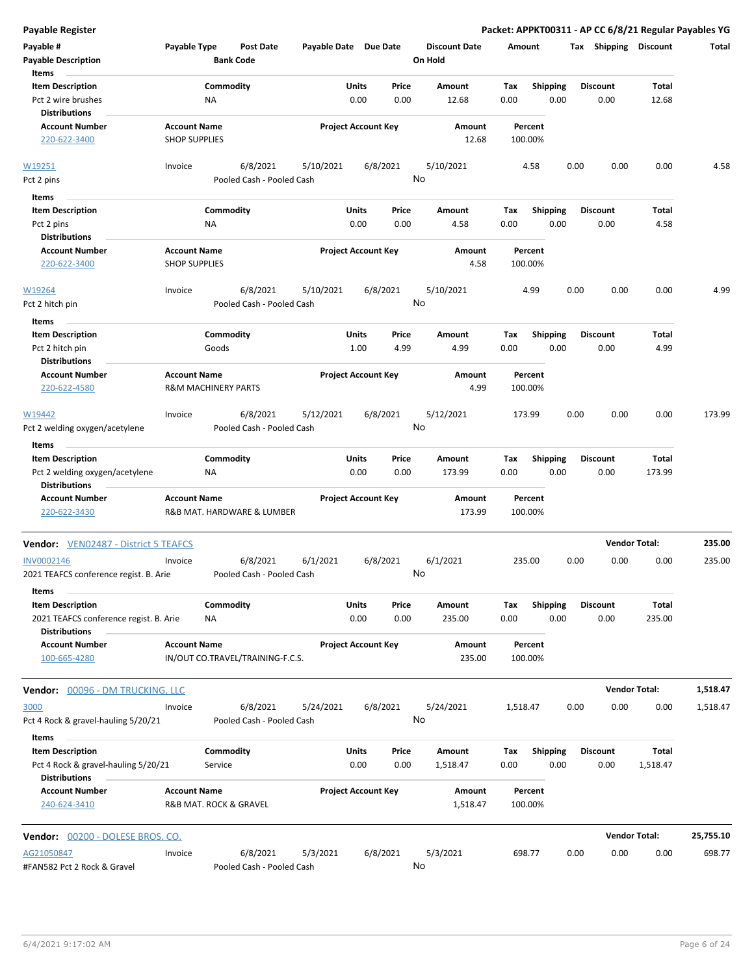| <b>Payable Register</b>                                        |                                |                  |                                  |                       |               |                            |                                 |             |                         |      |                         |                      | Packet: APPKT00311 - AP CC 6/8/21 Regular Payables YG |
|----------------------------------------------------------------|--------------------------------|------------------|----------------------------------|-----------------------|---------------|----------------------------|---------------------------------|-------------|-------------------------|------|-------------------------|----------------------|-------------------------------------------------------|
| Payable #<br><b>Payable Description</b>                        | Payable Type                   | <b>Bank Code</b> | <b>Post Date</b>                 | Payable Date Due Date |               |                            | <b>Discount Date</b><br>On Hold | Amount      |                         |      | Tax Shipping Discount   |                      | Total                                                 |
| Items                                                          |                                |                  |                                  |                       |               |                            |                                 |             |                         |      |                         |                      |                                                       |
| <b>Item Description</b><br>Pct 2 wire brushes                  |                                | Commodity<br>ΝA  |                                  |                       | Units<br>0.00 | Price<br>0.00              | Amount<br>12.68                 | Tax<br>0.00 | <b>Shipping</b><br>0.00 |      | <b>Discount</b><br>0.00 | Total<br>12.68       |                                                       |
| <b>Distributions</b><br><b>Account Number</b>                  | <b>Account Name</b>            |                  |                                  |                       |               | <b>Project Account Key</b> | Amount                          | Percent     |                         |      |                         |                      |                                                       |
| 220-622-3400                                                   | <b>SHOP SUPPLIES</b>           |                  |                                  |                       |               |                            | 12.68                           | 100.00%     |                         |      |                         |                      |                                                       |
| W19251                                                         | Invoice                        |                  | 6/8/2021                         | 5/10/2021             |               | 6/8/2021                   | 5/10/2021                       | 4.58        |                         | 0.00 | 0.00                    | 0.00                 | 4.58                                                  |
| Pct 2 pins                                                     |                                |                  | Pooled Cash - Pooled Cash        |                       |               | No                         |                                 |             |                         |      |                         |                      |                                                       |
| Items                                                          |                                |                  |                                  |                       |               |                            |                                 |             |                         |      |                         |                      |                                                       |
| <b>Item Description</b>                                        |                                | Commodity        |                                  |                       | Units         | Price                      | Amount                          | Tax         | <b>Shipping</b>         |      | <b>Discount</b>         | Total                |                                                       |
| Pct 2 pins                                                     |                                | NA               |                                  |                       | 0.00          | 0.00                       | 4.58                            | 0.00        | 0.00                    |      | 0.00                    | 4.58                 |                                                       |
| <b>Distributions</b>                                           |                                |                  |                                  |                       |               |                            |                                 |             |                         |      |                         |                      |                                                       |
| <b>Account Number</b>                                          | <b>Account Name</b>            |                  |                                  |                       |               | <b>Project Account Key</b> | Amount                          | Percent     |                         |      |                         |                      |                                                       |
| 220-622-3400                                                   | <b>SHOP SUPPLIES</b>           |                  |                                  |                       |               |                            | 4.58                            | 100.00%     |                         |      |                         |                      |                                                       |
| W19264                                                         | Invoice                        |                  | 6/8/2021                         | 5/10/2021             |               | 6/8/2021                   | 5/10/2021                       | 4.99        |                         | 0.00 | 0.00                    | 0.00                 | 4.99                                                  |
| Pct 2 hitch pin                                                |                                |                  | Pooled Cash - Pooled Cash        |                       |               | No                         |                                 |             |                         |      |                         |                      |                                                       |
| Items                                                          |                                |                  |                                  |                       |               |                            |                                 |             |                         |      |                         |                      |                                                       |
| <b>Item Description</b>                                        |                                | Commodity        |                                  |                       | Units         | Price                      | Amount                          | Tax         | <b>Shipping</b>         |      | <b>Discount</b>         | Total                |                                                       |
| Pct 2 hitch pin                                                |                                | Goods            |                                  |                       | 1.00          | 4.99                       | 4.99                            | 0.00        | 0.00                    |      | 0.00                    | 4.99                 |                                                       |
| <b>Distributions</b>                                           |                                |                  |                                  |                       |               |                            |                                 |             |                         |      |                         |                      |                                                       |
| <b>Account Number</b>                                          | <b>Account Name</b>            |                  |                                  |                       |               | <b>Project Account Key</b> | Amount                          | Percent     |                         |      |                         |                      |                                                       |
| 220-622-4580                                                   | <b>R&amp;M MACHINERY PARTS</b> |                  |                                  |                       |               |                            | 4.99                            | 100.00%     |                         |      |                         |                      |                                                       |
| W19442                                                         | Invoice                        |                  | 6/8/2021                         | 5/12/2021             |               | 6/8/2021                   | 5/12/2021                       | 173.99      |                         | 0.00 | 0.00                    | 0.00                 | 173.99                                                |
| Pct 2 welding oxygen/acetylene                                 |                                |                  | Pooled Cash - Pooled Cash        |                       |               | No                         |                                 |             |                         |      |                         |                      |                                                       |
| Items                                                          |                                |                  |                                  |                       |               |                            |                                 |             |                         |      |                         |                      |                                                       |
| <b>Item Description</b>                                        |                                | Commodity        |                                  |                       | Units         | Price                      | Amount                          | Tax         | <b>Shipping</b>         |      | <b>Discount</b>         | Total                |                                                       |
| Pct 2 welding oxygen/acetylene<br><b>Distributions</b>         |                                | NA               |                                  |                       | 0.00          | 0.00                       | 173.99                          | 0.00        | 0.00                    |      | 0.00                    | 173.99               |                                                       |
| <b>Account Number</b>                                          | <b>Account Name</b>            |                  |                                  |                       |               | <b>Project Account Key</b> | Amount                          | Percent     |                         |      |                         |                      |                                                       |
| 220-622-3430                                                   |                                |                  | R&B MAT. HARDWARE & LUMBER       |                       |               |                            | 173.99                          | 100.00%     |                         |      |                         |                      |                                                       |
| <b>Vendor:</b> VEN02487 - District 5 TEAFCS                    |                                |                  |                                  |                       |               |                            |                                 |             |                         |      |                         | <b>Vendor Total:</b> | 235.00                                                |
| <b>INV0002146</b>                                              | Invoice                        |                  | 6/8/2021                         | 6/1/2021              |               | 6/8/2021                   | 6/1/2021                        | 235.00      |                         | 0.00 | 0.00                    | 0.00                 | 235.00                                                |
| 2021 TEAFCS conference regist. B. Arie<br>Items                |                                |                  | Pooled Cash - Pooled Cash        |                       |               | No                         |                                 |             |                         |      |                         |                      |                                                       |
| <b>Item Description</b>                                        |                                | Commodity        |                                  |                       | Units         | Price                      | Amount                          | Tax         | <b>Shipping</b>         |      | <b>Discount</b>         | Total                |                                                       |
| 2021 TEAFCS conference regist. B. Arie<br><b>Distributions</b> |                                | ΝA               |                                  |                       | 0.00          | 0.00                       | 235.00                          | 0.00        | 0.00                    |      | 0.00                    | 235.00               |                                                       |
| <b>Account Number</b>                                          | <b>Account Name</b>            |                  |                                  |                       |               | <b>Project Account Key</b> | Amount                          | Percent     |                         |      |                         |                      |                                                       |
| 100-665-4280                                                   |                                |                  | IN/OUT CO.TRAVEL/TRAINING-F.C.S. |                       |               |                            | 235.00                          | 100.00%     |                         |      |                         |                      |                                                       |
| Vendor: 00096 - DM TRUCKING, LLC                               |                                |                  |                                  |                       |               |                            |                                 |             |                         |      |                         | <b>Vendor Total:</b> | 1,518.47                                              |
| 3000                                                           | Invoice                        |                  | 6/8/2021                         | 5/24/2021             |               | 6/8/2021                   | 5/24/2021                       | 1,518.47    |                         | 0.00 | 0.00                    | 0.00                 | 1,518.47                                              |
| Pct 4 Rock & gravel-hauling 5/20/21                            |                                |                  | Pooled Cash - Pooled Cash        |                       |               | No                         |                                 |             |                         |      |                         |                      |                                                       |
| Items<br><b>Item Description</b>                               |                                | Commodity        |                                  |                       | Units         | Price                      | Amount                          |             | <b>Shipping</b>         |      | <b>Discount</b>         | Total                |                                                       |
| Pct 4 Rock & gravel-hauling 5/20/21<br><b>Distributions</b>    |                                | Service          |                                  |                       | 0.00          | 0.00                       | 1,518.47                        | Тах<br>0.00 | 0.00                    |      | 0.00                    | 1,518.47             |                                                       |
| <b>Account Number</b>                                          | <b>Account Name</b>            |                  |                                  |                       |               | <b>Project Account Key</b> | Amount                          | Percent     |                         |      |                         |                      |                                                       |
| 240-624-3410                                                   | R&B MAT. ROCK & GRAVEL         |                  |                                  |                       |               |                            | 1,518.47                        | 100.00%     |                         |      |                         |                      |                                                       |
| Vendor: 00200 - DOLESE BROS. CO.                               |                                |                  |                                  |                       |               |                            |                                 |             |                         |      |                         | <b>Vendor Total:</b> | 25,755.10                                             |
| AG21050847                                                     | Invoice                        |                  | 6/8/2021                         | 5/3/2021              |               | 6/8/2021                   | 5/3/2021                        | 698.77      |                         | 0.00 | 0.00                    | 0.00                 | 698.77                                                |
| #FAN582 Pct 2 Rock & Gravel                                    |                                |                  | Pooled Cash - Pooled Cash        |                       |               | No                         |                                 |             |                         |      |                         |                      |                                                       |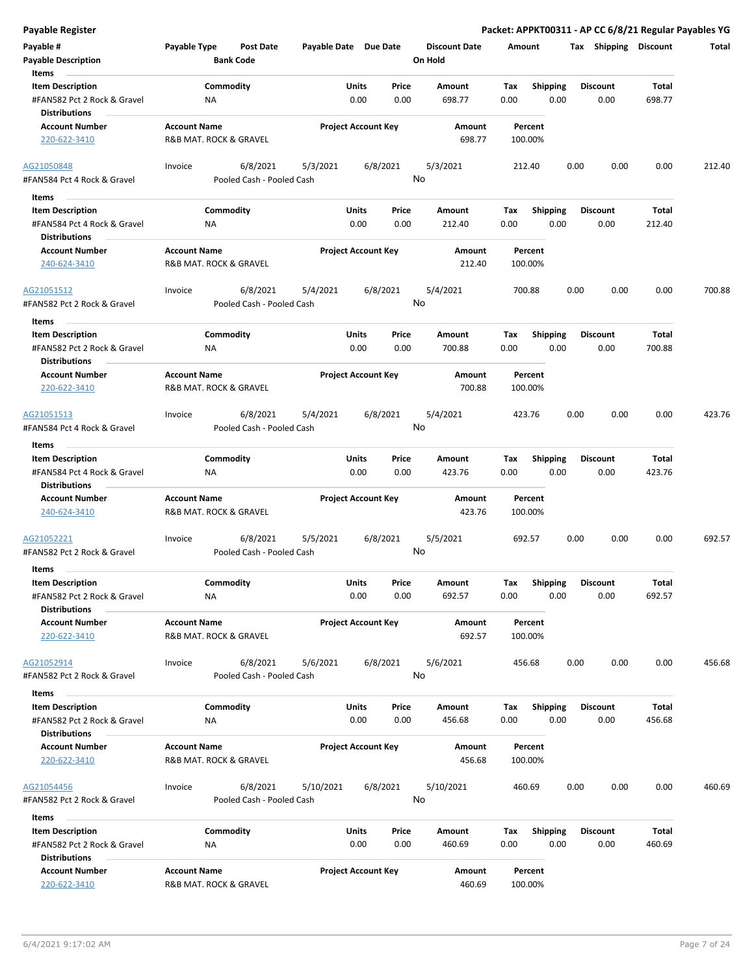| Payable #<br><b>Payable Description</b><br>Items                               | Payable Type                                  | Post Date<br><b>Bank Code</b>         | Payable Date Due Date |                            |               | <b>Discount Date</b><br>On Hold | Amount             |                         | Tax  | Shipping                | <b>Discount</b>        | Total  |
|--------------------------------------------------------------------------------|-----------------------------------------------|---------------------------------------|-----------------------|----------------------------|---------------|---------------------------------|--------------------|-------------------------|------|-------------------------|------------------------|--------|
| <b>Item Description</b><br>#FAN582 Pct 2 Rock & Gravel<br><b>Distributions</b> | ΝA                                            | Commodity                             |                       | Units<br>0.00              | Price<br>0.00 | Amount<br>698.77                | Tax<br>0.00        | <b>Shipping</b><br>0.00 |      | <b>Discount</b><br>0.00 | Total<br>698.77        |        |
| <b>Account Number</b><br>220-622-3410                                          | <b>Account Name</b><br>R&B MAT. ROCK & GRAVEL |                                       |                       | <b>Project Account Key</b> |               | Amount<br>698.77                | Percent<br>100.00% |                         |      |                         |                        |        |
| AG21050848<br>#FAN584 Pct 4 Rock & Gravel                                      | Invoice                                       | 6/8/2021<br>Pooled Cash - Pooled Cash | 5/3/2021              |                            | 6/8/2021      | 5/3/2021<br>No                  | 212.40             |                         | 0.00 | 0.00                    | 0.00                   | 212.40 |
| Items                                                                          |                                               |                                       |                       |                            |               |                                 |                    |                         |      |                         |                        |        |
| <b>Item Description</b><br>#FAN584 Pct 4 Rock & Gravel<br><b>Distributions</b> | NA                                            | Commodity                             |                       | Units<br>0.00              | Price<br>0.00 | Amount<br>212.40                | Tax<br>0.00        | <b>Shipping</b><br>0.00 |      | <b>Discount</b><br>0.00 | Total<br>212.40        |        |
| <b>Account Number</b><br>240-624-3410                                          | <b>Account Name</b><br>R&B MAT. ROCK & GRAVEL |                                       |                       | <b>Project Account Key</b> |               | Amount<br>212.40                | Percent<br>100.00% |                         |      |                         |                        |        |
| AG21051512<br>#FAN582 Pct 2 Rock & Gravel                                      | Invoice                                       | 6/8/2021<br>Pooled Cash - Pooled Cash | 5/4/2021              |                            | 6/8/2021      | 5/4/2021<br>No                  | 700.88             |                         | 0.00 | 0.00                    | 0.00                   | 700.88 |
| Items                                                                          |                                               |                                       |                       |                            |               |                                 |                    |                         |      |                         |                        |        |
| <b>Item Description</b><br>#FAN582 Pct 2 Rock & Gravel<br><b>Distributions</b> | ΝA                                            | Commodity                             |                       | Units<br>0.00              | Price<br>0.00 | Amount<br>700.88                | Tax<br>0.00        | <b>Shipping</b><br>0.00 |      | <b>Discount</b><br>0.00 | Total<br>700.88        |        |
| <b>Account Number</b><br>220-622-3410                                          | <b>Account Name</b><br>R&B MAT. ROCK & GRAVEL |                                       |                       | <b>Project Account Key</b> |               | Amount<br>700.88                | Percent<br>100.00% |                         |      |                         |                        |        |
| AG21051513<br>#FAN584 Pct 4 Rock & Gravel                                      | Invoice                                       | 6/8/2021<br>Pooled Cash - Pooled Cash | 5/4/2021              |                            | 6/8/2021      | 5/4/2021<br>No                  | 423.76             |                         | 0.00 | 0.00                    | 0.00                   | 423.76 |
| Items                                                                          |                                               |                                       |                       |                            |               |                                 |                    |                         |      |                         |                        |        |
| <b>Item Description</b><br>#FAN584 Pct 4 Rock & Gravel<br><b>Distributions</b> | <b>NA</b>                                     | Commodity                             |                       | Units<br>0.00              | Price<br>0.00 | Amount<br>423.76                | Tax<br>0.00        | <b>Shipping</b><br>0.00 |      | <b>Discount</b><br>0.00 | <b>Total</b><br>423.76 |        |
| <b>Account Number</b><br>240-624-3410                                          | <b>Account Name</b><br>R&B MAT. ROCK & GRAVEL |                                       |                       | <b>Project Account Key</b> |               | Amount<br>423.76                | Percent<br>100.00% |                         |      |                         |                        |        |
| AG21052221<br>#FAN582 Pct 2 Rock & Gravel<br>Items                             | Invoice                                       | 6/8/2021<br>Pooled Cash - Pooled Cash | 5/5/2021              |                            | 6/8/2021      | 5/5/2021<br>No                  | 692.57             |                         | 0.00 | 0.00                    | 0.00                   | 692.57 |
| <b>Item Description</b><br>#FAN582 Pct 2 Rock & Gravel<br><b>Distributions</b> | ΝA                                            | Commodity                             |                       | Units<br>0.00              | Price<br>0.00 | Amount<br>692.57                | Tax<br>0.00        | <b>Shipping</b><br>0.00 |      | <b>Discount</b><br>0.00 | <b>Total</b><br>692.57 |        |
| <b>Account Number</b><br>220-622-3410                                          | <b>Account Name</b><br>R&B MAT. ROCK & GRAVEL |                                       |                       | <b>Project Account Key</b> |               | Amount<br>692.57                | Percent<br>100.00% |                         |      |                         |                        |        |
| AG21052914<br>#FAN582 Pct 2 Rock & Gravel                                      | Invoice                                       | 6/8/2021<br>Pooled Cash - Pooled Cash | 5/6/2021              |                            | 6/8/2021      | 5/6/2021<br>No                  | 456.68             |                         | 0.00 | 0.00                    | 0.00                   | 456.68 |
| Items                                                                          |                                               |                                       |                       |                            |               |                                 |                    |                         |      |                         |                        |        |
| <b>Item Description</b><br>#FAN582 Pct 2 Rock & Gravel<br><b>Distributions</b> | ΝA                                            | Commodity                             |                       | <b>Units</b><br>0.00       | Price<br>0.00 | Amount<br>456.68                | Tax<br>0.00        | <b>Shipping</b><br>0.00 |      | <b>Discount</b><br>0.00 | Total<br>456.68        |        |
| <b>Account Number</b><br>220-622-3410                                          | <b>Account Name</b><br>R&B MAT. ROCK & GRAVEL |                                       |                       | <b>Project Account Key</b> |               | Amount<br>456.68                | Percent<br>100.00% |                         |      |                         |                        |        |
| AG21054456<br>#FAN582 Pct 2 Rock & Gravel                                      | Invoice                                       | 6/8/2021<br>Pooled Cash - Pooled Cash | 5/10/2021             |                            | 6/8/2021      | 5/10/2021<br>No                 | 460.69             |                         | 0.00 | 0.00                    | 0.00                   | 460.69 |
| Items                                                                          |                                               |                                       |                       |                            |               |                                 |                    |                         |      |                         |                        |        |
| <b>Item Description</b>                                                        |                                               | Commodity                             |                       | Units                      | Price         | Amount                          | Tax Shipping       |                         |      | <b>Discount</b>         | Total                  |        |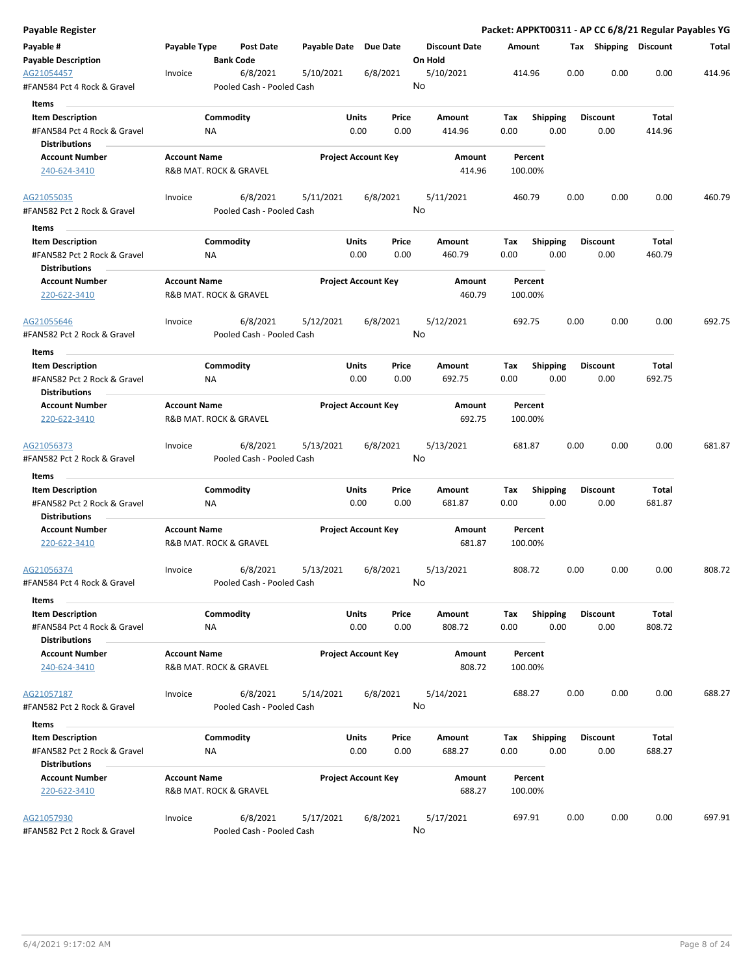| Payable Register                                       |                     |                        |                                       |                       |                            |               |                      |             |                 |      |                         |                 | Packet: APPKT00311 - AP CC 6/8/21 Regular Payables YG |
|--------------------------------------------------------|---------------------|------------------------|---------------------------------------|-----------------------|----------------------------|---------------|----------------------|-------------|-----------------|------|-------------------------|-----------------|-------------------------------------------------------|
| Payable #                                              | Payable Type        |                        | <b>Post Date</b>                      | Payable Date Due Date |                            |               | <b>Discount Date</b> | Amount      |                 |      | Tax Shipping Discount   |                 | Total                                                 |
| <b>Payable Description</b>                             |                     | <b>Bank Code</b>       |                                       |                       |                            |               | On Hold              |             |                 |      |                         |                 |                                                       |
| AG21054457<br>#FAN584 Pct 4 Rock & Gravel              | Invoice             |                        | 6/8/2021<br>Pooled Cash - Pooled Cash | 5/10/2021             | 6/8/2021                   |               | 5/10/2021<br>No      |             | 414.96          | 0.00 | 0.00                    | 0.00            | 414.96                                                |
| Items                                                  |                     |                        |                                       |                       |                            |               |                      |             |                 |      |                         |                 |                                                       |
| <b>Item Description</b>                                |                     | Commodity              |                                       |                       | Units                      | Price         | Amount               | Tax         | <b>Shipping</b> |      | <b>Discount</b>         | Total           |                                                       |
| #FAN584 Pct 4 Rock & Gravel                            |                     | ΝA                     |                                       |                       | 0.00                       | 0.00          | 414.96               | 0.00        |                 | 0.00 | 0.00                    | 414.96          |                                                       |
| <b>Distributions</b>                                   |                     |                        |                                       |                       |                            |               |                      |             |                 |      |                         |                 |                                                       |
| <b>Account Number</b>                                  | <b>Account Name</b> |                        |                                       |                       | <b>Project Account Key</b> |               | Amount               |             | Percent         |      |                         |                 |                                                       |
| 240-624-3410                                           |                     | R&B MAT. ROCK & GRAVEL |                                       |                       |                            |               | 414.96               |             | 100.00%         |      |                         |                 |                                                       |
| AG21055035                                             | Invoice             |                        | 6/8/2021                              | 5/11/2021             | 6/8/2021                   |               | 5/11/2021            |             | 460.79          | 0.00 | 0.00                    | 0.00            | 460.79                                                |
| #FAN582 Pct 2 Rock & Gravel                            |                     |                        | Pooled Cash - Pooled Cash             |                       |                            |               | No                   |             |                 |      |                         |                 |                                                       |
| Items                                                  |                     |                        |                                       |                       |                            |               |                      |             |                 |      |                         |                 |                                                       |
| <b>Item Description</b><br>#FAN582 Pct 2 Rock & Gravel |                     | Commodity<br>NA        |                                       |                       | Units<br>0.00              | Price<br>0.00 | Amount<br>460.79     | Tax<br>0.00 | <b>Shipping</b> | 0.00 | <b>Discount</b><br>0.00 | Total<br>460.79 |                                                       |
| <b>Distributions</b>                                   |                     |                        |                                       |                       |                            |               |                      |             |                 |      |                         |                 |                                                       |
| <b>Account Number</b>                                  | <b>Account Name</b> |                        |                                       |                       | <b>Project Account Key</b> |               | Amount               |             | Percent         |      |                         |                 |                                                       |
| 220-622-3410                                           |                     | R&B MAT. ROCK & GRAVEL |                                       |                       |                            |               | 460.79               |             | 100.00%         |      |                         |                 |                                                       |
| AG21055646                                             | Invoice             |                        | 6/8/2021                              | 5/12/2021             | 6/8/2021                   |               | 5/12/2021            |             | 692.75          | 0.00 | 0.00                    | 0.00            | 692.75                                                |
| #FAN582 Pct 2 Rock & Gravel                            |                     |                        | Pooled Cash - Pooled Cash             |                       |                            |               | No                   |             |                 |      |                         |                 |                                                       |
| Items                                                  |                     |                        |                                       |                       |                            |               |                      |             |                 |      |                         |                 |                                                       |
| <b>Item Description</b>                                |                     | Commodity              |                                       |                       | Units                      | Price         | Amount               | Tax         | <b>Shipping</b> |      | <b>Discount</b>         | Total           |                                                       |
| #FAN582 Pct 2 Rock & Gravel                            |                     | ΝA                     |                                       |                       | 0.00                       | 0.00          | 692.75               | 0.00        |                 | 0.00 | 0.00                    | 692.75          |                                                       |
| <b>Distributions</b>                                   |                     |                        |                                       |                       |                            |               |                      |             |                 |      |                         |                 |                                                       |
| <b>Account Number</b>                                  | <b>Account Name</b> |                        |                                       |                       | <b>Project Account Key</b> |               | Amount               |             | Percent         |      |                         |                 |                                                       |
| 220-622-3410                                           |                     | R&B MAT. ROCK & GRAVEL |                                       |                       |                            |               | 692.75               |             | 100.00%         |      |                         |                 |                                                       |
| AG21056373                                             | Invoice             |                        | 6/8/2021                              | 5/13/2021             | 6/8/2021                   |               | 5/13/2021            |             | 681.87          | 0.00 | 0.00                    | 0.00            | 681.87                                                |
| #FAN582 Pct 2 Rock & Gravel                            |                     |                        | Pooled Cash - Pooled Cash             |                       |                            |               | No                   |             |                 |      |                         |                 |                                                       |
| Items                                                  |                     |                        |                                       |                       |                            |               |                      |             |                 |      |                         |                 |                                                       |
| <b>Item Description</b>                                |                     | Commodity              |                                       |                       | Units                      | Price         | Amount               | Tax         | Shipping        |      | <b>Discount</b>         | Total           |                                                       |
| #FAN582 Pct 2 Rock & Gravel                            |                     | ΝA                     |                                       |                       | 0.00                       | 0.00          | 681.87               | 0.00        |                 | 0.00 | 0.00                    | 681.87          |                                                       |
| <b>Distributions</b>                                   |                     |                        |                                       |                       |                            |               |                      |             |                 |      |                         |                 |                                                       |
| <b>Account Number</b>                                  | <b>Account Name</b> |                        |                                       |                       | <b>Project Account Key</b> |               | Amount               |             | Percent         |      |                         |                 |                                                       |
| 220-622-3410                                           |                     | R&B MAT. ROCK & GRAVEL |                                       |                       |                            |               | 681.87               |             | 100.00%         |      |                         |                 |                                                       |
| AG21056374                                             | Invoice             |                        | 6/8/2021                              | 5/13/2021             | 6/8/2021                   |               | 5/13/2021            |             | 808.72          | 0.00 | 0.00                    | 0.00            | 808.72                                                |
| #FAN584 Pct 4 Rock & Gravel                            |                     |                        | Pooled Cash - Pooled Cash             |                       |                            |               | No                   |             |                 |      |                         |                 |                                                       |
| Items<br><b>Item Description</b>                       |                     | Commodity              |                                       |                       | Units                      | Price         | Amount               | Tax         | Shipping        |      | <b>Discount</b>         | Total           |                                                       |
| #FAN584 Pct 4 Rock & Gravel                            |                     | NA                     |                                       |                       | 0.00                       | 0.00          | 808.72               | 0.00        |                 | 0.00 | 0.00                    | 808.72          |                                                       |
| <b>Distributions</b>                                   |                     |                        |                                       |                       |                            |               |                      |             |                 |      |                         |                 |                                                       |
| <b>Account Number</b>                                  | <b>Account Name</b> |                        |                                       |                       | <b>Project Account Key</b> |               | Amount               |             | Percent         |      |                         |                 |                                                       |
| 240-624-3410                                           |                     | R&B MAT. ROCK & GRAVEL |                                       |                       |                            |               | 808.72               |             | 100.00%         |      |                         |                 |                                                       |
| AG21057187                                             | Invoice             |                        | 6/8/2021                              | 5/14/2021             | 6/8/2021                   |               | 5/14/2021            |             | 688.27          | 0.00 | 0.00                    | 0.00            | 688.27                                                |
| #FAN582 Pct 2 Rock & Gravel                            |                     |                        | Pooled Cash - Pooled Cash             |                       |                            |               | No                   |             |                 |      |                         |                 |                                                       |
| Items                                                  |                     |                        |                                       |                       |                            |               |                      |             |                 |      |                         |                 |                                                       |
| <b>Item Description</b>                                |                     | Commodity              |                                       |                       | Units                      | Price         | Amount               | Tax         | <b>Shipping</b> |      | <b>Discount</b>         | Total           |                                                       |
| #FAN582 Pct 2 Rock & Gravel                            |                     | ΝA                     |                                       |                       | 0.00                       | 0.00          | 688.27               | 0.00        |                 | 0.00 | 0.00                    | 688.27          |                                                       |
| <b>Distributions</b>                                   |                     |                        |                                       |                       |                            |               |                      |             |                 |      |                         |                 |                                                       |
| <b>Account Number</b>                                  | <b>Account Name</b> |                        |                                       |                       | <b>Project Account Key</b> |               | Amount               |             | Percent         |      |                         |                 |                                                       |
| 220-622-3410                                           |                     | R&B MAT. ROCK & GRAVEL |                                       |                       |                            |               | 688.27               |             | 100.00%         |      |                         |                 |                                                       |
| AG21057930                                             | Invoice             |                        | 6/8/2021                              | 5/17/2021             | 6/8/2021                   |               | 5/17/2021            |             | 697.91          | 0.00 | 0.00                    | 0.00            | 697.91                                                |
| #FAN582 Pct 2 Rock & Gravel                            |                     |                        | Pooled Cash - Pooled Cash             |                       |                            |               | No                   |             |                 |      |                         |                 |                                                       |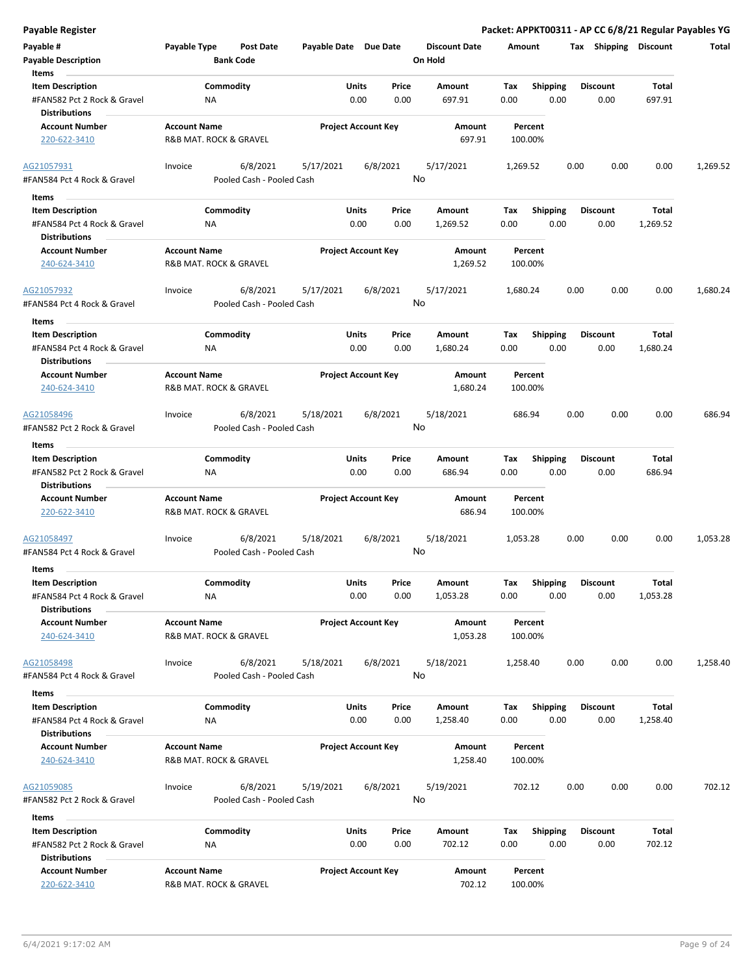| Payable #                                              | Payable Type           | Post Date                             | Payable Date Due Date      |               |               | <b>Discount Date</b> | Amount      |                         | Tax  | Shipping        | <b>Discount</b>   | Total    |
|--------------------------------------------------------|------------------------|---------------------------------------|----------------------------|---------------|---------------|----------------------|-------------|-------------------------|------|-----------------|-------------------|----------|
| <b>Payable Description</b>                             |                        | <b>Bank Code</b>                      |                            |               |               | On Hold              |             |                         |      |                 |                   |          |
| Items<br><b>Item Description</b>                       |                        | Commodity                             |                            | Units         | Price         | Amount               | Tax         | <b>Shipping</b>         |      | <b>Discount</b> | Total             |          |
| #FAN582 Pct 2 Rock & Gravel                            | ΝA                     |                                       |                            | 0.00          | 0.00          | 697.91               | 0.00        | 0.00                    |      | 0.00            | 697.91            |          |
| <b>Distributions</b>                                   |                        |                                       |                            |               |               |                      |             |                         |      |                 |                   |          |
| <b>Account Number</b>                                  | <b>Account Name</b>    |                                       | <b>Project Account Key</b> |               |               | Amount               |             | Percent                 |      |                 |                   |          |
| 220-622-3410                                           | R&B MAT. ROCK & GRAVEL |                                       |                            |               |               | 697.91               |             | 100.00%                 |      |                 |                   |          |
| AG21057931                                             | Invoice                | 6/8/2021                              | 5/17/2021                  |               | 6/8/2021      | 5/17/2021            | 1,269.52    |                         | 0.00 | 0.00            | 0.00              | 1,269.52 |
| #FAN584 Pct 4 Rock & Gravel                            |                        | Pooled Cash - Pooled Cash             |                            |               |               | No                   |             |                         |      |                 |                   |          |
|                                                        |                        |                                       |                            |               |               |                      |             |                         |      |                 |                   |          |
| Items                                                  |                        |                                       |                            |               |               |                      |             |                         |      | <b>Discount</b> |                   |          |
| <b>Item Description</b><br>#FAN584 Pct 4 Rock & Gravel | ΝA                     | Commodity                             |                            | Units<br>0.00 | Price<br>0.00 | Amount<br>1,269.52   | Tax<br>0.00 | <b>Shipping</b><br>0.00 |      | 0.00            | Total<br>1,269.52 |          |
| <b>Distributions</b>                                   |                        |                                       |                            |               |               |                      |             |                         |      |                 |                   |          |
| <b>Account Number</b>                                  | <b>Account Name</b>    |                                       | <b>Project Account Key</b> |               |               | Amount               |             | Percent                 |      |                 |                   |          |
| 240-624-3410                                           | R&B MAT. ROCK & GRAVEL |                                       |                            |               |               | 1,269.52             |             | 100.00%                 |      |                 |                   |          |
| AG21057932                                             | Invoice                | 6/8/2021                              | 5/17/2021                  |               | 6/8/2021      | 5/17/2021            | 1,680.24    |                         | 0.00 | 0.00            | 0.00              | 1,680.24 |
| #FAN584 Pct 4 Rock & Gravel                            |                        | Pooled Cash - Pooled Cash             |                            |               |               | No                   |             |                         |      |                 |                   |          |
|                                                        |                        |                                       |                            |               |               |                      |             |                         |      |                 |                   |          |
| Items                                                  |                        |                                       |                            |               |               |                      |             |                         |      | <b>Discount</b> |                   |          |
| <b>Item Description</b>                                | ΝA                     | Commodity                             |                            | Units<br>0.00 | Price<br>0.00 | Amount               | Tax<br>0.00 | <b>Shipping</b><br>0.00 |      |                 | Total<br>1,680.24 |          |
| #FAN584 Pct 4 Rock & Gravel<br><b>Distributions</b>    |                        |                                       |                            |               |               | 1,680.24             |             |                         |      | 0.00            |                   |          |
| <b>Account Number</b>                                  | <b>Account Name</b>    |                                       | <b>Project Account Key</b> |               |               | Amount               |             | Percent                 |      |                 |                   |          |
| 240-624-3410                                           | R&B MAT. ROCK & GRAVEL |                                       |                            |               |               | 1,680.24             |             | 100.00%                 |      |                 |                   |          |
|                                                        |                        |                                       |                            |               |               |                      |             |                         |      |                 |                   |          |
| AG21058496                                             | Invoice                | 6/8/2021                              | 5/18/2021                  |               | 6/8/2021      | 5/18/2021            |             | 686.94                  | 0.00 | 0.00            | 0.00              | 686.94   |
| #FAN582 Pct 2 Rock & Gravel                            |                        | Pooled Cash - Pooled Cash             |                            |               |               | No                   |             |                         |      |                 |                   |          |
| Items                                                  |                        |                                       |                            |               |               |                      |             |                         |      |                 |                   |          |
| <b>Item Description</b>                                |                        | Commodity                             |                            | Units         | Price         | Amount               | Tax         | <b>Shipping</b>         |      | <b>Discount</b> | Total             |          |
| #FAN582 Pct 2 Rock & Gravel                            | ΝA                     |                                       |                            | 0.00          | 0.00          | 686.94               | 0.00        | 0.00                    |      | 0.00            | 686.94            |          |
| <b>Distributions</b>                                   |                        |                                       |                            |               |               |                      |             |                         |      |                 |                   |          |
| <b>Account Number</b>                                  | <b>Account Name</b>    |                                       | <b>Project Account Key</b> |               |               | Amount               |             | Percent                 |      |                 |                   |          |
| 220-622-3410                                           | R&B MAT. ROCK & GRAVEL |                                       |                            |               |               | 686.94               |             | 100.00%                 |      |                 |                   |          |
| AG21058497                                             | Invoice                | 6/8/2021                              | 5/18/2021                  |               | 6/8/2021      | 5/18/2021            | 1,053.28    |                         | 0.00 | 0.00            | 0.00              | 1,053.28 |
| #FAN584 Pct 4 Rock & Gravel                            |                        | Pooled Cash - Pooled Cash             |                            |               |               | No                   |             |                         |      |                 |                   |          |
| <b>Items</b>                                           |                        |                                       |                            |               |               |                      |             |                         |      |                 |                   |          |
| <b>Item Description</b>                                |                        | Commodity                             |                            | Units         | Price         | Amount               | Tax         | <b>Shipping</b>         |      | <b>Discount</b> | Total             |          |
| #FAN584 Pct 4 Rock & Gravel                            | ΝA                     |                                       |                            | 0.00          | 0.00          | 1,053.28             | 0.00        | 0.00                    |      | 0.00            | 1,053.28          |          |
| <b>Distributions</b>                                   |                        |                                       |                            |               |               |                      |             |                         |      |                 |                   |          |
| <b>Account Number</b>                                  | <b>Account Name</b>    |                                       | <b>Project Account Key</b> |               |               | Amount               |             | Percent                 |      |                 |                   |          |
| 240-624-3410                                           | R&B MAT. ROCK & GRAVEL |                                       |                            |               |               | 1,053.28             |             | 100.00%                 |      |                 |                   |          |
|                                                        |                        |                                       |                            |               | 6/8/2021      |                      |             |                         |      | 0.00            |                   |          |
| AG21058498<br>#FAN584 Pct 4 Rock & Gravel              | Invoice                | 6/8/2021<br>Pooled Cash - Pooled Cash | 5/18/2021                  |               |               | 5/18/2021<br>No      | 1,258.40    |                         | 0.00 |                 | 0.00              | 1,258.40 |
|                                                        |                        |                                       |                            |               |               |                      |             |                         |      |                 |                   |          |
| Items                                                  |                        |                                       |                            |               |               |                      |             |                         |      |                 |                   |          |
| <b>Item Description</b>                                |                        | Commodity                             |                            | Units         | Price         | Amount               | Tax         | <b>Shipping</b>         |      | <b>Discount</b> | Total             |          |
| #FAN584 Pct 4 Rock & Gravel<br><b>Distributions</b>    | ΝA                     |                                       |                            | 0.00          | 0.00          | 1,258.40             | 0.00        | 0.00                    |      | 0.00            | 1,258.40          |          |
| <b>Account Number</b>                                  | <b>Account Name</b>    |                                       | <b>Project Account Key</b> |               |               | Amount               |             | Percent                 |      |                 |                   |          |
| 240-624-3410                                           | R&B MAT. ROCK & GRAVEL |                                       |                            |               |               | 1,258.40             |             | 100.00%                 |      |                 |                   |          |
|                                                        |                        |                                       |                            |               |               |                      |             |                         |      |                 |                   |          |
| AG21059085                                             | Invoice                | 6/8/2021                              | 5/19/2021                  |               | 6/8/2021      | 5/19/2021            |             | 702.12                  | 0.00 | 0.00            | 0.00              | 702.12   |
| #FAN582 Pct 2 Rock & Gravel                            |                        | Pooled Cash - Pooled Cash             |                            |               |               | No                   |             |                         |      |                 |                   |          |
| Items                                                  |                        |                                       |                            |               |               |                      |             |                         |      |                 |                   |          |
| <b>Item Description</b>                                |                        | Commodity                             |                            | Units         | Price         | Amount               | Tax         | <b>Shipping</b>         |      | Discount        | Total             |          |
| #FAN582 Pct 2 Rock & Gravel                            | ΝA                     |                                       |                            | 0.00          | 0.00          | 702.12               | 0.00        | 0.00                    |      | 0.00            | 702.12            |          |
| <b>Distributions</b><br><b>Account Number</b>          | <b>Account Name</b>    |                                       | <b>Project Account Key</b> |               |               | Amount               |             | Percent                 |      |                 |                   |          |
|                                                        |                        |                                       |                            |               |               |                      |             |                         |      |                 |                   |          |

220-622-3410 R&B MAT. ROCK & GRAVEL 702.12 100.00%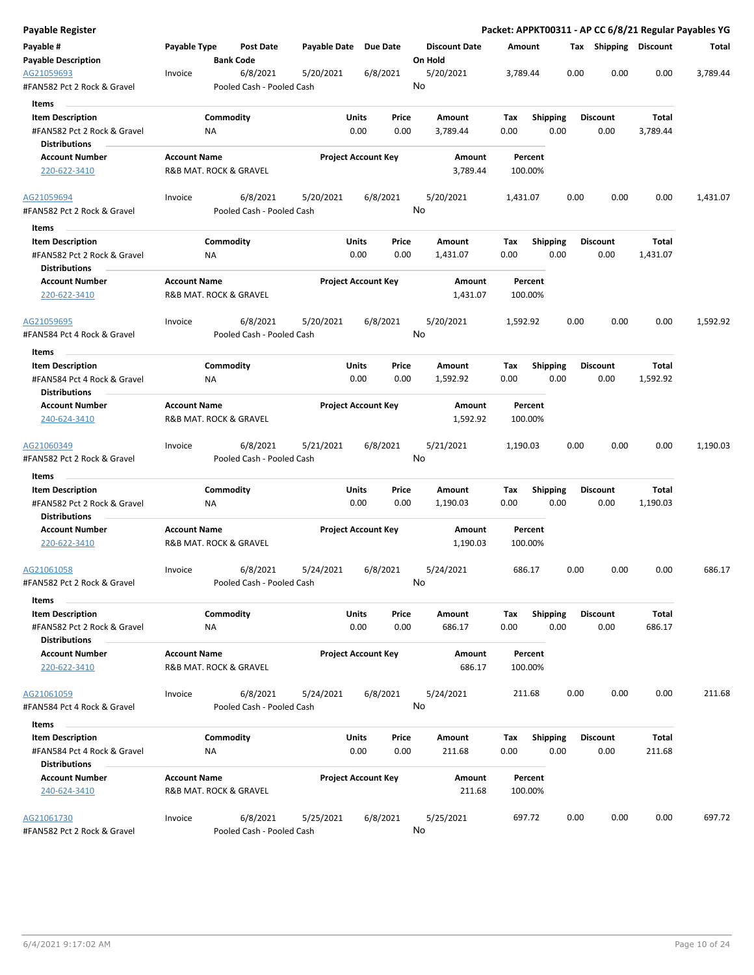| Payable Register                          |                     |                                       |                       |                            |                      |          |                 |      |                       |          | Packet: APPKT00311 - AP CC 6/8/21 Regular Payables YG |
|-------------------------------------------|---------------------|---------------------------------------|-----------------------|----------------------------|----------------------|----------|-----------------|------|-----------------------|----------|-------------------------------------------------------|
| Payable #                                 | Payable Type        | Post Date                             | Payable Date Due Date |                            | <b>Discount Date</b> | Amount   |                 |      | Tax Shipping Discount |          | Total                                                 |
| <b>Payable Description</b>                |                     | <b>Bank Code</b>                      |                       |                            | On Hold              |          |                 |      |                       |          |                                                       |
| AG21059693<br>#FAN582 Pct 2 Rock & Gravel | Invoice             | 6/8/2021<br>Pooled Cash - Pooled Cash | 5/20/2021             | 6/8/2021                   | 5/20/2021<br>No      | 3,789.44 |                 | 0.00 | 0.00                  | 0.00     | 3,789.44                                              |
| Items                                     |                     |                                       |                       |                            |                      |          |                 |      |                       |          |                                                       |
| <b>Item Description</b>                   |                     | Commodity                             |                       | Units<br>Price             | Amount               | Tax      | <b>Shipping</b> |      | <b>Discount</b>       | Total    |                                                       |
| #FAN582 Pct 2 Rock & Gravel               |                     | ΝA                                    |                       | 0.00<br>0.00               | 3,789.44             | 0.00     | 0.00            |      | 0.00                  | 3,789.44 |                                                       |
| <b>Distributions</b>                      |                     |                                       |                       |                            |                      |          |                 |      |                       |          |                                                       |
| <b>Account Number</b>                     | <b>Account Name</b> |                                       |                       | <b>Project Account Key</b> | Amount               |          | Percent         |      |                       |          |                                                       |
| 220-622-3410                              |                     | R&B MAT. ROCK & GRAVEL                |                       |                            | 3,789.44             |          | 100.00%         |      |                       |          |                                                       |
| AG21059694                                | Invoice             | 6/8/2021                              | 5/20/2021             | 6/8/2021                   | 5/20/2021            | 1,431.07 |                 | 0.00 | 0.00                  | 0.00     | 1,431.07                                              |
| #FAN582 Pct 2 Rock & Gravel<br>Items      |                     | Pooled Cash - Pooled Cash             |                       |                            | No                   |          |                 |      |                       |          |                                                       |
| <b>Item Description</b>                   |                     | Commodity                             |                       | Units<br>Price             | Amount               | Tax      | <b>Shipping</b> |      | <b>Discount</b>       | Total    |                                                       |
| #FAN582 Pct 2 Rock & Gravel               |                     | NA                                    |                       | 0.00<br>0.00               | 1,431.07             | 0.00     | 0.00            |      | 0.00                  | 1,431.07 |                                                       |
| <b>Distributions</b>                      |                     |                                       |                       |                            |                      |          |                 |      |                       |          |                                                       |
| <b>Account Number</b>                     | <b>Account Name</b> |                                       |                       | <b>Project Account Key</b> | Amount               |          | Percent         |      |                       |          |                                                       |
| 220-622-3410                              |                     | R&B MAT. ROCK & GRAVEL                |                       |                            | 1,431.07             |          | 100.00%         |      |                       |          |                                                       |
| AG21059695                                | Invoice             | 6/8/2021                              | 5/20/2021             | 6/8/2021                   | 5/20/2021            | 1,592.92 |                 | 0.00 | 0.00                  | 0.00     | 1,592.92                                              |
| #FAN584 Pct 4 Rock & Gravel               |                     | Pooled Cash - Pooled Cash             |                       |                            | No                   |          |                 |      |                       |          |                                                       |
| Items                                     |                     |                                       |                       |                            |                      |          |                 |      |                       |          |                                                       |
| <b>Item Description</b>                   |                     | Commodity                             |                       | Units<br>Price             | Amount               | Tax      | <b>Shipping</b> |      | <b>Discount</b>       | Total    |                                                       |
| #FAN584 Pct 4 Rock & Gravel               |                     | ΝA                                    |                       | 0.00<br>0.00               | 1,592.92             | 0.00     | 0.00            |      | 0.00                  | 1,592.92 |                                                       |
| <b>Distributions</b>                      |                     |                                       |                       |                            |                      |          |                 |      |                       |          |                                                       |
| <b>Account Number</b>                     | <b>Account Name</b> |                                       |                       | <b>Project Account Key</b> | Amount               |          | Percent         |      |                       |          |                                                       |
| 240-624-3410                              |                     | R&B MAT. ROCK & GRAVEL                |                       |                            | 1,592.92             |          | 100.00%         |      |                       |          |                                                       |
| AG21060349                                | Invoice             | 6/8/2021                              | 5/21/2021             | 6/8/2021                   | 5/21/2021            | 1,190.03 |                 | 0.00 | 0.00                  | 0.00     | 1,190.03                                              |
| #FAN582 Pct 2 Rock & Gravel               |                     | Pooled Cash - Pooled Cash             |                       |                            | No                   |          |                 |      |                       |          |                                                       |
| Items                                     |                     |                                       |                       |                            |                      |          |                 |      |                       |          |                                                       |
| <b>Item Description</b>                   |                     | Commodity                             |                       | Units<br>Price             | Amount               | Tax      | Shipping        |      | <b>Discount</b>       | Total    |                                                       |
| #FAN582 Pct 2 Rock & Gravel               |                     | ΝA                                    |                       | 0.00<br>0.00               | 1,190.03             | 0.00     | 0.00            |      | 0.00                  | 1,190.03 |                                                       |
| Distributions                             |                     |                                       |                       |                            |                      |          |                 |      |                       |          |                                                       |
| <b>Account Number</b>                     | <b>Account Name</b> |                                       |                       | <b>Project Account Key</b> | Amount               |          | Percent         |      |                       |          |                                                       |
| 220-622-3410                              |                     | R&B MAT. ROCK & GRAVEL                |                       |                            | 1,190.03             |          | 100.00%         |      |                       |          |                                                       |
| AG21061058                                | Invoice             | 6/8/2021                              | 5/24/2021             | 6/8/2021                   | 5/24/2021            | 686.17   |                 | 0.00 | 0.00                  | 0.00     | 686.17                                                |
| #FAN582 Pct 2 Rock & Gravel<br>Items      |                     | Pooled Cash - Pooled Cash             |                       |                            | No                   |          |                 |      |                       |          |                                                       |
| <b>Item Description</b>                   |                     | Commodity                             |                       | Units<br>Price             | Amount               | Tax      | Shipping        |      | <b>Discount</b>       | Total    |                                                       |
| #FAN582 Pct 2 Rock & Gravel               |                     | <b>NA</b>                             |                       | 0.00<br>0.00               | 686.17               | 0.00     | 0.00            |      | 0.00                  | 686.17   |                                                       |
| <b>Distributions</b>                      |                     |                                       |                       |                            |                      |          |                 |      |                       |          |                                                       |
| <b>Account Number</b>                     | <b>Account Name</b> |                                       |                       | <b>Project Account Key</b> | Amount               |          | Percent         |      |                       |          |                                                       |
| 220-622-3410                              |                     | R&B MAT. ROCK & GRAVEL                |                       |                            | 686.17               |          | 100.00%         |      |                       |          |                                                       |
| AG21061059                                | Invoice             | 6/8/2021                              | 5/24/2021             | 6/8/2021                   | 5/24/2021            |          | 211.68          | 0.00 | 0.00                  | 0.00     | 211.68                                                |
| #FAN584 Pct 4 Rock & Gravel               |                     | Pooled Cash - Pooled Cash             |                       |                            | No                   |          |                 |      |                       |          |                                                       |
| Items                                     |                     |                                       |                       |                            |                      |          |                 |      |                       |          |                                                       |
| <b>Item Description</b>                   |                     | Commodity                             |                       | Units<br>Price             | Amount               | Tax      | <b>Shipping</b> |      | <b>Discount</b>       | Total    |                                                       |
| #FAN584 Pct 4 Rock & Gravel               |                     | ΝA                                    |                       | 0.00<br>0.00               | 211.68               | 0.00     | 0.00            |      | 0.00                  | 211.68   |                                                       |
| <b>Distributions</b>                      |                     |                                       |                       |                            |                      |          |                 |      |                       |          |                                                       |
| <b>Account Number</b>                     | <b>Account Name</b> |                                       |                       | <b>Project Account Key</b> | Amount               |          | Percent         |      |                       |          |                                                       |
| 240-624-3410                              |                     | R&B MAT. ROCK & GRAVEL                |                       |                            | 211.68               |          | 100.00%         |      |                       |          |                                                       |
| AG21061730                                | Invoice             | 6/8/2021                              | 5/25/2021             | 6/8/2021                   | 5/25/2021            |          | 697.72          | 0.00 | 0.00                  | 0.00     | 697.72                                                |
| #FAN582 Pct 2 Rock & Gravel               |                     | Pooled Cash - Pooled Cash             |                       |                            | No                   |          |                 |      |                       |          |                                                       |
|                                           |                     |                                       |                       |                            |                      |          |                 |      |                       |          |                                                       |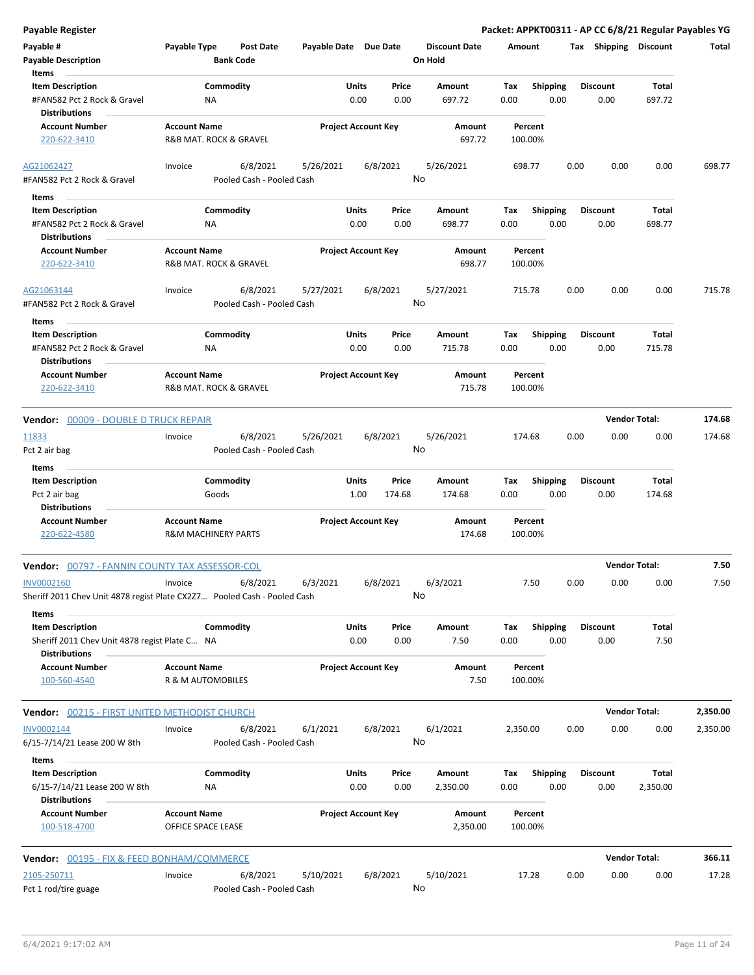| <b>Payable Register</b>                                                           |                                                                                                 |                            |                 |                                 | Packet: APPKT00311 - AP CC 6/8/21 Regular Payables YG |                         |                      |          |
|-----------------------------------------------------------------------------------|-------------------------------------------------------------------------------------------------|----------------------------|-----------------|---------------------------------|-------------------------------------------------------|-------------------------|----------------------|----------|
| Payable #<br><b>Payable Description</b><br>Items                                  | Payable Type<br><b>Post Date</b><br><b>Bank Code</b>                                            | Payable Date Due Date      |                 | <b>Discount Date</b><br>On Hold | Amount                                                | Tax Shipping Discount   |                      | Total    |
| <b>Item Description</b><br>#FAN582 Pct 2 Rock & Gravel                            | Commodity<br>ΝA                                                                                 | Units<br>0.00              | Price<br>0.00   | Amount<br>697.72                | Shipping<br>Tax<br>0.00<br>0.00                       | <b>Discount</b><br>0.00 | Total<br>697.72      |          |
| <b>Distributions</b><br><b>Account Number</b><br>220-622-3410                     | <b>Account Name</b><br>R&B MAT. ROCK & GRAVEL                                                   | <b>Project Account Key</b> |                 | Amount<br>697.72                | Percent<br>100.00%                                    |                         |                      |          |
| AG21062427<br>#FAN582 Pct 2 Rock & Gravel                                         | 6/8/2021<br>Invoice<br>Pooled Cash - Pooled Cash                                                | 5/26/2021                  | 6/8/2021<br>No  | 5/26/2021                       | 698.77                                                | 0.00<br>0.00            | 0.00                 | 698.77   |
| Items                                                                             |                                                                                                 |                            |                 |                                 |                                                       |                         |                      |          |
| <b>Item Description</b><br>#FAN582 Pct 2 Rock & Gravel<br><b>Distributions</b>    | Commodity<br>ΝA                                                                                 | Units<br>0.00              | Price<br>0.00   | Amount<br>698.77                | <b>Shipping</b><br>Tax<br>0.00<br>0.00                | <b>Discount</b><br>0.00 | Total<br>698.77      |          |
| <b>Account Number</b><br>220-622-3410                                             | <b>Account Name</b><br>R&B MAT. ROCK & GRAVEL                                                   | <b>Project Account Key</b> |                 | Amount<br>698.77                | Percent<br>100.00%                                    |                         |                      |          |
| AG21063144<br>#FAN582 Pct 2 Rock & Gravel                                         | 6/8/2021<br>Invoice<br>Pooled Cash - Pooled Cash                                                | 5/27/2021                  | 6/8/2021<br>No  | 5/27/2021                       | 715.78                                                | 0.00<br>0.00            | 0.00                 | 715.78   |
| Items                                                                             |                                                                                                 |                            |                 |                                 |                                                       |                         |                      |          |
| <b>Item Description</b><br>#FAN582 Pct 2 Rock & Gravel<br><b>Distributions</b>    | Commodity<br>NA                                                                                 | Units<br>0.00              | Price<br>0.00   | Amount<br>715.78                | Tax<br><b>Shipping</b><br>0.00<br>0.00                | <b>Discount</b><br>0.00 | Total<br>715.78      |          |
| <b>Account Number</b><br>220-622-3410                                             | <b>Account Name</b><br>R&B MAT. ROCK & GRAVEL                                                   | <b>Project Account Key</b> |                 | Amount<br>715.78                | Percent<br>100.00%                                    |                         |                      |          |
| Vendor: 00009 - DOUBLE D TRUCK REPAIR                                             |                                                                                                 |                            |                 |                                 |                                                       |                         | <b>Vendor Total:</b> | 174.68   |
| 11833<br>Pct 2 air bag                                                            | 6/8/2021<br>Invoice<br>Pooled Cash - Pooled Cash                                                | 5/26/2021                  | 6/8/2021<br>No  | 5/26/2021                       | 174.68                                                | 0.00<br>0.00            | 0.00                 | 174.68   |
| Items<br><b>Item Description</b><br>Pct 2 air bag                                 | Commodity<br>Goods                                                                              | Units<br>1.00              | Price<br>174.68 | Amount<br>174.68                | <b>Shipping</b><br>Tax<br>0.00<br>0.00                | <b>Discount</b><br>0.00 | Total<br>174.68      |          |
| <b>Distributions</b><br><b>Account Number</b><br>220-622-4580                     | <b>Account Name</b><br><b>R&amp;M MACHINERY PARTS</b>                                           | <b>Project Account Key</b> |                 | Amount<br>174.68                | Percent<br>100.00%                                    |                         |                      |          |
| Vendor: 00797 - FANNIN COUNTY TAX ASSESSOR-COL                                    |                                                                                                 |                            |                 |                                 |                                                       | <b>Vendor Total:</b>    |                      | 7.50     |
| INV0002160                                                                        | 6/8/2021<br>Invoice<br>Sheriff 2011 Chev Unit 4878 regist Plate CX2Z7 Pooled Cash - Pooled Cash | 6/3/2021                   | 6/8/2021<br>No  | 6/3/2021                        | 7.50                                                  | 0.00<br>0.00            | 0.00                 | 7.50     |
| Items<br><b>Item Description</b><br>Sheriff 2011 Chev Unit 4878 regist Plate C NA | Commodity                                                                                       | Units<br>0.00              | Price<br>0.00   | Amount<br>7.50                  | <b>Shipping</b><br>Tax<br>0.00<br>0.00                | <b>Discount</b><br>0.00 | Total<br>7.50        |          |
| <b>Distributions</b><br><b>Account Number</b><br>100-560-4540                     | <b>Account Name</b><br>R & M AUTOMOBILES                                                        | <b>Project Account Key</b> |                 | Amount<br>7.50                  | Percent<br>100.00%                                    |                         |                      |          |
| <b>Vendor: 00215 - FIRST UNITED METHODIST CHURCH</b>                              |                                                                                                 |                            |                 |                                 |                                                       |                         | <b>Vendor Total:</b> | 2,350.00 |
| INV0002144<br>6/15-7/14/21 Lease 200 W 8th                                        | 6/8/2021<br>Invoice<br>Pooled Cash - Pooled Cash                                                | 6/1/2021                   | 6/8/2021<br>No  | 6/1/2021                        | 2,350.00                                              | 0.00<br>0.00            | 0.00                 | 2,350.00 |
| Items<br><b>Item Description</b><br>6/15-7/14/21 Lease 200 W 8th                  | Commodity<br>ΝA                                                                                 | <b>Units</b><br>0.00       | Price<br>0.00   | Amount<br>2,350.00              | Tax<br><b>Shipping</b><br>0.00<br>0.00                | <b>Discount</b><br>0.00 | Total<br>2,350.00    |          |
| <b>Distributions</b><br><b>Account Number</b><br>100-518-4700                     | <b>Account Name</b><br>OFFICE SPACE LEASE                                                       | <b>Project Account Key</b> |                 | Amount<br>2,350.00              | Percent<br>100.00%                                    |                         |                      |          |
| <b>Vendor: 00195 - FIX &amp; FEED BONHAM/COMMERCE</b>                             |                                                                                                 |                            |                 |                                 |                                                       |                         | <b>Vendor Total:</b> | 366.11   |
| 2105-250711<br>Pct 1 rod/tire guage                                               | 6/8/2021<br>Invoice<br>Pooled Cash - Pooled Cash                                                | 5/10/2021                  | 6/8/2021<br>No  | 5/10/2021                       | 17.28                                                 | 0.00<br>0.00            | 0.00                 | 17.28    |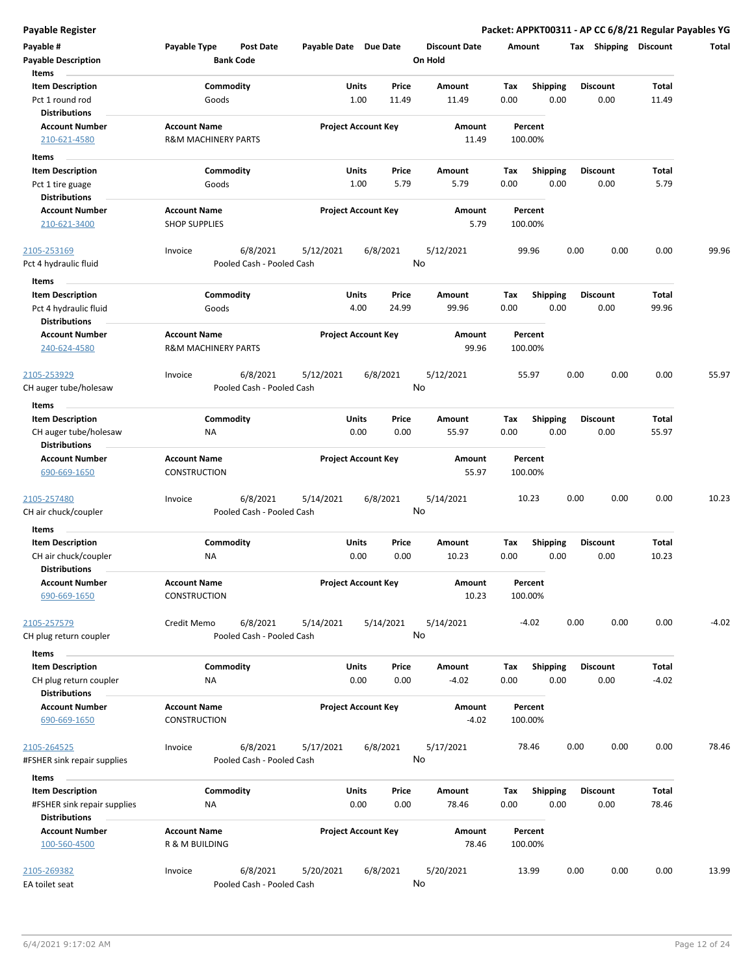| Payable #<br><b>Payable Description</b>        | Payable Type<br><b>Bank Code</b>            | <b>Post Date</b>          | Payable Date Due Date      |       | <b>Discount Date</b><br>On Hold | Amount             |                 | <b>Shipping</b><br>Tax | <b>Discount</b> | <b>Total</b> |
|------------------------------------------------|---------------------------------------------|---------------------------|----------------------------|-------|---------------------------------|--------------------|-----------------|------------------------|-----------------|--------------|
| Items                                          |                                             |                           |                            |       |                                 |                    |                 |                        |                 |              |
| <b>Item Description</b>                        | Commodity                                   |                           | Units                      | Price | Amount                          | Tax                | <b>Shipping</b> | <b>Discount</b>        | Total           |              |
| Pct 1 round rod                                | Goods                                       |                           | 1.00                       | 11.49 | 11.49                           | 0.00               | 0.00            | 0.00                   | 11.49           |              |
| <b>Distributions</b>                           |                                             |                           |                            |       |                                 |                    |                 |                        |                 |              |
| <b>Account Number</b>                          | <b>Account Name</b>                         |                           | <b>Project Account Key</b> |       | Amount                          | Percent            |                 |                        |                 |              |
| 210-621-4580                                   | <b>R&amp;M MACHINERY PARTS</b>              |                           |                            |       | 11.49                           | 100.00%            |                 |                        |                 |              |
| Items                                          |                                             |                           |                            |       |                                 |                    |                 |                        |                 |              |
| <b>Item Description</b>                        | Commodity                                   |                           | Units                      | Price | Amount                          | Tax                | <b>Shipping</b> | <b>Discount</b>        | Total           |              |
| Pct 1 tire guage<br><b>Distributions</b>       | Goods                                       |                           | 1.00                       | 5.79  | 5.79                            | 0.00               | 0.00            | 0.00                   | 5.79            |              |
| <b>Account Number</b><br>210-621-3400          | <b>Account Name</b><br><b>SHOP SUPPLIES</b> |                           | <b>Project Account Key</b> |       | Amount<br>5.79                  | Percent<br>100.00% |                 |                        |                 |              |
|                                                |                                             |                           |                            |       |                                 |                    |                 |                        |                 |              |
| 2105-253169                                    | Invoice                                     | 6/8/2021<br>5/12/2021     | 6/8/2021                   |       | 5/12/2021                       | 99.96              |                 | 0.00<br>0.00           | 0.00            | 99.96        |
| Pct 4 hydraulic fluid                          |                                             | Pooled Cash - Pooled Cash |                            |       | No                              |                    |                 |                        |                 |              |
| Items                                          |                                             |                           |                            |       |                                 |                    |                 |                        |                 |              |
| <b>Item Description</b>                        | Commodity                                   |                           | Units                      | Price | Amount                          | Tax                | <b>Shipping</b> | <b>Discount</b>        | Total           |              |
| Pct 4 hydraulic fluid                          | Goods                                       |                           | 4.00                       | 24.99 | 99.96                           | 0.00               | 0.00            | 0.00                   | 99.96           |              |
| <b>Distributions</b>                           |                                             |                           |                            |       |                                 |                    |                 |                        |                 |              |
| <b>Account Number</b>                          | <b>Account Name</b>                         |                           | <b>Project Account Key</b> |       | Amount                          | Percent            |                 |                        |                 |              |
| 240-624-4580                                   | <b>R&amp;M MACHINERY PARTS</b>              |                           |                            |       | 99.96                           | 100.00%            |                 |                        |                 |              |
| 2105-253929                                    | Invoice                                     | 6/8/2021<br>5/12/2021     | 6/8/2021                   |       | 5/12/2021                       | 55.97              |                 | 0.00<br>0.00           | 0.00            | 55.97        |
| CH auger tube/holesaw                          |                                             | Pooled Cash - Pooled Cash |                            |       | No                              |                    |                 |                        |                 |              |
| Items                                          |                                             |                           |                            |       |                                 |                    |                 |                        |                 |              |
| <b>Item Description</b>                        | Commodity                                   |                           | Units                      | Price | Amount                          | Tax                | <b>Shipping</b> | <b>Discount</b>        | Total           |              |
| CH auger tube/holesaw<br><b>Distributions</b>  | ΝA                                          |                           | 0.00                       | 0.00  | 55.97                           | 0.00               | 0.00            | 0.00                   | 55.97           |              |
| <b>Account Number</b>                          | <b>Account Name</b>                         |                           | <b>Project Account Key</b> |       | Amount                          | Percent            |                 |                        |                 |              |
| 690-669-1650                                   | <b>CONSTRUCTION</b>                         |                           |                            |       | 55.97                           | 100.00%            |                 |                        |                 |              |
| 2105-257480                                    | Invoice                                     | 6/8/2021<br>5/14/2021     | 6/8/2021                   |       | 5/14/2021                       | 10.23              |                 | 0.00<br>0.00           | 0.00            | 10.23        |
| CH air chuck/coupler                           |                                             | Pooled Cash - Pooled Cash |                            |       | No                              |                    |                 |                        |                 |              |
| Items                                          |                                             |                           |                            |       |                                 |                    |                 |                        |                 |              |
|                                                |                                             |                           | Units                      |       | Amount                          |                    |                 |                        |                 |              |
| <b>Item Description</b>                        | Commodity                                   |                           |                            | Price |                                 | Tax                | <b>Shipping</b> | <b>Discount</b>        | Total           |              |
| CH air chuck/coupler<br><b>Distributions</b>   | <b>NA</b>                                   |                           | 0.00                       | 0.00  | 10.23                           | 0.00               | 0.00            | 0.00                   | 10.23           |              |
| <b>Account Number</b>                          | <b>Account Name</b>                         |                           | <b>Project Account Key</b> |       | Amount                          | Percent            |                 |                        |                 |              |
| 690-669-1650                                   | <b>CONSTRUCTION</b>                         |                           |                            |       | 10.23                           | 100.00%            |                 |                        |                 |              |
| 2105-257579                                    | Credit Memo                                 | 6/8/2021<br>5/14/2021     | 5/14/2021                  |       | 5/14/2021                       | $-4.02$            |                 | 0.00<br>0.00           | 0.00            | $-4.02$      |
| CH plug return coupler                         |                                             | Pooled Cash - Pooled Cash |                            |       | No                              |                    |                 |                        |                 |              |
| Items                                          |                                             |                           |                            |       |                                 |                    |                 |                        |                 |              |
| <b>Item Description</b>                        | Commodity                                   |                           | Units                      | Price | Amount                          | Tax                | Shipping        | <b>Discount</b>        | Total           |              |
| CH plug return coupler<br><b>Distributions</b> | ΝA                                          |                           | 0.00                       | 0.00  | $-4.02$                         | 0.00               | 0.00            | 0.00                   | $-4.02$         |              |
| <b>Account Number</b>                          | <b>Account Name</b>                         |                           | <b>Project Account Key</b> |       | Amount                          | Percent            |                 |                        |                 |              |
| 690-669-1650                                   | CONSTRUCTION                                |                           |                            |       | $-4.02$                         | 100.00%            |                 |                        |                 |              |
| 2105-264525                                    | Invoice                                     | 6/8/2021<br>5/17/2021     | 6/8/2021                   |       | 5/17/2021                       | 78.46              |                 | 0.00<br>0.00           | 0.00            | 78.46        |
| #FSHER sink repair supplies                    |                                             | Pooled Cash - Pooled Cash |                            |       | No                              |                    |                 |                        |                 |              |
| Items                                          |                                             |                           |                            |       |                                 |                    |                 |                        |                 |              |
| <b>Item Description</b>                        | Commodity                                   |                           | Units                      | Price | Amount                          | Tax                | <b>Shipping</b> | <b>Discount</b>        | Total           |              |
| #FSHER sink repair supplies                    | <b>NA</b>                                   |                           | 0.00                       | 0.00  | 78.46                           | 0.00               | 0.00            | 0.00                   | 78.46           |              |
| <b>Distributions</b>                           |                                             |                           |                            |       |                                 |                    |                 |                        |                 |              |
| <b>Account Number</b>                          | <b>Account Name</b>                         |                           | <b>Project Account Key</b> |       | Amount                          | Percent            |                 |                        |                 |              |
| 100-560-4500                                   | R & M BUILDING                              |                           |                            |       | 78.46                           | 100.00%            |                 |                        |                 |              |
| 2105-269382                                    | Invoice                                     | 6/8/2021<br>5/20/2021     | 6/8/2021                   |       | 5/20/2021                       | 13.99              |                 | 0.00<br>0.00           | 0.00            | 13.99        |
| EA toilet seat                                 |                                             | Pooled Cash - Pooled Cash |                            |       | No                              |                    |                 |                        |                 |              |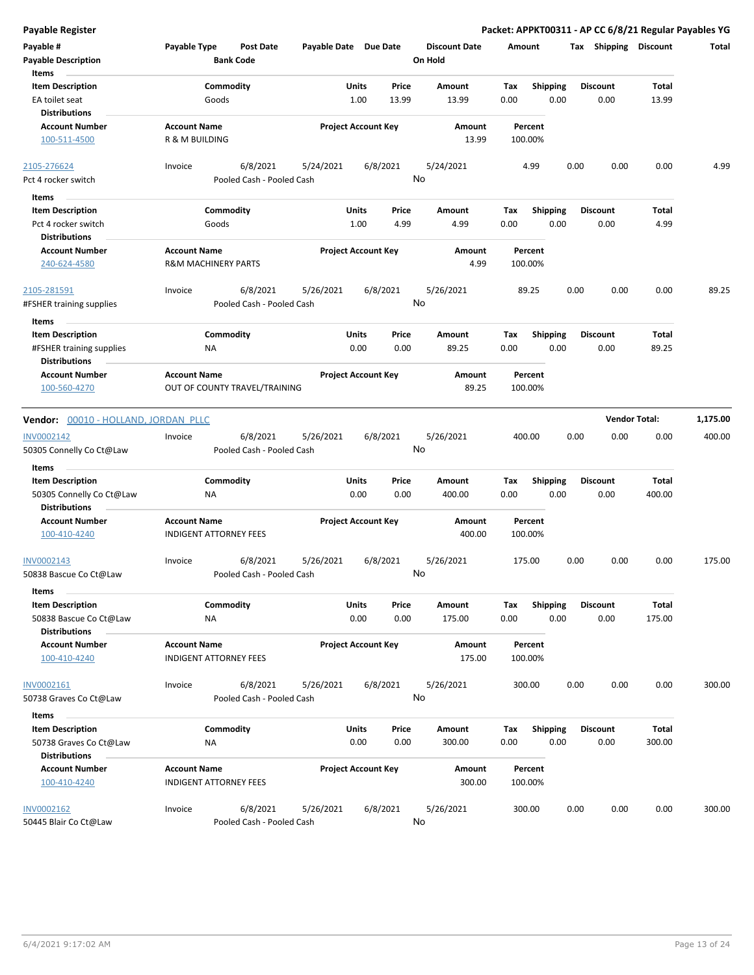| Payable #<br><b>Payable Description</b><br>Items                                     | Payable Type                                          | <b>Post Date</b><br><b>Bank Code</b>  | Payable Date Due Date |                            |                | <b>Discount Date</b><br>On Hold | Amount             |                         | Tax  | Shipping                | Discount             | Total    |
|--------------------------------------------------------------------------------------|-------------------------------------------------------|---------------------------------------|-----------------------|----------------------------|----------------|---------------------------------|--------------------|-------------------------|------|-------------------------|----------------------|----------|
| <b>Item Description</b><br><b>EA toilet seat</b><br><b>Distributions</b>             |                                                       | Commodity<br>Goods                    |                       | Units<br>1.00              | Price<br>13.99 | Amount<br>13.99                 | Tax<br>0.00        | <b>Shipping</b><br>0.00 |      | <b>Discount</b><br>0.00 | Total<br>13.99       |          |
| <b>Account Number</b><br>100-511-4500                                                | <b>Account Name</b><br>R & M BUILDING                 |                                       |                       | <b>Project Account Key</b> |                | Amount<br>13.99                 | Percent<br>100.00% |                         |      |                         |                      |          |
| 2105-276624                                                                          | Invoice                                               | 6/8/2021                              | 5/24/2021             |                            | 6/8/2021       | 5/24/2021                       |                    | 4.99                    | 0.00 | 0.00                    | 0.00                 | 4.99     |
| Pct 4 rocker switch                                                                  |                                                       | Pooled Cash - Pooled Cash             |                       |                            |                | No                              |                    |                         |      |                         |                      |          |
| Items                                                                                |                                                       |                                       |                       |                            |                |                                 |                    |                         |      |                         |                      |          |
| <b>Item Description</b>                                                              |                                                       | Commodity                             |                       | Units                      | Price          | Amount                          | Tax                | Shipping                |      | <b>Discount</b>         | Total                |          |
| Pct 4 rocker switch                                                                  |                                                       | Goods                                 |                       | 1.00                       | 4.99           | 4.99                            | 0.00               | 0.00                    |      | 0.00                    | 4.99                 |          |
| <b>Distributions</b>                                                                 |                                                       |                                       |                       |                            |                |                                 |                    |                         |      |                         |                      |          |
| <b>Account Number</b><br>240-624-4580                                                | <b>Account Name</b><br><b>R&amp;M MACHINERY PARTS</b> |                                       |                       | <b>Project Account Key</b> |                | Amount<br>4.99                  | Percent<br>100.00% |                         |      |                         |                      |          |
| 2105-281591<br>#FSHER training supplies                                              | Invoice                                               | 6/8/2021<br>Pooled Cash - Pooled Cash | 5/26/2021             |                            | 6/8/2021       | 5/26/2021<br>No                 | 89.25              |                         | 0.00 | 0.00                    | 0.00                 | 89.25    |
|                                                                                      |                                                       |                                       |                       |                            |                |                                 |                    |                         |      |                         |                      |          |
| Items<br><b>Item Description</b><br>#FSHER training supplies<br><b>Distributions</b> | ΝA                                                    | Commodity                             |                       | Units<br>0.00              | Price<br>0.00  | Amount<br>89.25                 | Tax<br>0.00        | <b>Shipping</b><br>0.00 |      | <b>Discount</b><br>0.00 | Total<br>89.25       |          |
| <b>Account Number</b><br>100-560-4270                                                | <b>Account Name</b>                                   | OUT OF COUNTY TRAVEL/TRAINING         |                       | <b>Project Account Key</b> |                | Amount<br>89.25                 | Percent<br>100.00% |                         |      |                         |                      |          |
|                                                                                      |                                                       |                                       |                       |                            |                |                                 |                    |                         |      |                         | <b>Vendor Total:</b> | 1,175.00 |
| Vendor: 00010 - HOLLAND, JORDAN PLLC                                                 |                                                       |                                       |                       |                            |                |                                 |                    |                         |      |                         |                      |          |
| INV0002142                                                                           | Invoice                                               | 6/8/2021                              | 5/26/2021             |                            | 6/8/2021       | 5/26/2021<br>No                 | 400.00             |                         | 0.00 | 0.00                    | 0.00                 | 400.00   |
| 50305 Connelly Co Ct@Law                                                             |                                                       | Pooled Cash - Pooled Cash             |                       |                            |                |                                 |                    |                         |      |                         |                      |          |
| Items                                                                                |                                                       |                                       |                       |                            |                |                                 |                    |                         |      |                         |                      |          |
| <b>Item Description</b>                                                              |                                                       | Commodity                             |                       | Units<br>0.00              | Price<br>0.00  | Amount<br>400.00                | Tax                | <b>Shipping</b><br>0.00 |      | <b>Discount</b>         | Total<br>400.00      |          |
| 50305 Connelly Co Ct@Law<br><b>Distributions</b>                                     | ΝA                                                    |                                       |                       |                            |                |                                 | 0.00               |                         |      | 0.00                    |                      |          |
| <b>Account Number</b>                                                                | <b>Account Name</b>                                   |                                       |                       | <b>Project Account Key</b> |                | Amount                          | Percent            |                         |      |                         |                      |          |
| 100-410-4240                                                                         |                                                       | <b>INDIGENT ATTORNEY FEES</b>         |                       |                            |                | 400.00                          | 100.00%            |                         |      |                         |                      |          |
| INV0002143<br>50838 Bascue Co Ct@Law                                                 | Invoice                                               | 6/8/2021<br>Pooled Cash - Pooled Cash | 5/26/2021             |                            | 6/8/2021       | 5/26/2021<br>No                 | 175.00             |                         | 0.00 | 0.00                    | 0.00                 | 175.00   |
| Items                                                                                |                                                       |                                       |                       |                            |                |                                 |                    |                         |      |                         |                      |          |
| <b>Item Description</b><br>50838 Bascue Co Ct@Law                                    | NA                                                    | Commodity                             |                       | <b>Units</b><br>0.00       | Price<br>0.00  | Amount<br>175.00                | Тах<br>0.00        | Shipping<br>0.00        |      | <b>Discount</b><br>0.00 | Total<br>175.00      |          |
| <b>Distributions</b>                                                                 |                                                       |                                       |                       |                            |                |                                 |                    |                         |      |                         |                      |          |
| <b>Account Number</b>                                                                | <b>Account Name</b>                                   |                                       |                       | <b>Project Account Key</b> |                | Amount                          | Percent            |                         |      |                         |                      |          |
| 100-410-4240                                                                         |                                                       | <b>INDIGENT ATTORNEY FEES</b>         |                       |                            |                | 175.00                          | 100.00%            |                         |      |                         |                      |          |
| INV0002161<br>50738 Graves Co Ct@Law                                                 | Invoice                                               | 6/8/2021<br>Pooled Cash - Pooled Cash | 5/26/2021             |                            | 6/8/2021       | 5/26/2021<br>No                 | 300.00             |                         | 0.00 | 0.00                    | 0.00                 | 300.00   |
|                                                                                      |                                                       |                                       |                       |                            |                |                                 |                    |                         |      |                         |                      |          |
| Items<br><b>Item Description</b>                                                     |                                                       | Commodity                             |                       | Units                      | Price          | Amount                          | Tax                | <b>Shipping</b>         |      | <b>Discount</b>         | Total                |          |
| 50738 Graves Co Ct@Law                                                               | NA                                                    |                                       |                       | 0.00                       | 0.00           | 300.00                          | 0.00               | 0.00                    |      | 0.00                    | 300.00               |          |
| <b>Distributions</b>                                                                 |                                                       |                                       |                       |                            |                |                                 |                    |                         |      |                         |                      |          |
| <b>Account Number</b>                                                                | <b>Account Name</b>                                   |                                       |                       | <b>Project Account Key</b> |                | Amount                          | Percent            |                         |      |                         |                      |          |
| 100-410-4240                                                                         |                                                       | <b>INDIGENT ATTORNEY FEES</b>         |                       |                            |                | 300.00                          | 100.00%            |                         |      |                         |                      |          |
| INV0002162<br>50445 Blair Co Ct@Law                                                  | Invoice                                               | 6/8/2021<br>Pooled Cash - Pooled Cash | 5/26/2021             |                            | 6/8/2021       | 5/26/2021<br>No                 | 300.00             |                         | 0.00 | 0.00                    | 0.00                 | 300.00   |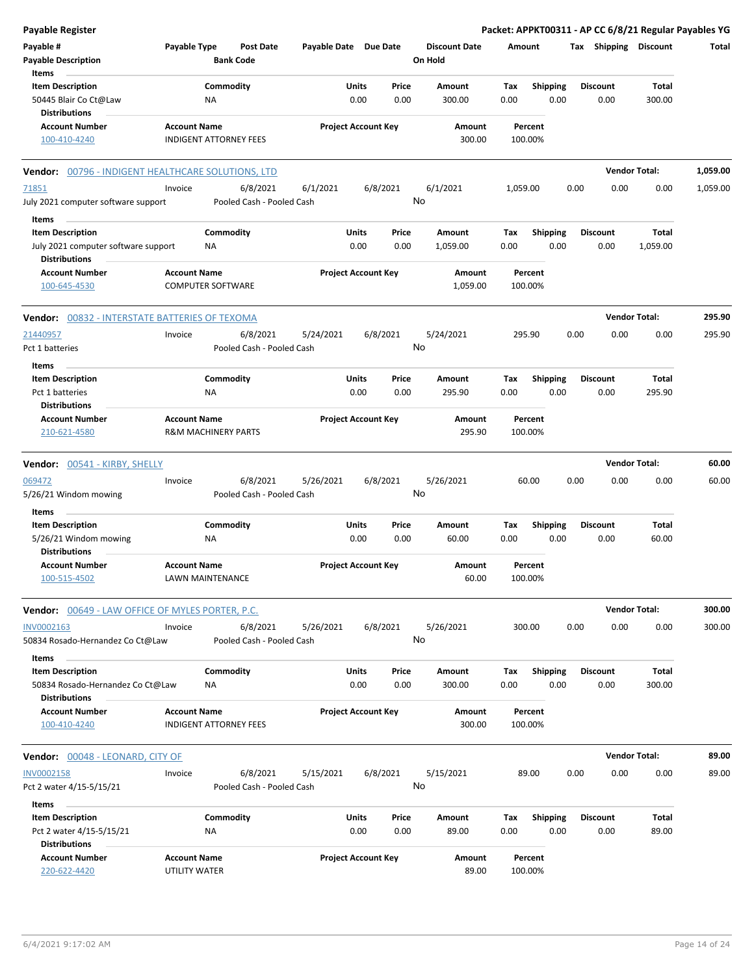| <b>Payable Register</b>                                     |                                      |                                       |                       |                            |                |                      |          |                    |      |                 | Packet: APPKT00311 - AP CC 6/8/21 Regular Payables YG |          |
|-------------------------------------------------------------|--------------------------------------|---------------------------------------|-----------------------|----------------------------|----------------|----------------------|----------|--------------------|------|-----------------|-------------------------------------------------------|----------|
| Payable #<br><b>Payable Description</b>                     | Payable Type                         | <b>Post Date</b><br><b>Bank Code</b>  | Payable Date Due Date |                            | On Hold        | <b>Discount Date</b> | Amount   |                    |      |                 | Tax Shipping Discount                                 | Total    |
| Items                                                       |                                      |                                       |                       |                            |                |                      |          |                    |      |                 |                                                       |          |
| <b>Item Description</b>                                     |                                      | Commodity                             |                       | Units<br>Price             |                | Amount               | Tax      | <b>Shipping</b>    |      | <b>Discount</b> | Total                                                 |          |
| 50445 Blair Co Ct@Law<br><b>Distributions</b>               |                                      | NA                                    |                       | 0.00<br>0.00               |                | 300.00               | 0.00     | 0.00               |      | 0.00            | 300.00                                                |          |
| <b>Account Number</b>                                       | <b>Account Name</b>                  |                                       |                       | <b>Project Account Key</b> |                | Amount               |          | Percent            |      |                 |                                                       |          |
| 100-410-4240                                                |                                      | <b>INDIGENT ATTORNEY FEES</b>         |                       |                            |                | 300.00               |          | 100.00%            |      |                 |                                                       |          |
| Vendor: 00796 - INDIGENT HEALTHCARE SOLUTIONS, LTD          |                                      |                                       |                       |                            |                |                      |          |                    |      |                 | <b>Vendor Total:</b>                                  | 1,059.00 |
| 71851<br>July 2021 computer software support                | Invoice                              | 6/8/2021<br>Pooled Cash - Pooled Cash | 6/1/2021              | 6/8/2021                   | 6/1/2021<br>No |                      | 1,059.00 |                    | 0.00 | 0.00            | 0.00                                                  | 1,059.00 |
| Items                                                       |                                      |                                       |                       |                            |                |                      |          |                    |      |                 |                                                       |          |
| <b>Item Description</b>                                     |                                      | Commodity                             |                       | Units<br>Price             |                | Amount               | Тах      | <b>Shipping</b>    |      | <b>Discount</b> | Total                                                 |          |
| July 2021 computer software support<br><b>Distributions</b> |                                      | ΝA                                    |                       | 0.00<br>0.00               |                | 1,059.00             | 0.00     | 0.00               |      | 0.00            | 1,059.00                                              |          |
| <b>Account Number</b>                                       | <b>Account Name</b>                  |                                       |                       | <b>Project Account Key</b> |                | Amount               |          | Percent            |      |                 |                                                       |          |
| 100-645-4530                                                |                                      | <b>COMPUTER SOFTWARE</b>              |                       |                            |                | 1,059.00             |          | 100.00%            |      |                 |                                                       |          |
| Vendor: 00832 - INTERSTATE BATTERIES OF TEXOMA              |                                      |                                       |                       |                            |                |                      |          |                    |      |                 | <b>Vendor Total:</b>                                  | 295.90   |
| 21440957                                                    | Invoice                              | 6/8/2021                              | 5/24/2021             | 6/8/2021                   |                | 5/24/2021            |          | 295.90             | 0.00 | 0.00            | 0.00                                                  | 295.90   |
| Pct 1 batteries                                             |                                      | Pooled Cash - Pooled Cash             |                       |                            | No             |                      |          |                    |      |                 |                                                       |          |
| Items                                                       |                                      |                                       |                       |                            |                |                      |          |                    |      |                 |                                                       |          |
| <b>Item Description</b>                                     |                                      | Commodity                             |                       | Units<br>Price             |                | Amount               | Tax      | <b>Shipping</b>    |      | <b>Discount</b> | Total                                                 |          |
| Pct 1 batteries                                             |                                      | ΝA                                    |                       | 0.00<br>0.00               |                | 295.90               | 0.00     | 0.00               |      | 0.00            | 295.90                                                |          |
| <b>Distributions</b>                                        |                                      |                                       |                       |                            |                |                      |          |                    |      |                 |                                                       |          |
| <b>Account Number</b><br>210-621-4580                       | <b>Account Name</b>                  | <b>R&amp;M MACHINERY PARTS</b>        |                       | <b>Project Account Key</b> |                | Amount<br>295.90     |          | Percent<br>100.00% |      |                 |                                                       |          |
| Vendor: 00541 - KIRBY, SHELLY                               |                                      |                                       |                       |                            |                |                      |          |                    |      |                 | <b>Vendor Total:</b>                                  | 60.00    |
| 069472                                                      | Invoice                              | 6/8/2021                              | 5/26/2021             | 6/8/2021                   |                | 5/26/2021            |          | 60.00              | 0.00 | 0.00            | 0.00                                                  | 60.00    |
| 5/26/21 Windom mowing                                       |                                      | Pooled Cash - Pooled Cash             |                       |                            | No             |                      |          |                    |      |                 |                                                       |          |
| Items                                                       |                                      |                                       |                       |                            |                |                      |          |                    |      |                 |                                                       |          |
| <b>Item Description</b>                                     |                                      | Commodity                             |                       | Units<br>Price             |                | Amount               | Tax      | Shipping           |      | <b>Discount</b> | Total                                                 |          |
| 5/26/21 Windom mowing<br><b>Distributions</b>               |                                      | ΝA                                    |                       | 0.00<br>0.00               |                | 60.00                | 0.00     | 0.00               |      | 0.00            | 60.00                                                 |          |
| Account Number<br>100-515-4502                              | <b>Account Name</b>                  | LAWN MAINTENANCE                      |                       | <b>Project Account Key</b> |                | Amount<br>60.00      |          | Percent<br>100.00% |      |                 |                                                       |          |
|                                                             |                                      |                                       |                       |                            |                |                      |          |                    |      |                 |                                                       |          |
| <b>Vendor: 00649 - LAW OFFICE OF MYLES PORTER, P.C.</b>     |                                      |                                       |                       |                            |                |                      |          |                    |      |                 | <b>Vendor Total:</b>                                  | 300.00   |
| INV0002163<br>50834 Rosado-Hernandez Co Ct@Law              | Invoice                              | 6/8/2021<br>Pooled Cash - Pooled Cash | 5/26/2021             | 6/8/2021                   | No             | 5/26/2021            |          | 300.00             | 0.00 | 0.00            | 0.00                                                  | 300.00   |
| Items                                                       |                                      |                                       |                       |                            |                |                      |          |                    |      |                 |                                                       |          |
| <b>Item Description</b>                                     |                                      | Commodity                             |                       | Units<br>Price             |                | Amount               | Tax      | <b>Shipping</b>    |      | <b>Discount</b> | Total                                                 |          |
| 50834 Rosado-Hernandez Co Ct@Law<br><b>Distributions</b>    |                                      | ΝA                                    |                       | 0.00<br>0.00               |                | 300.00               | 0.00     | 0.00               |      | 0.00            | 300.00                                                |          |
| <b>Account Number</b>                                       | <b>Account Name</b>                  |                                       |                       | <b>Project Account Key</b> |                | Amount               |          | Percent            |      |                 |                                                       |          |
| 100-410-4240                                                |                                      | <b>INDIGENT ATTORNEY FEES</b>         |                       |                            |                | 300.00               |          | 100.00%            |      |                 |                                                       |          |
| Vendor: 00048 - LEONARD, CITY OF                            |                                      |                                       |                       |                            |                |                      |          |                    |      |                 | <b>Vendor Total:</b>                                  | 89.00    |
| <b>INV0002158</b>                                           | Invoice                              | 6/8/2021                              | 5/15/2021             | 6/8/2021                   |                | 5/15/2021            |          | 89.00              | 0.00 | 0.00            | 0.00                                                  | 89.00    |
| Pct 2 water 4/15-5/15/21                                    |                                      | Pooled Cash - Pooled Cash             |                       |                            | No             |                      |          |                    |      |                 |                                                       |          |
| Items                                                       |                                      |                                       |                       |                            |                |                      |          |                    |      |                 |                                                       |          |
| <b>Item Description</b>                                     |                                      | Commodity                             |                       | Units<br>Price             |                | Amount               | Tax      | <b>Shipping</b>    |      | <b>Discount</b> | Total                                                 |          |
| Pct 2 water 4/15-5/15/21<br><b>Distributions</b>            |                                      | NA                                    |                       | 0.00<br>0.00               |                | 89.00                | 0.00     | 0.00               |      | 0.00            | 89.00                                                 |          |
| <b>Account Number</b><br>220-622-4420                       | <b>Account Name</b><br>UTILITY WATER |                                       |                       | <b>Project Account Key</b> |                | Amount<br>89.00      |          | Percent<br>100.00% |      |                 |                                                       |          |
|                                                             |                                      |                                       |                       |                            |                |                      |          |                    |      |                 |                                                       |          |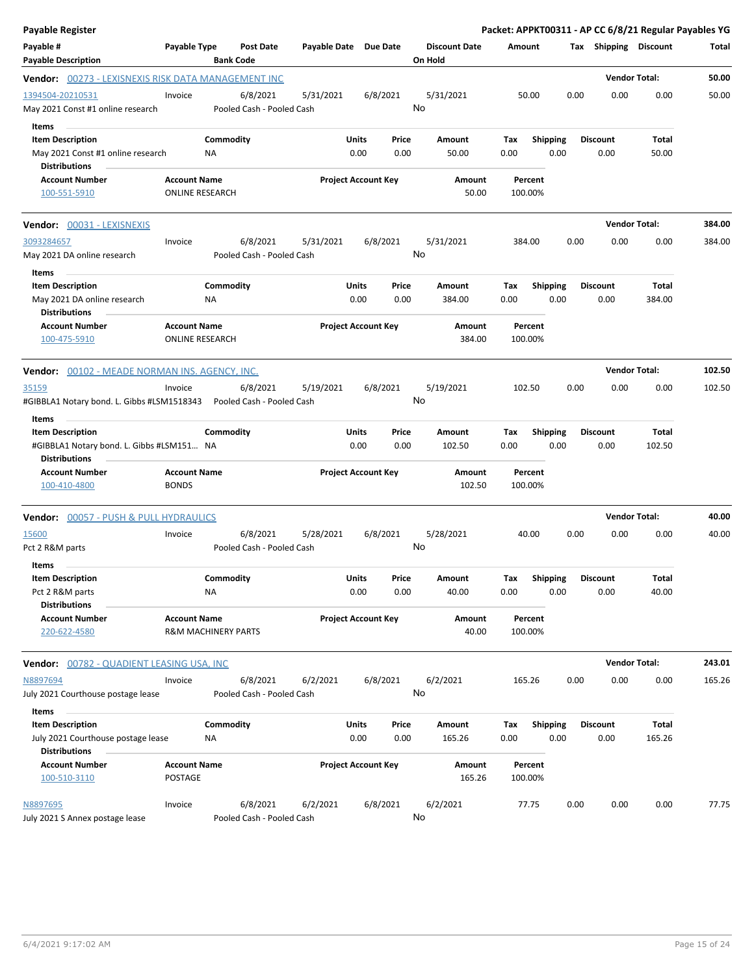| <b>Payable Register</b>                                                                      |                                               |                                       |                       |                                |                                 | Packet: APPKT00311 - AP CC 6/8/21 Regular Payables YG |                         |                         |                        |        |
|----------------------------------------------------------------------------------------------|-----------------------------------------------|---------------------------------------|-----------------------|--------------------------------|---------------------------------|-------------------------------------------------------|-------------------------|-------------------------|------------------------|--------|
| Payable #<br><b>Payable Description</b>                                                      | Payable Type                                  | <b>Post Date</b><br><b>Bank Code</b>  | Payable Date Due Date |                                | <b>Discount Date</b><br>On Hold | Amount                                                |                         | Tax Shipping Discount   |                        | Total  |
| Vendor: 00273 - LEXISNEXIS RISK DATA MANAGEMENT INC                                          |                                               |                                       |                       |                                |                                 |                                                       |                         |                         | <b>Vendor Total:</b>   | 50.00  |
| 1394504-20210531<br>May 2021 Const #1 online research                                        | Invoice                                       | 6/8/2021<br>Pooled Cash - Pooled Cash | 5/31/2021             | 6/8/2021                       | 5/31/2021<br>No                 | 50.00                                                 | 0.00                    | 0.00                    | 0.00                   | 50.00  |
| Items                                                                                        |                                               |                                       |                       |                                |                                 |                                                       |                         |                         |                        |        |
| <b>Item Description</b><br>May 2021 Const #1 online research<br><b>Distributions</b>         | NA                                            | Commodity                             |                       | Units<br>Price<br>0.00<br>0.00 | Amount<br>50.00                 | Тах<br>0.00                                           | Shipping<br>0.00        | <b>Discount</b><br>0.00 | Total<br>50.00         |        |
| <b>Account Number</b><br>100-551-5910                                                        | <b>Account Name</b><br><b>ONLINE RESEARCH</b> |                                       |                       | <b>Project Account Key</b>     | Amount<br>50.00                 | Percent<br>100.00%                                    |                         |                         |                        |        |
| Vendor: 00031 - LEXISNEXIS                                                                   |                                               |                                       |                       |                                |                                 |                                                       |                         |                         | <b>Vendor Total:</b>   | 384.00 |
| 3093284657<br>May 2021 DA online research                                                    | Invoice                                       | 6/8/2021<br>Pooled Cash - Pooled Cash | 5/31/2021             | 6/8/2021                       | 5/31/2021<br>No                 | 384.00                                                | 0.00                    | 0.00                    | 0.00                   | 384.00 |
| Items<br><b>Item Description</b><br>May 2021 DA online research<br><b>Distributions</b>      | <b>NA</b>                                     | Commodity                             |                       | Units<br>Price<br>0.00<br>0.00 | Amount<br>384.00                | Tax<br>0.00                                           | <b>Shipping</b><br>0.00 | <b>Discount</b><br>0.00 | Total<br>384.00        |        |
| <b>Account Number</b><br>100-475-5910                                                        | <b>Account Name</b><br><b>ONLINE RESEARCH</b> |                                       |                       | <b>Project Account Key</b>     | Amount<br>384.00                | Percent<br>100.00%                                    |                         |                         |                        |        |
| Vendor: 00102 - MEADE NORMAN INS. AGENCY, INC.                                               |                                               |                                       |                       |                                |                                 |                                                       |                         |                         | <b>Vendor Total:</b>   | 102.50 |
| 35159<br>#GIBBLA1 Notary bond. L. Gibbs #LSM1518343                                          | Invoice                                       | 6/8/2021<br>Pooled Cash - Pooled Cash | 5/19/2021             | 6/8/2021                       | 5/19/2021<br>No                 | 102.50                                                | 0.00                    | 0.00                    | 0.00                   | 102.50 |
| Items                                                                                        |                                               |                                       |                       |                                |                                 |                                                       |                         |                         |                        |        |
| <b>Item Description</b><br>#GIBBLA1 Notary bond. L. Gibbs #LSM151 NA<br><b>Distributions</b> |                                               | Commodity                             |                       | Units<br>Price<br>0.00<br>0.00 | Amount<br>102.50                | Tax<br>0.00                                           | <b>Shipping</b><br>0.00 | <b>Discount</b><br>0.00 | <b>Total</b><br>102.50 |        |
| <b>Account Number</b><br>100-410-4800                                                        | <b>Account Name</b><br><b>BONDS</b>           |                                       |                       | <b>Project Account Key</b>     | Amount<br>102.50                | Percent<br>100.00%                                    |                         |                         |                        |        |
| <b>Vendor: 00057 - PUSH &amp; PULL HYDRAULICS</b>                                            |                                               |                                       |                       |                                |                                 |                                                       |                         |                         | <b>Vendor Total:</b>   | 40.00  |
| 15600<br>Pct 2 R&M parts                                                                     | Invoice                                       | 6/8/2021<br>Pooled Cash - Pooled Cash | 5/28/2021             | 6/8/2021                       | 5/28/2021<br>No                 | 40.00                                                 | 0.00                    | 0.00                    | 0.00                   | 40.00  |
| Items                                                                                        |                                               |                                       |                       |                                |                                 |                                                       |                         |                         |                        |        |
| Item Description<br>Pct 2 R&M parts<br><b>Distributions</b>                                  | NA                                            | Commodity                             |                       | Units<br>Price<br>0.00<br>0.00 | Amount<br>40.00                 | Tax<br>0.00                                           | Shipping<br>0.00        | <b>Discount</b><br>0.00 | Total<br>40.00         |        |
| <b>Account Number</b><br>220-622-4580                                                        | <b>Account Name</b><br>R&M MACHINERY PARTS    |                                       |                       | <b>Project Account Key</b>     | Amount<br>40.00                 | Percent<br>100.00%                                    |                         |                         |                        |        |
| Vendor: 00782 - QUADIENT LEASING USA, INC                                                    |                                               |                                       |                       |                                |                                 |                                                       |                         |                         | <b>Vendor Total:</b>   | 243.01 |
| N8897694<br>July 2021 Courthouse postage lease                                               | Invoice                                       | 6/8/2021<br>Pooled Cash - Pooled Cash | 6/2/2021              | 6/8/2021                       | 6/2/2021<br>No                  | 165.26                                                | 0.00                    | 0.00                    | 0.00                   | 165.26 |
| Items                                                                                        |                                               |                                       |                       |                                |                                 |                                                       |                         |                         |                        |        |
| <b>Item Description</b><br>July 2021 Courthouse postage lease<br><b>Distributions</b>        | NA                                            | Commodity                             |                       | Units<br>Price<br>0.00<br>0.00 | Amount<br>165.26                | Tax<br>0.00                                           | <b>Shipping</b><br>0.00 | <b>Discount</b><br>0.00 | Total<br>165.26        |        |
| <b>Account Number</b><br>100-510-3110                                                        | <b>Account Name</b><br>POSTAGE                |                                       |                       | <b>Project Account Key</b>     | Amount<br>165.26                | Percent<br>100.00%                                    |                         |                         |                        |        |
| N8897695<br>July 2021 S Annex postage lease                                                  | Invoice                                       | 6/8/2021<br>Pooled Cash - Pooled Cash | 6/2/2021              | 6/8/2021                       | 6/2/2021<br>No                  | 77.75                                                 | 0.00                    | 0.00                    | 0.00                   | 77.75  |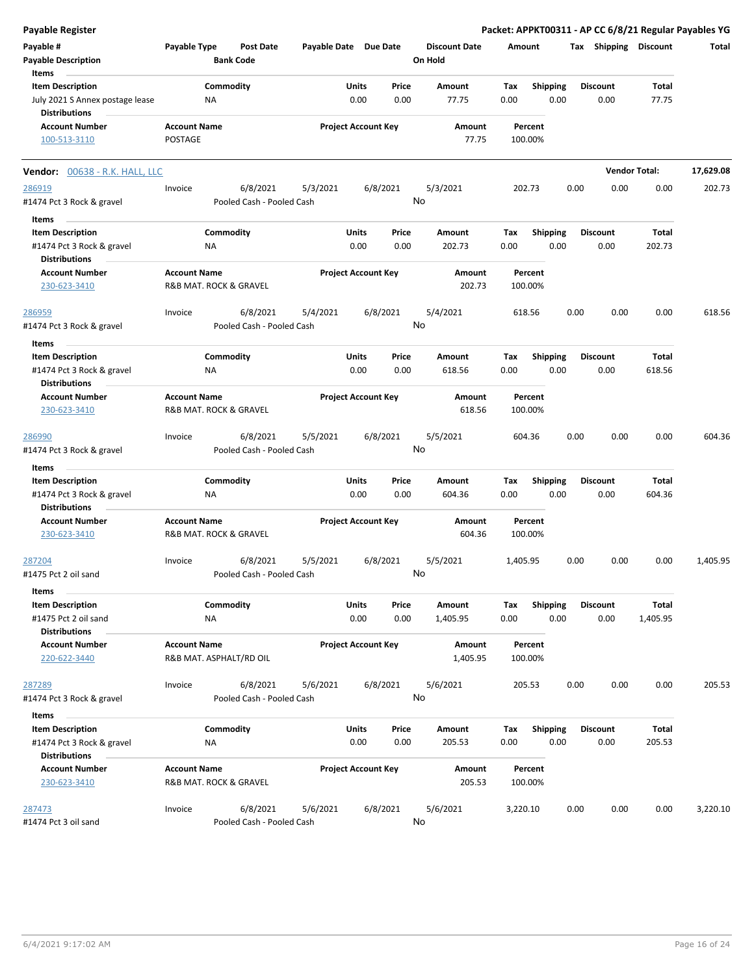| <b>Payable Register</b>                                 |                     |                           |                  |                       |       |                            |                      |          |                         |      |                       |                      | Packet: APPKT00311 - AP CC 6/8/21 Regular Payables YG |
|---------------------------------------------------------|---------------------|---------------------------|------------------|-----------------------|-------|----------------------------|----------------------|----------|-------------------------|------|-----------------------|----------------------|-------------------------------------------------------|
| Payable #                                               | Payable Type        |                           | <b>Post Date</b> | Payable Date Due Date |       |                            | <b>Discount Date</b> | Amount   |                         |      | Tax Shipping Discount |                      | Total                                                 |
| <b>Payable Description</b>                              |                     | <b>Bank Code</b>          |                  |                       |       |                            | On Hold              |          |                         |      |                       |                      |                                                       |
| Items                                                   |                     |                           |                  |                       |       |                            |                      |          |                         |      |                       |                      |                                                       |
| <b>Item Description</b>                                 |                     | Commodity                 |                  |                       | Units | Price                      | Amount               | Tax      | Shipping                |      | <b>Discount</b>       | Total                |                                                       |
| July 2021 S Annex postage lease<br><b>Distributions</b> |                     | NA                        |                  |                       | 0.00  | 0.00                       | 77.75                | 0.00     | 0.00                    |      | 0.00                  | 77.75                |                                                       |
| <b>Account Number</b>                                   | <b>Account Name</b> |                           |                  |                       |       | <b>Project Account Key</b> | Amount               |          | Percent                 |      |                       |                      |                                                       |
| 100-513-3110                                            | POSTAGE             |                           |                  |                       |       |                            | 77.75                |          | 100.00%                 |      |                       |                      |                                                       |
| <b>Vendor:</b> 00638 - R.K. HALL, LLC                   |                     |                           |                  |                       |       |                            |                      |          |                         |      |                       | <b>Vendor Total:</b> | 17,629.08                                             |
| 286919                                                  | Invoice             |                           | 6/8/2021         | 5/3/2021              |       | 6/8/2021                   | 5/3/2021             |          | 202.73                  | 0.00 | 0.00                  | 0.00                 | 202.73                                                |
| #1474 Pct 3 Rock & gravel                               |                     | Pooled Cash - Pooled Cash |                  |                       |       |                            | No                   |          |                         |      |                       |                      |                                                       |
| Items                                                   |                     |                           |                  |                       |       |                            |                      |          |                         |      |                       |                      |                                                       |
| <b>Item Description</b>                                 |                     | Commodity                 |                  |                       | Units | Price                      | Amount               | Tax      |                         |      | <b>Discount</b>       | Total                |                                                       |
| #1474 Pct 3 Rock & gravel                               |                     | ΝA                        |                  |                       | 0.00  | 0.00                       | 202.73               | 0.00     | <b>Shipping</b><br>0.00 |      | 0.00                  | 202.73               |                                                       |
| <b>Distributions</b>                                    |                     |                           |                  |                       |       |                            |                      |          |                         |      |                       |                      |                                                       |
| <b>Account Number</b>                                   | <b>Account Name</b> |                           |                  |                       |       | <b>Project Account Key</b> | <b>Amount</b>        |          | Percent                 |      |                       |                      |                                                       |
| 230-623-3410                                            |                     | R&B MAT. ROCK & GRAVEL    |                  |                       |       |                            | 202.73               |          | 100.00%                 |      |                       |                      |                                                       |
|                                                         |                     |                           |                  |                       |       |                            |                      |          |                         |      |                       |                      |                                                       |
| 286959                                                  | Invoice             |                           | 6/8/2021         | 5/4/2021              |       | 6/8/2021                   | 5/4/2021             |          | 618.56                  | 0.00 | 0.00                  | 0.00                 | 618.56                                                |
| #1474 Pct 3 Rock & gravel                               |                     | Pooled Cash - Pooled Cash |                  |                       |       |                            | No                   |          |                         |      |                       |                      |                                                       |
|                                                         |                     |                           |                  |                       |       |                            |                      |          |                         |      |                       |                      |                                                       |
| Items                                                   |                     |                           |                  |                       |       |                            |                      |          |                         |      |                       |                      |                                                       |
| <b>Item Description</b>                                 |                     | Commodity                 |                  |                       | Units | Price                      | Amount               | Tax      | <b>Shipping</b>         |      | <b>Discount</b>       | <b>Total</b>         |                                                       |
| #1474 Pct 3 Rock & gravel                               |                     | ΝA                        |                  |                       | 0.00  | 0.00                       | 618.56               | 0.00     | 0.00                    |      | 0.00                  | 618.56               |                                                       |
| <b>Distributions</b>                                    |                     |                           |                  |                       |       |                            |                      |          |                         |      |                       |                      |                                                       |
| <b>Account Number</b>                                   | <b>Account Name</b> |                           |                  |                       |       | <b>Project Account Key</b> | Amount               |          | Percent                 |      |                       |                      |                                                       |
| 230-623-3410                                            |                     | R&B MAT. ROCK & GRAVEL    |                  |                       |       |                            | 618.56               |          | 100.00%                 |      |                       |                      |                                                       |
| 286990                                                  | Invoice             |                           | 6/8/2021         | 5/5/2021              |       | 6/8/2021                   | 5/5/2021             |          | 604.36                  | 0.00 | 0.00                  | 0.00                 | 604.36                                                |
| #1474 Pct 3 Rock & gravel                               |                     | Pooled Cash - Pooled Cash |                  |                       |       |                            | No                   |          |                         |      |                       |                      |                                                       |
|                                                         |                     |                           |                  |                       |       |                            |                      |          |                         |      |                       |                      |                                                       |
| Items                                                   |                     |                           |                  |                       |       |                            |                      |          |                         |      |                       |                      |                                                       |
| <b>Item Description</b>                                 |                     | Commodity                 |                  |                       | Units | Price                      | Amount               | Tax      | <b>Shipping</b>         |      | <b>Discount</b>       | Total                |                                                       |
| #1474 Pct 3 Rock & gravel                               |                     | ΝA                        |                  |                       | 0.00  | 0.00                       | 604.36               | 0.00     | 0.00                    |      | 0.00                  | 604.36               |                                                       |
| <b>Distributions</b>                                    |                     |                           |                  |                       |       |                            |                      |          |                         |      |                       |                      |                                                       |
| <b>Account Number</b>                                   | <b>Account Name</b> |                           |                  |                       |       | <b>Project Account Key</b> | Amount               |          | Percent                 |      |                       |                      |                                                       |
| 230-623-3410                                            |                     | R&B MAT. ROCK & GRAVEL    |                  |                       |       |                            | 604.36               |          | 100.00%                 |      |                       |                      |                                                       |
|                                                         |                     |                           |                  |                       |       |                            |                      |          |                         |      |                       |                      |                                                       |
| 287204                                                  | Invoice             |                           | 6/8/2021         | 5/5/2021              |       | 6/8/2021                   | 5/5/2021<br>No       | 1,405.95 |                         | 0.00 | 0.00                  | 0.00                 | 1,405.95                                              |
| #1475 Pct 2 oil sand                                    |                     | Pooled Cash - Pooled Cash |                  |                       |       |                            |                      |          |                         |      |                       |                      |                                                       |
| Items                                                   |                     |                           |                  |                       |       |                            |                      |          |                         |      |                       |                      |                                                       |
| <b>Item Description</b>                                 |                     | Commodity                 |                  |                       | Units | Price                      | Amount               | Tax      | Shipping                |      | <b>Discount</b>       | Total                |                                                       |
| #1475 Pct 2 oil sand                                    |                     | ΝA                        |                  |                       | 0.00  | 0.00                       | 1,405.95             | 0.00     | 0.00                    |      | 0.00                  | 1,405.95             |                                                       |
| <b>Distributions</b>                                    |                     |                           |                  |                       |       |                            |                      |          |                         |      |                       |                      |                                                       |
| <b>Account Number</b>                                   | <b>Account Name</b> |                           |                  |                       |       | <b>Project Account Key</b> | Amount               |          | Percent                 |      |                       |                      |                                                       |
| 220-622-3440                                            |                     | R&B MAT. ASPHALT/RD OIL   |                  |                       |       |                            | 1,405.95             |          | 100.00%                 |      |                       |                      |                                                       |
|                                                         |                     |                           |                  |                       |       |                            |                      |          |                         |      |                       |                      |                                                       |
| 287289                                                  | Invoice             |                           | 6/8/2021         | 5/6/2021              |       | 6/8/2021                   | 5/6/2021             |          | 205.53                  | 0.00 | 0.00                  | 0.00                 | 205.53                                                |
| #1474 Pct 3 Rock & gravel                               |                     | Pooled Cash - Pooled Cash |                  |                       |       |                            | No                   |          |                         |      |                       |                      |                                                       |
| Items                                                   |                     |                           |                  |                       |       |                            |                      |          |                         |      |                       |                      |                                                       |
| <b>Item Description</b>                                 |                     | Commodity                 |                  |                       | Units | Price                      | Amount               | Tax      | <b>Shipping</b>         |      | <b>Discount</b>       | Total                |                                                       |
| #1474 Pct 3 Rock & gravel                               |                     | NA                        |                  |                       | 0.00  | 0.00                       | 205.53               | 0.00     | 0.00                    |      | 0.00                  | 205.53               |                                                       |
| <b>Distributions</b>                                    |                     |                           |                  |                       |       |                            |                      |          |                         |      |                       |                      |                                                       |
| <b>Account Number</b>                                   | <b>Account Name</b> |                           |                  |                       |       | <b>Project Account Key</b> | Amount               |          | Percent                 |      |                       |                      |                                                       |
| 230-623-3410                                            |                     | R&B MAT. ROCK & GRAVEL    |                  |                       |       |                            | 205.53               |          | 100.00%                 |      |                       |                      |                                                       |
|                                                         |                     |                           |                  |                       |       |                            |                      |          |                         |      |                       |                      |                                                       |
| 287473                                                  | Invoice             |                           | 6/8/2021         | 5/6/2021              |       | 6/8/2021                   | 5/6/2021             | 3,220.10 |                         | 0.00 | 0.00                  | 0.00                 | 3,220.10                                              |
| #1474 Pct 3 oil sand                                    |                     | Pooled Cash - Pooled Cash |                  |                       |       |                            | No                   |          |                         |      |                       |                      |                                                       |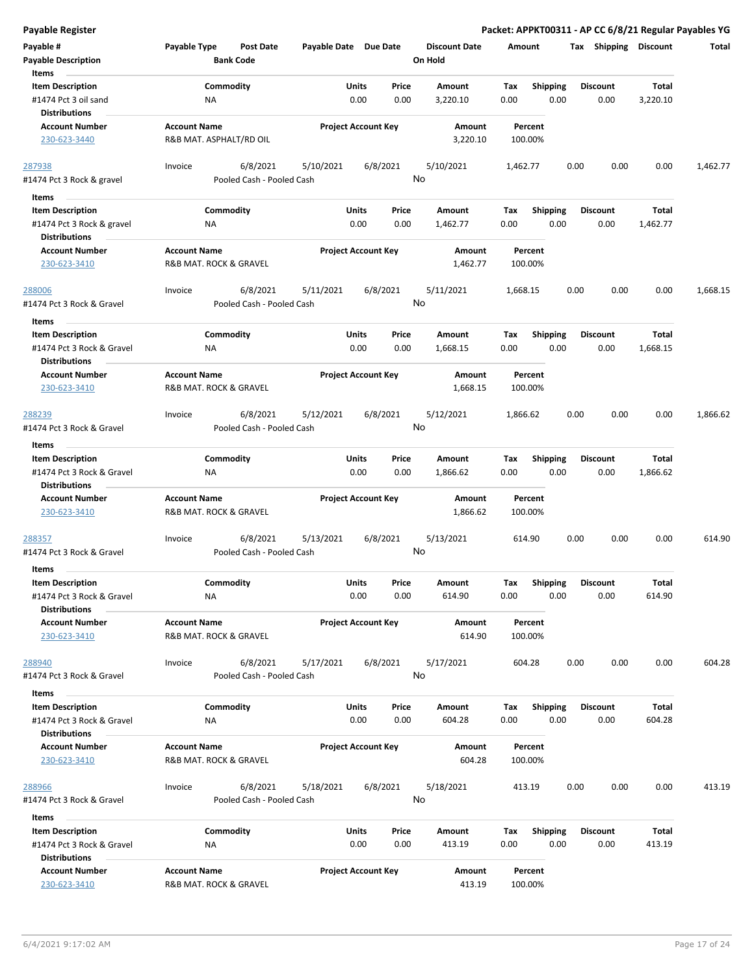| Payable #                             | Payable Type            | Post Date                             | Payable Date Due Date |                            |       | <b>Discount Date</b> | Amount             |                 | Tax  | <b>Shipping</b> | <b>Discount</b> | Total    |
|---------------------------------------|-------------------------|---------------------------------------|-----------------------|----------------------------|-------|----------------------|--------------------|-----------------|------|-----------------|-----------------|----------|
| <b>Payable Description</b><br>Items   |                         | <b>Bank Code</b>                      |                       |                            |       | On Hold              |                    |                 |      |                 |                 |          |
| <b>Item Description</b>               |                         | Commodity                             |                       | Units                      | Price | Amount               | Tax                | <b>Shipping</b> |      | <b>Discount</b> | Total           |          |
| #1474 Pct 3 oil sand                  | ΝA                      |                                       |                       | 0.00                       | 0.00  | 3,220.10             | 0.00               | 0.00            |      | 0.00            | 3,220.10        |          |
| <b>Distributions</b>                  |                         |                                       |                       |                            |       |                      |                    |                 |      |                 |                 |          |
| <b>Account Number</b>                 | <b>Account Name</b>     |                                       |                       | <b>Project Account Key</b> |       | Amount               | Percent            |                 |      |                 |                 |          |
| 230-623-3440                          | R&B MAT. ASPHALT/RD OIL |                                       |                       |                            |       | 3,220.10             | 100.00%            |                 |      |                 |                 |          |
| 287938                                | Invoice                 | 6/8/2021<br>Pooled Cash - Pooled Cash | 5/10/2021             | 6/8/2021                   | No    | 5/10/2021            | 1,462.77           |                 | 0.00 | 0.00            | 0.00            | 1,462.77 |
| #1474 Pct 3 Rock & gravel             |                         |                                       |                       |                            |       |                      |                    |                 |      |                 |                 |          |
| Items                                 |                         |                                       |                       |                            |       |                      |                    |                 |      |                 |                 |          |
| <b>Item Description</b>               |                         | Commodity                             |                       | Units                      | Price | Amount               | Tax                | <b>Shipping</b> |      | <b>Discount</b> | Total           |          |
| #1474 Pct 3 Rock & gravel             | ΝA                      |                                       |                       | 0.00                       | 0.00  | 1,462.77             | 0.00               | 0.00            |      | 0.00            | 1,462.77        |          |
| <b>Distributions</b>                  | <b>Account Name</b>     |                                       |                       |                            |       |                      |                    |                 |      |                 |                 |          |
| <b>Account Number</b><br>230-623-3410 | R&B MAT. ROCK & GRAVEL  |                                       |                       | <b>Project Account Key</b> |       | Amount<br>1,462.77   | Percent<br>100.00% |                 |      |                 |                 |          |
|                                       |                         |                                       |                       |                            |       |                      |                    |                 |      |                 |                 |          |
| 288006<br>#1474 Pct 3 Rock & Gravel   | Invoice                 | 6/8/2021<br>Pooled Cash - Pooled Cash | 5/11/2021             | 6/8/2021                   | No    | 5/11/2021            | 1,668.15           |                 | 0.00 | 0.00            | 0.00            | 1,668.15 |
| Items                                 |                         |                                       |                       |                            |       |                      |                    |                 |      |                 |                 |          |
| <b>Item Description</b>               |                         | Commodity                             |                       | Units                      | Price | Amount               | Tax                | <b>Shipping</b> |      | <b>Discount</b> | Total           |          |
| #1474 Pct 3 Rock & Gravel             | ΝA                      |                                       |                       | 0.00                       | 0.00  | 1,668.15             | 0.00               | 0.00            |      | 0.00            | 1,668.15        |          |
| <b>Distributions</b>                  |                         |                                       |                       |                            |       |                      |                    |                 |      |                 |                 |          |
| <b>Account Number</b>                 | <b>Account Name</b>     |                                       |                       | <b>Project Account Key</b> |       | Amount               | Percent            |                 |      |                 |                 |          |
| 230-623-3410                          | R&B MAT. ROCK & GRAVEL  |                                       |                       |                            |       | 1,668.15             | 100.00%            |                 |      |                 |                 |          |
| <u> 288239</u>                        | Invoice                 | 6/8/2021                              | 5/12/2021             | 6/8/2021                   |       | 5/12/2021            | 1,866.62           |                 | 0.00 | 0.00            | 0.00            | 1,866.62 |
| #1474 Pct 3 Rock & Gravel             |                         | Pooled Cash - Pooled Cash             |                       |                            | No    |                      |                    |                 |      |                 |                 |          |
| Items                                 |                         |                                       |                       |                            |       |                      |                    |                 |      |                 |                 |          |
| <b>Item Description</b>               |                         | Commodity                             |                       | Units                      | Price | Amount               | Tax                | <b>Shipping</b> |      | Discount        | Total           |          |
| #1474 Pct 3 Rock & Gravel             | ΝA                      |                                       |                       | 0.00                       | 0.00  | 1,866.62             | 0.00               | 0.00            |      | 0.00            | 1,866.62        |          |
| <b>Distributions</b>                  |                         |                                       |                       |                            |       |                      |                    |                 |      |                 |                 |          |
| <b>Account Number</b>                 | <b>Account Name</b>     |                                       |                       | <b>Project Account Key</b> |       | Amount               | Percent            |                 |      |                 |                 |          |
| 230-623-3410                          | R&B MAT. ROCK & GRAVEL  |                                       |                       |                            |       | 1,866.62             | 100.00%            |                 |      |                 |                 |          |
| <u> 288357 </u>                       | Invoice                 | 6/8/2021                              | 5/13/2021             | 6/8/2021                   |       | 5/13/2021            | 614.90             |                 | 0.00 | 0.00            | 0.00            | 614.90   |
| #1474 Pct 3 Rock & Gravel             |                         | Pooled Cash - Pooled Cash             |                       |                            | No    |                      |                    |                 |      |                 |                 |          |
| Items                                 |                         |                                       |                       |                            |       |                      |                    |                 |      |                 |                 |          |
| <b>Item Description</b>               |                         | Commodity                             |                       | Units                      | Price | Amount               | Tax                | <b>Shipping</b> |      | <b>Discount</b> | <b>Total</b>    |          |
| #1474 Pct 3 Rock & Gravel             | <b>NA</b>               |                                       |                       | 0.00                       | 0.00  | 614.90               | 0.00               | 0.00            |      | 0.00            | 614.90          |          |
| <b>Distributions</b>                  |                         |                                       |                       |                            |       |                      |                    |                 |      |                 |                 |          |
| <b>Account Number</b>                 | <b>Account Name</b>     |                                       |                       | <b>Project Account Key</b> |       | Amount               | Percent            |                 |      |                 |                 |          |
| 230-623-3410                          | R&B MAT. ROCK & GRAVEL  |                                       |                       |                            |       | 614.90               | 100.00%            |                 |      |                 |                 |          |
| 288940                                | Invoice                 | 6/8/2021                              | 5/17/2021             | 6/8/2021                   |       | 5/17/2021            | 604.28             |                 | 0.00 | 0.00            | 0.00            | 604.28   |
| #1474 Pct 3 Rock & Gravel             |                         | Pooled Cash - Pooled Cash             |                       |                            | No    |                      |                    |                 |      |                 |                 |          |
| Items                                 |                         |                                       |                       |                            |       |                      |                    |                 |      |                 |                 |          |
| <b>Item Description</b>               |                         | Commodity                             |                       | Units                      | Price | Amount               | Tax                | <b>Shipping</b> |      | <b>Discount</b> | Total           |          |
| #1474 Pct 3 Rock & Gravel             | ΝA                      |                                       |                       | 0.00                       | 0.00  | 604.28               | 0.00               | 0.00            |      | 0.00            | 604.28          |          |
| <b>Distributions</b>                  |                         |                                       |                       |                            |       |                      |                    |                 |      |                 |                 |          |
| <b>Account Number</b>                 | <b>Account Name</b>     |                                       |                       | <b>Project Account Key</b> |       | Amount               | Percent            |                 |      |                 |                 |          |
| 230-623-3410                          | R&B MAT. ROCK & GRAVEL  |                                       |                       |                            |       | 604.28               | 100.00%            |                 |      |                 |                 |          |
|                                       |                         |                                       |                       |                            |       |                      |                    |                 |      |                 |                 |          |
| 288966                                | Invoice                 | 6/8/2021                              | 5/18/2021             | 6/8/2021                   |       | 5/18/2021            | 413.19             |                 | 0.00 | 0.00            | 0.00            | 413.19   |
| #1474 Pct 3 Rock & Gravel             |                         | Pooled Cash - Pooled Cash             |                       |                            | No    |                      |                    |                 |      |                 |                 |          |
| Items                                 |                         |                                       |                       |                            |       |                      |                    |                 |      |                 |                 |          |
| <b>Item Description</b>               |                         | Commodity                             |                       | Units                      | Price | Amount               | Tax                | <b>Shipping</b> |      | <b>Discount</b> | Total           |          |
| #1474 Pct 3 Rock & Gravel             | ΝA                      |                                       |                       | 0.00                       | 0.00  | 413.19               | 0.00               | 0.00            |      | 0.00            | 413.19          |          |
| <b>Distributions</b>                  |                         |                                       |                       |                            |       |                      |                    |                 |      |                 |                 |          |
| <b>Account Number</b>                 | <b>Account Name</b>     |                                       |                       | <b>Project Account Key</b> |       | Amount               | Percent            |                 |      |                 |                 |          |
| 230-623-3410                          | R&B MAT. ROCK & GRAVEL  |                                       |                       |                            |       | 413.19               | 100.00%            |                 |      |                 |                 |          |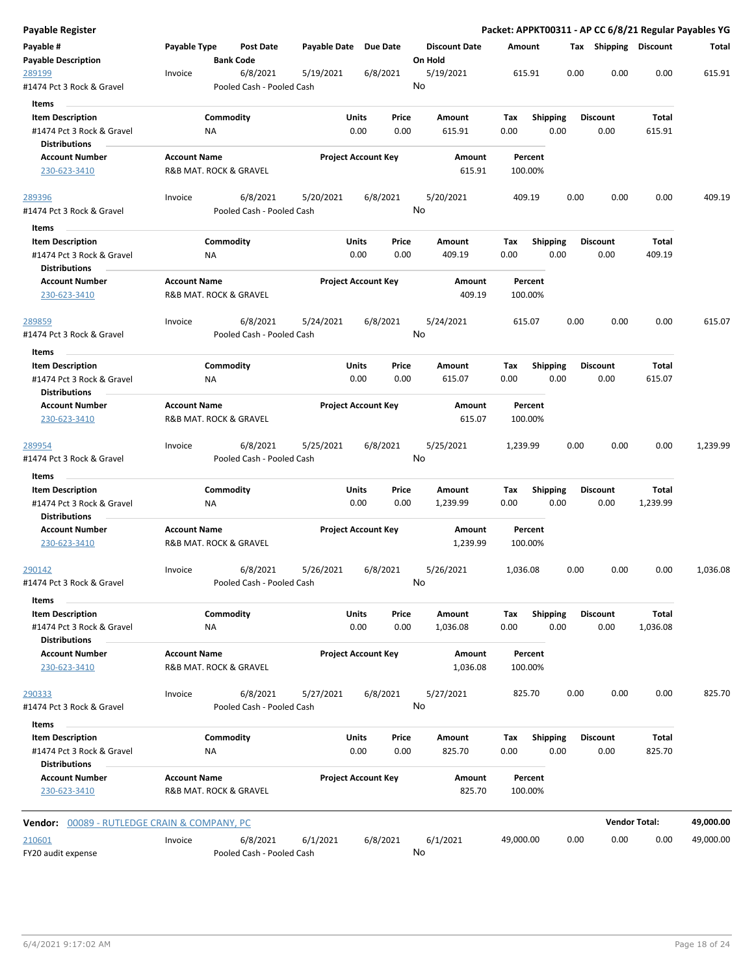| Payable Register                                     |                     |                                       |                       |                                |                                 |                    |                         |      |                         |                      | Packet: APPKT00311 - AP CC 6/8/21 Regular Payables YG |
|------------------------------------------------------|---------------------|---------------------------------------|-----------------------|--------------------------------|---------------------------------|--------------------|-------------------------|------|-------------------------|----------------------|-------------------------------------------------------|
| Payable #<br><b>Payable Description</b>              | Payable Type        | <b>Post Date</b><br><b>Bank Code</b>  | Payable Date Due Date |                                | <b>Discount Date</b><br>On Hold | Amount             |                         |      | Tax Shipping Discount   |                      | Total                                                 |
| 289199<br>#1474 Pct 3 Rock & Gravel                  | Invoice             | 6/8/2021<br>Pooled Cash - Pooled Cash | 5/19/2021             | 6/8/2021                       | 5/19/2021<br>No                 | 615.91             |                         | 0.00 | 0.00                    | 0.00                 | 615.91                                                |
| Items                                                |                     |                                       |                       |                                |                                 |                    |                         |      |                         |                      |                                                       |
| <b>Item Description</b>                              |                     | Commodity                             |                       | Units<br>Price                 | Amount                          | Tax                | <b>Shipping</b>         |      | <b>Discount</b>         | Total                |                                                       |
| #1474 Pct 3 Rock & Gravel                            |                     | ΝA                                    |                       | 0.00<br>0.00                   | 615.91                          | 0.00               | 0.00                    |      | 0.00                    | 615.91               |                                                       |
| <b>Distributions</b>                                 |                     |                                       |                       |                                |                                 |                    |                         |      |                         |                      |                                                       |
| <b>Account Number</b>                                | <b>Account Name</b> |                                       |                       | <b>Project Account Key</b>     | Amount                          | Percent            |                         |      |                         |                      |                                                       |
| 230-623-3410                                         |                     | R&B MAT. ROCK & GRAVEL                |                       |                                | 615.91                          | 100.00%            |                         |      |                         |                      |                                                       |
| 289396                                               | Invoice             | 6/8/2021                              | 5/20/2021             | 6/8/2021                       | 5/20/2021                       | 409.19             |                         | 0.00 | 0.00                    | 0.00                 | 409.19                                                |
| #1474 Pct 3 Rock & Gravel                            |                     | Pooled Cash - Pooled Cash             |                       |                                | No                              |                    |                         |      |                         |                      |                                                       |
| Items                                                |                     |                                       |                       |                                |                                 |                    |                         |      |                         |                      |                                                       |
| <b>Item Description</b>                              |                     | Commodity                             |                       | Units<br>Price                 | Amount                          | Tax                | <b>Shipping</b>         |      | <b>Discount</b>         | <b>Total</b>         |                                                       |
| #1474 Pct 3 Rock & Gravel<br><b>Distributions</b>    |                     | NA                                    |                       | 0.00<br>0.00                   | 409.19                          | 0.00               | 0.00                    |      | 0.00                    | 409.19               |                                                       |
| <b>Account Number</b><br>230-623-3410                | <b>Account Name</b> | R&B MAT. ROCK & GRAVEL                |                       | <b>Project Account Key</b>     | Amount<br>409.19                | Percent<br>100.00% |                         |      |                         |                      |                                                       |
| 289859                                               | Invoice             | 6/8/2021                              | 5/24/2021             | 6/8/2021                       | 5/24/2021                       | 615.07             |                         | 0.00 | 0.00                    | 0.00                 | 615.07                                                |
| #1474 Pct 3 Rock & Gravel                            |                     | Pooled Cash - Pooled Cash             |                       |                                | No                              |                    |                         |      |                         |                      |                                                       |
| Items                                                |                     |                                       |                       |                                |                                 |                    |                         |      |                         |                      |                                                       |
| <b>Item Description</b><br>#1474 Pct 3 Rock & Gravel |                     | Commodity<br>ΝA                       |                       | Units<br>Price<br>0.00<br>0.00 | <b>Amount</b><br>615.07         | Tax<br>0.00        | <b>Shipping</b><br>0.00 |      | <b>Discount</b><br>0.00 | Total<br>615.07      |                                                       |
| Distributions                                        |                     |                                       |                       |                                |                                 |                    |                         |      |                         |                      |                                                       |
| <b>Account Number</b>                                | <b>Account Name</b> |                                       |                       | <b>Project Account Key</b>     | Amount                          | Percent            |                         |      |                         |                      |                                                       |
| 230-623-3410                                         |                     | R&B MAT. ROCK & GRAVEL                |                       |                                | 615.07                          | 100.00%            |                         |      |                         |                      |                                                       |
| 289954                                               | Invoice             | 6/8/2021                              | 5/25/2021             | 6/8/2021                       | 5/25/2021                       | 1,239.99           |                         | 0.00 | 0.00                    | 0.00                 | 1,239.99                                              |
| #1474 Pct 3 Rock & Gravel                            |                     | Pooled Cash - Pooled Cash             |                       |                                | No                              |                    |                         |      |                         |                      |                                                       |
| Items                                                |                     |                                       |                       |                                |                                 |                    |                         |      |                         |                      |                                                       |
| <b>Item Description</b>                              |                     | Commodity                             |                       | Units<br>Price                 | Amount                          | Tax                | Shipping                |      | Discount                | Total                |                                                       |
| #1474 Pct 3 Rock & Gravel                            |                     | ΝA                                    |                       | 0.00<br>0.00                   | 1,239.99                        | 0.00               | 0.00                    |      | 0.00                    | 1,239.99             |                                                       |
| <b>Distributions</b>                                 |                     |                                       |                       |                                |                                 |                    |                         |      |                         |                      |                                                       |
| <b>Account Number</b><br>230-623-3410                | <b>Account Name</b> | R&B MAT. ROCK & GRAVEL                |                       | <b>Project Account Key</b>     | Amount<br>1,239.99              | Percent<br>100.00% |                         |      |                         |                      |                                                       |
| 290142                                               | Invoice             | 6/8/2021                              | 5/26/2021             | 6/8/2021                       | 5/26/2021                       | 1,036.08           |                         | 0.00 | 0.00                    | 0.00                 | 1,036.08                                              |
| #1474 Pct 3 Rock & Gravel                            |                     | Pooled Cash - Pooled Cash             |                       |                                | No                              |                    |                         |      |                         |                      |                                                       |
| Items                                                |                     |                                       |                       |                                |                                 |                    |                         |      |                         |                      |                                                       |
| <b>Item Description</b>                              |                     | Commodity                             |                       | Units<br>Price                 | Amount                          | Tax                | <b>Shipping</b>         |      | Discount                | Total                |                                                       |
| #1474 Pct 3 Rock & Gravel<br><b>Distributions</b>    |                     | NA                                    |                       | 0.00<br>0.00                   | 1,036.08                        | 0.00               | 0.00                    |      | 0.00                    | 1,036.08             |                                                       |
| <b>Account Number</b>                                | <b>Account Name</b> |                                       |                       | <b>Project Account Key</b>     | Amount                          | Percent            |                         |      |                         |                      |                                                       |
| 230-623-3410                                         |                     | R&B MAT. ROCK & GRAVEL                |                       |                                | 1,036.08                        | 100.00%            |                         |      |                         |                      |                                                       |
| <u>290333</u>                                        | Invoice             | 6/8/2021                              | 5/27/2021             | 6/8/2021                       | 5/27/2021                       | 825.70             |                         | 0.00 | 0.00                    | 0.00                 | 825.70                                                |
| #1474 Pct 3 Rock & Gravel                            |                     | Pooled Cash - Pooled Cash             |                       |                                | No                              |                    |                         |      |                         |                      |                                                       |
| Items<br><b>Item Description</b>                     |                     | Commodity                             |                       | Units<br>Price                 | Amount                          | Tax                | <b>Shipping</b>         |      | Discount                | <b>Total</b>         |                                                       |
| #1474 Pct 3 Rock & Gravel                            |                     | ΝA                                    |                       | 0.00<br>0.00                   | 825.70                          | 0.00               | 0.00                    |      | 0.00                    | 825.70               |                                                       |
| <b>Distributions</b>                                 |                     |                                       |                       |                                |                                 |                    |                         |      |                         |                      |                                                       |
| <b>Account Number</b>                                | <b>Account Name</b> |                                       |                       | <b>Project Account Key</b>     | Amount                          | Percent            |                         |      |                         |                      |                                                       |
| 230-623-3410                                         |                     | R&B MAT. ROCK & GRAVEL                |                       |                                | 825.70                          | 100.00%            |                         |      |                         |                      |                                                       |
| <b>Vendor:</b> 00089 - RUTLEDGE CRAIN & COMPANY, PC  |                     |                                       |                       |                                |                                 |                    |                         |      |                         | <b>Vendor Total:</b> | 49,000.00                                             |
|                                                      |                     |                                       |                       |                                |                                 |                    |                         |      |                         |                      |                                                       |
| 210601                                               | Invoice             | 6/8/2021                              | 6/1/2021              | 6/8/2021                       | 6/1/2021<br>No                  | 49,000.00          |                         | 0.00 | 0.00                    | 0.00                 | 49,000.00                                             |
| FY20 audit expense                                   |                     | Pooled Cash - Pooled Cash             |                       |                                |                                 |                    |                         |      |                         |                      |                                                       |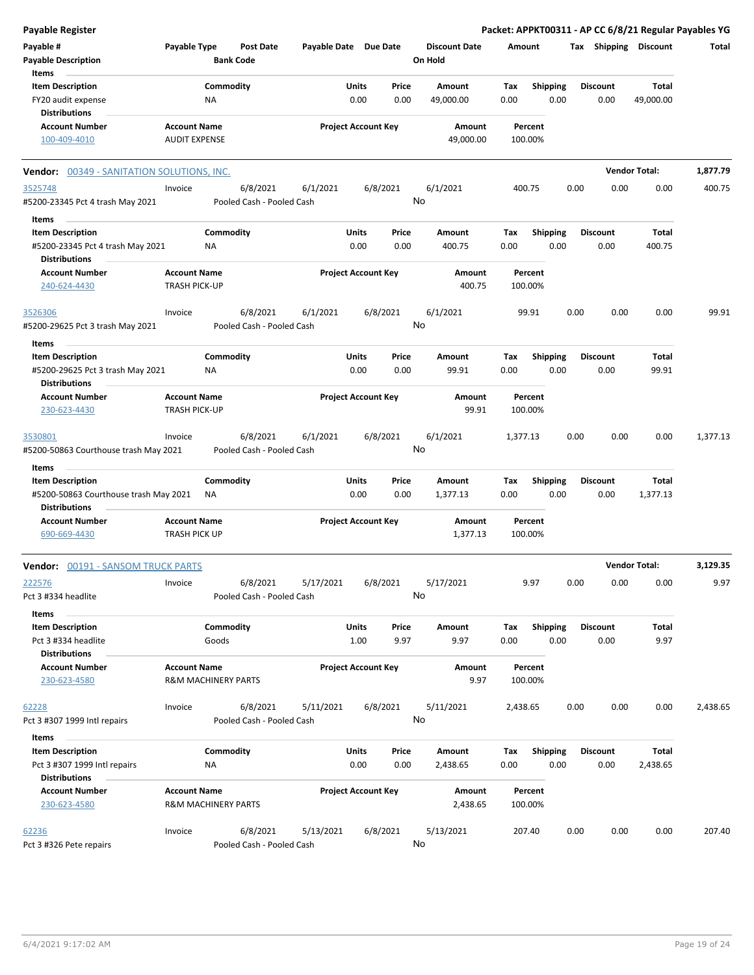| <b>Payable Register</b>                                       |                                                       |                    |                                       |                       |               |                            |                                 |             |                         |      |                         | Packet: APPKT00311 - AP CC 6/8/21 Regular Payables YG |          |
|---------------------------------------------------------------|-------------------------------------------------------|--------------------|---------------------------------------|-----------------------|---------------|----------------------------|---------------------------------|-------------|-------------------------|------|-------------------------|-------------------------------------------------------|----------|
| Payable #<br><b>Payable Description</b>                       | Payable Type                                          | <b>Bank Code</b>   | Post Date                             | Payable Date Due Date |               |                            | <b>Discount Date</b><br>On Hold | Amount      |                         |      |                         | Tax Shipping Discount                                 | Total    |
| Items                                                         |                                                       |                    |                                       |                       |               |                            |                                 |             |                         |      |                         |                                                       |          |
| <b>Item Description</b><br>FY20 audit expense                 |                                                       | Commodity<br>NA    |                                       |                       | Units<br>0.00 | Price<br>0.00              | Amount<br>49,000.00             | Tax<br>0.00 | <b>Shipping</b><br>0.00 |      | <b>Discount</b><br>0.00 | Total<br>49,000.00                                    |          |
| Distributions                                                 |                                                       |                    |                                       |                       |               |                            |                                 |             |                         |      |                         |                                                       |          |
| <b>Account Number</b>                                         | <b>Account Name</b>                                   |                    |                                       |                       |               | <b>Project Account Key</b> | Amount                          |             | Percent                 |      |                         |                                                       |          |
| 100-409-4010                                                  | <b>AUDIT EXPENSE</b>                                  |                    |                                       |                       |               |                            | 49,000.00                       | 100.00%     |                         |      |                         |                                                       |          |
| Vendor: 00349 - SANITATION SOLUTIONS, INC.                    |                                                       |                    |                                       |                       |               |                            |                                 |             |                         |      |                         | <b>Vendor Total:</b>                                  | 1,877.79 |
| 3525748<br>#5200-23345 Pct 4 trash May 2021                   | Invoice                                               |                    | 6/8/2021<br>Pooled Cash - Pooled Cash | 6/1/2021              |               | 6/8/2021<br>No             | 6/1/2021                        | 400.75      |                         | 0.00 | 0.00                    | 0.00                                                  | 400.75   |
| Items                                                         |                                                       |                    |                                       |                       |               |                            |                                 |             |                         |      |                         |                                                       |          |
| <b>Item Description</b>                                       |                                                       | Commodity          |                                       |                       | Units         | Price                      | Amount                          | Tax         | <b>Shipping</b>         |      | <b>Discount</b>         | <b>Total</b>                                          |          |
| #5200-23345 Pct 4 trash May 2021<br><b>Distributions</b>      |                                                       | ΝA                 |                                       |                       | 0.00          | 0.00                       | 400.75                          | 0.00        | 0.00                    |      | 0.00                    | 400.75                                                |          |
| <b>Account Number</b><br>240-624-4430                         | <b>Account Name</b><br>TRASH PICK-UP                  |                    |                                       |                       |               | <b>Project Account Key</b> | Amount<br>400.75                | 100.00%     | Percent                 |      |                         |                                                       |          |
| 3526306<br>#5200-29625 Pct 3 trash May 2021                   | Invoice                                               |                    | 6/8/2021<br>Pooled Cash - Pooled Cash | 6/1/2021              |               | 6/8/2021<br>No             | 6/1/2021                        |             | 99.91                   | 0.00 | 0.00                    | 0.00                                                  | 99.91    |
| Items                                                         |                                                       |                    |                                       |                       |               |                            |                                 |             |                         |      |                         |                                                       |          |
| <b>Item Description</b>                                       |                                                       | Commodity          |                                       |                       | Units         | Price                      | Amount                          | Tax         | Shipping                |      | <b>Discount</b>         | Total                                                 |          |
| #5200-29625 Pct 3 trash May 2021<br>Distributions             |                                                       | NA                 |                                       |                       | 0.00          | 0.00                       | 99.91                           | 0.00        | 0.00                    |      | 0.00                    | 99.91                                                 |          |
| <b>Account Number</b>                                         | <b>Account Name</b>                                   |                    |                                       |                       |               | <b>Project Account Key</b> | Amount                          |             | Percent                 |      |                         |                                                       |          |
| 230-623-4430                                                  | TRASH PICK-UP                                         |                    |                                       |                       |               |                            | 99.91                           | 100.00%     |                         |      |                         |                                                       |          |
| 3530801<br>#5200-50863 Courthouse trash May 2021<br>Items     | Invoice                                               |                    | 6/8/2021<br>Pooled Cash - Pooled Cash | 6/1/2021              |               | 6/8/2021<br>No             | 6/1/2021                        | 1,377.13    |                         | 0.00 | 0.00                    | 0.00                                                  | 1,377.13 |
| <b>Item Description</b>                                       |                                                       | Commodity          |                                       |                       | Units         | Price                      | Amount                          | Tax         | <b>Shipping</b>         |      | <b>Discount</b>         | Total                                                 |          |
| #5200-50863 Courthouse trash May 2021<br><b>Distributions</b> |                                                       | ΝA                 |                                       |                       | 0.00          | 0.00                       | 1,377.13                        | 0.00        | 0.00                    |      | 0.00                    | 1,377.13                                              |          |
| <b>Account Number</b>                                         | <b>Account Name</b>                                   |                    |                                       |                       |               | <b>Project Account Key</b> | Amount                          |             | Percent                 |      |                         |                                                       |          |
| 690-669-4430                                                  | TRASH PICK UP                                         |                    |                                       |                       |               |                            | 1,377.13                        | 100.00%     |                         |      |                         |                                                       |          |
| <b>Vendor: 00191 - SANSOM TRUCK PARTS</b>                     |                                                       |                    |                                       |                       |               |                            |                                 |             |                         |      |                         | <b>Vendor Total:</b>                                  | 3,129.35 |
| 222576                                                        | Invoice                                               |                    | 6/8/2021                              | 5/17/2021             |               | 6/8/2021                   | 5/17/2021                       |             | 9.97                    | 0.00 | 0.00                    | 0.00                                                  | 9.97     |
| Pct 3 #334 headlite                                           |                                                       |                    | Pooled Cash - Pooled Cash             |                       |               | No                         |                                 |             |                         |      |                         |                                                       |          |
| Items                                                         |                                                       |                    |                                       |                       |               |                            |                                 |             |                         |      |                         |                                                       |          |
| <b>Item Description</b><br>Pct 3 #334 headlite                |                                                       | Commodity<br>Goods |                                       |                       | Units<br>1.00 | Price<br>9.97              | Amount<br>9.97                  | Tax<br>0.00 | <b>Shipping</b><br>0.00 |      | <b>Discount</b><br>0.00 | Total<br>9.97                                         |          |
| <b>Distributions</b>                                          |                                                       |                    |                                       |                       |               |                            |                                 |             |                         |      |                         |                                                       |          |
| <b>Account Number</b><br>230-623-4580                         | <b>Account Name</b><br><b>R&amp;M MACHINERY PARTS</b> |                    |                                       |                       |               | <b>Project Account Key</b> | Amount<br>9.97                  | 100.00%     | Percent                 |      |                         |                                                       |          |
| 62228                                                         | Invoice                                               |                    | 6/8/2021                              | 5/11/2021             |               | 6/8/2021                   | 5/11/2021                       | 2,438.65    |                         | 0.00 | 0.00                    | 0.00                                                  | 2,438.65 |
| Pct 3 #307 1999 Intl repairs                                  |                                                       |                    | Pooled Cash - Pooled Cash             |                       |               | No                         |                                 |             |                         |      |                         |                                                       |          |
| Items                                                         |                                                       |                    |                                       |                       |               |                            |                                 |             |                         |      |                         |                                                       |          |
| <b>Item Description</b><br>Pct 3 #307 1999 Intl repairs       |                                                       | Commodity<br>ΝA    |                                       |                       | Units<br>0.00 | Price<br>0.00              | Amount<br>2,438.65              | Тах<br>0.00 | <b>Shipping</b><br>0.00 |      | <b>Discount</b><br>0.00 | Total<br>2,438.65                                     |          |
| <b>Distributions</b>                                          |                                                       |                    |                                       |                       |               |                            |                                 |             |                         |      |                         |                                                       |          |
| <b>Account Number</b><br>230-623-4580                         | <b>Account Name</b><br><b>R&amp;M MACHINERY PARTS</b> |                    |                                       |                       |               | <b>Project Account Key</b> | Amount<br>2,438.65              | 100.00%     | Percent                 |      |                         |                                                       |          |
| 62236<br>Pct 3 #326 Pete repairs                              | Invoice                                               |                    | 6/8/2021<br>Pooled Cash - Pooled Cash | 5/13/2021             |               | 6/8/2021<br>No             | 5/13/2021                       | 207.40      |                         | 0.00 | 0.00                    | 0.00                                                  | 207.40   |
|                                                               |                                                       |                    |                                       |                       |               |                            |                                 |             |                         |      |                         |                                                       |          |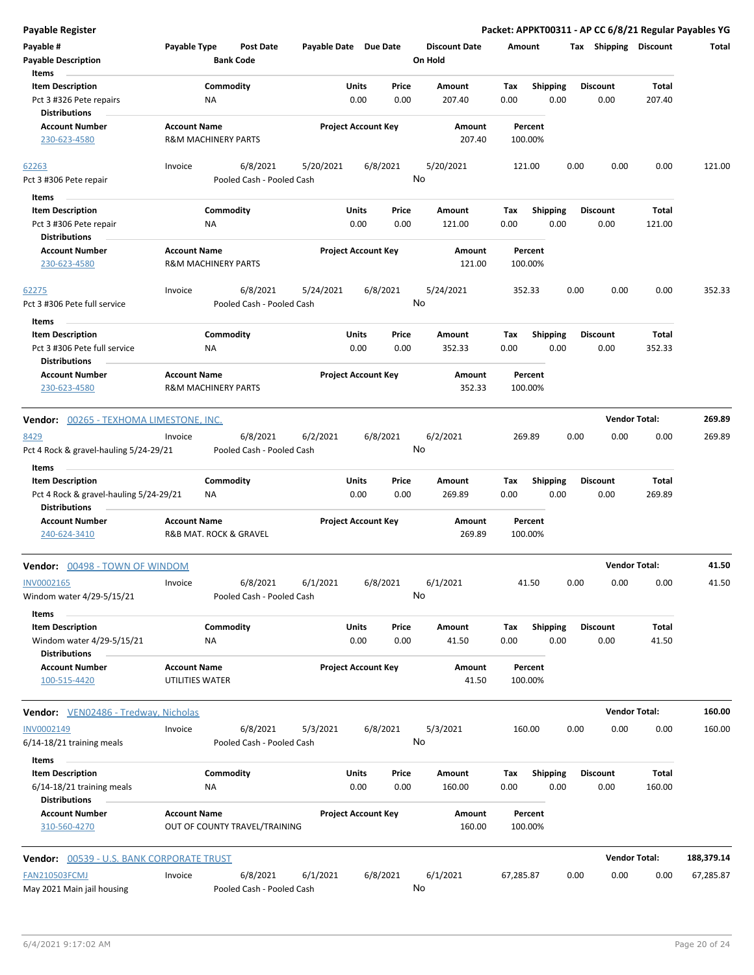| Payable Register                                                                         |                                                       |                                                    |                                |                                 | Packet: APPKT00311 - AP CC 6/8/21 Regular Payables YG |                         |                       |            |
|------------------------------------------------------------------------------------------|-------------------------------------------------------|----------------------------------------------------|--------------------------------|---------------------------------|-------------------------------------------------------|-------------------------|-----------------------|------------|
| Payable #<br><b>Payable Description</b>                                                  | Payable Type<br><b>Bank Code</b>                      | <b>Post Date</b>                                   | Payable Date Due Date          | <b>Discount Date</b><br>On Hold | Amount                                                |                         | Tax Shipping Discount | Total      |
| Items<br><b>Item Description</b><br>Pct 3 #326 Pete repairs<br><b>Distributions</b>      | Commodity<br>ΝA                                       |                                                    | Units<br>Price<br>0.00<br>0.00 | Amount<br>207.40                | Shipping<br>Tax<br>0.00<br>0.00                       | <b>Discount</b><br>0.00 | Total<br>207.40       |            |
| <b>Account Number</b><br>230-623-4580                                                    | <b>Account Name</b><br><b>R&amp;M MACHINERY PARTS</b> |                                                    | <b>Project Account Key</b>     | Amount<br>207.40                | Percent<br>100.00%                                    |                         |                       |            |
| 62263<br>Pct 3 #306 Pete repair                                                          | Invoice                                               | 6/8/2021<br>5/20/2021<br>Pooled Cash - Pooled Cash | 6/8/2021                       | 5/20/2021<br>No                 | 121.00                                                | 0.00                    | 0.00<br>0.00          | 121.00     |
| Items<br><b>Item Description</b><br>Pct 3 #306 Pete repair<br><b>Distributions</b>       | Commodity<br>ΝA                                       |                                                    | Units<br>Price<br>0.00<br>0.00 | Amount<br>121.00                | <b>Shipping</b><br>Tax<br>0.00<br>0.00                | <b>Discount</b><br>0.00 | Total<br>121.00       |            |
| <b>Account Number</b><br>230-623-4580                                                    | <b>Account Name</b><br><b>R&amp;M MACHINERY PARTS</b> |                                                    | <b>Project Account Key</b>     | Amount<br>121.00                | Percent<br>100.00%                                    |                         |                       |            |
| 62275<br>Pct 3 #306 Pete full service                                                    | Invoice                                               | 6/8/2021<br>5/24/2021<br>Pooled Cash - Pooled Cash | 6/8/2021                       | 5/24/2021<br>No                 | 352.33                                                | 0.00                    | 0.00<br>0.00          | 352.33     |
| Items<br><b>Item Description</b><br>Pct 3 #306 Pete full service<br><b>Distributions</b> | Commodity<br>NA                                       |                                                    | Units<br>Price<br>0.00<br>0.00 | Amount<br>352.33                | <b>Shipping</b><br>Tax<br>0.00<br>0.00                | Discount<br>0.00        | Total<br>352.33       |            |
| <b>Account Number</b><br>230-623-4580                                                    | <b>Account Name</b><br><b>R&amp;M MACHINERY PARTS</b> |                                                    | <b>Project Account Key</b>     | Amount<br>352.33                | Percent<br>100.00%                                    |                         |                       |            |
| Vendor: 00265 - TEXHOMA LIMESTONE, INC.                                                  |                                                       |                                                    |                                |                                 |                                                       |                         | <b>Vendor Total:</b>  | 269.89     |
| 8429<br>Pct 4 Rock & gravel-hauling 5/24-29/21                                           | Invoice                                               | 6/8/2021<br>6/2/2021<br>Pooled Cash - Pooled Cash  | 6/8/2021                       | 6/2/2021<br>No                  | 269.89                                                | 0.00                    | 0.00<br>0.00          | 269.89     |
| Items<br><b>Item Description</b><br>Pct 4 Rock & gravel-hauling 5/24-29/21               | Commodity<br>ΝA                                       |                                                    | Units<br>Price<br>0.00<br>0.00 | Amount<br>269.89                | <b>Shipping</b><br>Tax<br>0.00<br>0.00                | <b>Discount</b><br>0.00 | Total<br>269.89       |            |
| <b>Distributions</b><br><b>Account Number</b><br>240-624-3410                            | <b>Account Name</b><br>R&B MAT. ROCK & GRAVEL         |                                                    | <b>Project Account Key</b>     | Amount<br>269.89                | Percent<br>100.00%                                    |                         |                       |            |
| Vendor: 00498 - TOWN OF WINDOM                                                           |                                                       |                                                    |                                |                                 |                                                       |                         | <b>Vendor Total:</b>  | 41.50      |
| INV0002165<br>Windom water 4/29-5/15/21                                                  | Invoice                                               | 6/8/2021<br>6/1/2021<br>Pooled Cash - Pooled Cash  | 6/8/2021                       | 6/1/2021<br>No                  | 41.50                                                 | 0.00                    | 0.00<br>0.00          | 41.50      |
| Items<br><b>Item Description</b><br>Windom water 4/29-5/15/21<br><b>Distributions</b>    | Commodity<br>ΝA                                       |                                                    | Units<br>Price<br>0.00<br>0.00 | Amount<br>41.50                 | <b>Shipping</b><br>Tax<br>0.00<br>0.00                | Discount<br>0.00        | Total<br>41.50        |            |
| <b>Account Number</b><br>100-515-4420                                                    | <b>Account Name</b><br>UTILITIES WATER                |                                                    | <b>Project Account Key</b>     | Amount<br>41.50                 | Percent<br>100.00%                                    |                         |                       |            |
| Vendor: VEN02486 - Tredway, Nicholas                                                     |                                                       |                                                    |                                |                                 |                                                       |                         | <b>Vendor Total:</b>  | 160.00     |
| INV0002149<br>6/14-18/21 training meals                                                  | Invoice                                               | 6/8/2021<br>5/3/2021<br>Pooled Cash - Pooled Cash  | 6/8/2021                       | 5/3/2021<br>No                  | 160.00                                                | 0.00                    | 0.00<br>0.00          | 160.00     |
| Items<br><b>Item Description</b><br>6/14-18/21 training meals<br><b>Distributions</b>    | Commodity<br>ΝA                                       |                                                    | Units<br>Price<br>0.00<br>0.00 | Amount<br>160.00                | Tax<br><b>Shipping</b><br>0.00<br>0.00                | Discount<br>0.00        | Total<br>160.00       |            |
| <b>Account Number</b><br>310-560-4270                                                    | <b>Account Name</b><br>OUT OF COUNTY TRAVEL/TRAINING  |                                                    | <b>Project Account Key</b>     | Amount<br>160.00                | Percent<br>100.00%                                    |                         |                       |            |
| <b>Vendor: 00539 - U.S. BANK CORPORATE TRUST</b>                                         |                                                       |                                                    |                                |                                 |                                                       |                         | <b>Vendor Total:</b>  | 188,379.14 |
| <b>FAN210503FCMJ</b><br>May 2021 Main jail housing                                       | Invoice                                               | 6/8/2021<br>6/1/2021<br>Pooled Cash - Pooled Cash  | 6/8/2021                       | 6/1/2021<br>No                  | 67,285.87                                             | 0.00                    | 0.00<br>0.00          | 67,285.87  |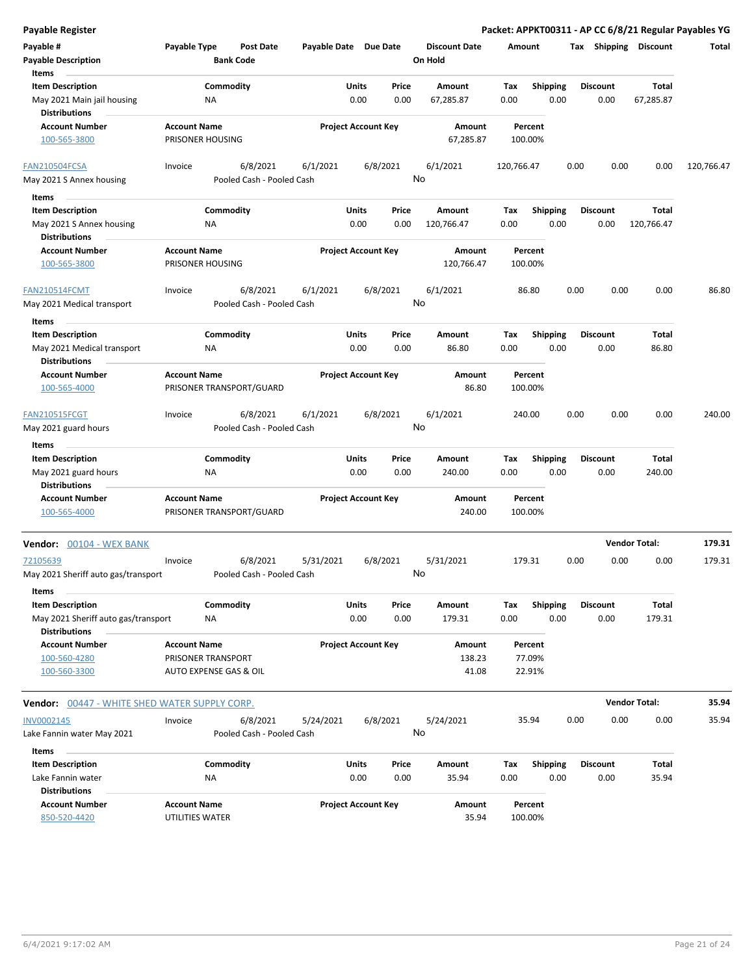| <b>Payable Register</b>                                                       |                                         |                                       |                       |                            |               |                                 |             |                         |      |                         |                       | Packet: APPKT00311 - AP CC 6/8/21 Regular Payables YG |
|-------------------------------------------------------------------------------|-----------------------------------------|---------------------------------------|-----------------------|----------------------------|---------------|---------------------------------|-------------|-------------------------|------|-------------------------|-----------------------|-------------------------------------------------------|
| Payable #<br><b>Payable Description</b>                                       | Payable Type                            | <b>Post Date</b><br><b>Bank Code</b>  | Payable Date Due Date |                            |               | <b>Discount Date</b><br>On Hold | Amount      |                         |      |                         | Tax Shipping Discount | Total                                                 |
| Items                                                                         |                                         |                                       |                       |                            |               |                                 |             |                         |      |                         |                       |                                                       |
| <b>Item Description</b>                                                       |                                         | Commodity                             |                       | Units                      | Price         | Amount                          | Tax         | <b>Shipping</b>         |      | <b>Discount</b>         | <b>Total</b>          |                                                       |
| May 2021 Main jail housing<br><b>Distributions</b>                            | ΝA                                      |                                       |                       | 0.00                       | 0.00          | 67,285.87                       | 0.00        | 0.00                    |      | 0.00                    | 67,285.87             |                                                       |
| <b>Account Number</b><br>100-565-3800                                         | <b>Account Name</b><br>PRISONER HOUSING |                                       |                       | <b>Project Account Key</b> |               | Amount<br>67,285.87             |             | Percent<br>100.00%      |      |                         |                       |                                                       |
|                                                                               |                                         |                                       |                       |                            |               |                                 |             |                         |      |                         |                       |                                                       |
| FAN210504FCSA                                                                 | Invoice                                 | 6/8/2021                              | 6/1/2021              | 6/8/2021                   |               | 6/1/2021                        | 120,766.47  |                         | 0.00 | 0.00                    | 0.00                  | 120,766.47                                            |
| May 2021 S Annex housing                                                      |                                         | Pooled Cash - Pooled Cash             |                       |                            |               | No                              |             |                         |      |                         |                       |                                                       |
| Items                                                                         |                                         |                                       |                       |                            |               |                                 |             |                         |      |                         |                       |                                                       |
| <b>Item Description</b><br>May 2021 S Annex housing<br><b>Distributions</b>   | ΝA                                      | Commodity                             |                       | Units<br>0.00              | Price<br>0.00 | Amount<br>120,766.47            | Tax<br>0.00 | <b>Shipping</b><br>0.00 |      | <b>Discount</b><br>0.00 | Total<br>120,766.47   |                                                       |
| <b>Account Number</b><br>100-565-3800                                         | <b>Account Name</b><br>PRISONER HOUSING |                                       |                       | <b>Project Account Key</b> |               | Amount<br>120,766.47            |             | Percent<br>100.00%      |      |                         |                       |                                                       |
| <b>FAN210514FCMT</b>                                                          | Invoice                                 | 6/8/2021                              | 6/1/2021              | 6/8/2021                   |               | 6/1/2021                        |             | 86.80                   | 0.00 | 0.00                    | 0.00                  | 86.80                                                 |
| May 2021 Medical transport                                                    |                                         | Pooled Cash - Pooled Cash             |                       |                            |               | No                              |             |                         |      |                         |                       |                                                       |
| Items                                                                         |                                         |                                       |                       |                            |               |                                 |             |                         |      |                         |                       |                                                       |
| <b>Item Description</b><br>May 2021 Medical transport<br><b>Distributions</b> | <b>NA</b>                               | Commodity                             |                       | Units<br>0.00              | Price<br>0.00 | Amount<br>86.80                 | Tax<br>0.00 | <b>Shipping</b><br>0.00 |      | <b>Discount</b><br>0.00 | Total<br>86.80        |                                                       |
| <b>Account Number</b><br>100-565-4000                                         | <b>Account Name</b>                     | PRISONER TRANSPORT/GUARD              |                       | <b>Project Account Key</b> |               | Amount<br>86.80                 |             | Percent<br>100.00%      |      |                         |                       |                                                       |
| <b>FAN210515FCGT</b>                                                          | Invoice                                 | 6/8/2021                              | 6/1/2021              | 6/8/2021                   |               | 6/1/2021                        | 240.00      |                         | 0.00 | 0.00                    | 0.00                  | 240.00                                                |
| May 2021 guard hours                                                          |                                         | Pooled Cash - Pooled Cash             |                       |                            |               | No                              |             |                         |      |                         |                       |                                                       |
| Items                                                                         |                                         |                                       |                       |                            |               |                                 |             |                         |      |                         |                       |                                                       |
| <b>Item Description</b><br>May 2021 guard hours<br><b>Distributions</b>       | <b>NA</b>                               | Commodity                             |                       | Units<br>0.00              | Price<br>0.00 | Amount<br>240.00                | Tax<br>0.00 | <b>Shipping</b><br>0.00 |      | <b>Discount</b><br>0.00 | Total<br>240.00       |                                                       |
| <b>Account Number</b><br>100-565-4000                                         | <b>Account Name</b>                     | PRISONER TRANSPORT/GUARD              |                       | <b>Project Account Key</b> |               | Amount<br>240.00                |             | Percent<br>100.00%      |      |                         |                       |                                                       |
| Vendor: 00104 - WEX BANK                                                      |                                         |                                       |                       |                            |               |                                 |             |                         |      |                         | <b>Vendor Total:</b>  | 179.31                                                |
| 72105639<br>May 2021 Sheriff auto gas/transport                               | Invoice                                 | 6/8/2021<br>Pooled Cash - Pooled Cash | 5/31/2021             | 6/8/2021                   |               | 5/31/2021<br>No                 | 179.31      |                         | 0.00 | 0.00                    | 0.00                  | 179.31                                                |
| Items<br><b>Item Description</b>                                              |                                         | Commodity                             |                       | Units                      | Price         |                                 |             |                         |      | <b>Discount</b>         | Total                 |                                                       |
| May 2021 Sheriff auto gas/transport                                           | NA                                      |                                       |                       | 0.00                       | 0.00          | Amount<br>179.31                | Tax<br>0.00 | <b>Shipping</b><br>0.00 |      | 0.00                    | 179.31                |                                                       |
| <b>Distributions</b><br><b>Account Number</b>                                 | <b>Account Name</b>                     |                                       |                       | <b>Project Account Key</b> |               | Amount                          |             | Percent                 |      |                         |                       |                                                       |
| 100-560-4280                                                                  | PRISONER TRANSPORT                      |                                       |                       |                            |               | 138.23                          |             | 77.09%                  |      |                         |                       |                                                       |
| 100-560-3300                                                                  | AUTO EXPENSE GAS & OIL                  |                                       |                       |                            |               | 41.08                           |             | 22.91%                  |      |                         |                       |                                                       |
| Vendor: 00447 - WHITE SHED WATER SUPPLY CORP.                                 |                                         |                                       |                       |                            |               |                                 |             |                         |      |                         | <b>Vendor Total:</b>  | 35.94                                                 |
| INV0002145                                                                    | Invoice                                 | 6/8/2021                              | 5/24/2021             | 6/8/2021                   |               | 5/24/2021                       |             | 35.94                   | 0.00 | 0.00                    | 0.00                  | 35.94                                                 |
| Lake Fannin water May 2021                                                    |                                         | Pooled Cash - Pooled Cash             |                       |                            |               | No                              |             |                         |      |                         |                       |                                                       |
| Items                                                                         |                                         |                                       |                       |                            |               |                                 |             |                         |      |                         |                       |                                                       |
| <b>Item Description</b>                                                       |                                         | Commodity                             |                       | Units                      | Price         | Amount                          | Tax         | <b>Shipping</b>         |      | <b>Discount</b>         | Total                 |                                                       |
| Lake Fannin water<br><b>Distributions</b>                                     | NA                                      |                                       |                       | 0.00                       | 0.00          | 35.94                           | 0.00        | 0.00                    |      | 0.00                    | 35.94                 |                                                       |
| <b>Account Number</b>                                                         | <b>Account Name</b>                     |                                       |                       | <b>Project Account Key</b> |               | Amount                          |             | Percent                 |      |                         |                       |                                                       |
| 850-520-4420                                                                  | UTILITIES WATER                         |                                       |                       |                            |               | 35.94                           |             | 100.00%                 |      |                         |                       |                                                       |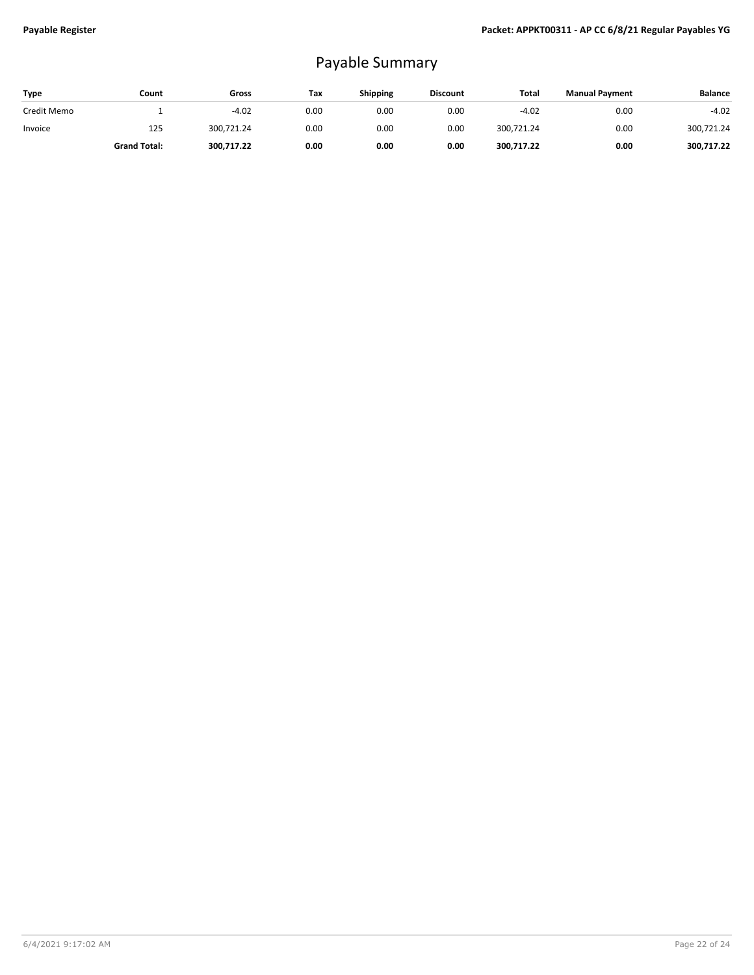## Payable Summary

| <b>Type</b> | Count               | Gross      | Tax  | Shipping | <b>Discount</b> | Total      | <b>Manual Payment</b> | <b>Balance</b> |
|-------------|---------------------|------------|------|----------|-----------------|------------|-----------------------|----------------|
| Credit Memo |                     | $-4.02$    | 0.00 | 0.00     | 0.00            | $-4.02$    | 0.00                  | $-4.02$        |
| Invoice     | 125                 | 300.721.24 | 0.00 | 0.00     | 0.00            | 300.721.24 | 0.00                  | 300,721.24     |
|             | <b>Grand Total:</b> | 300,717.22 | 0.00 | 0.00     | 0.00            | 300,717.22 | 0.00                  | 300,717.22     |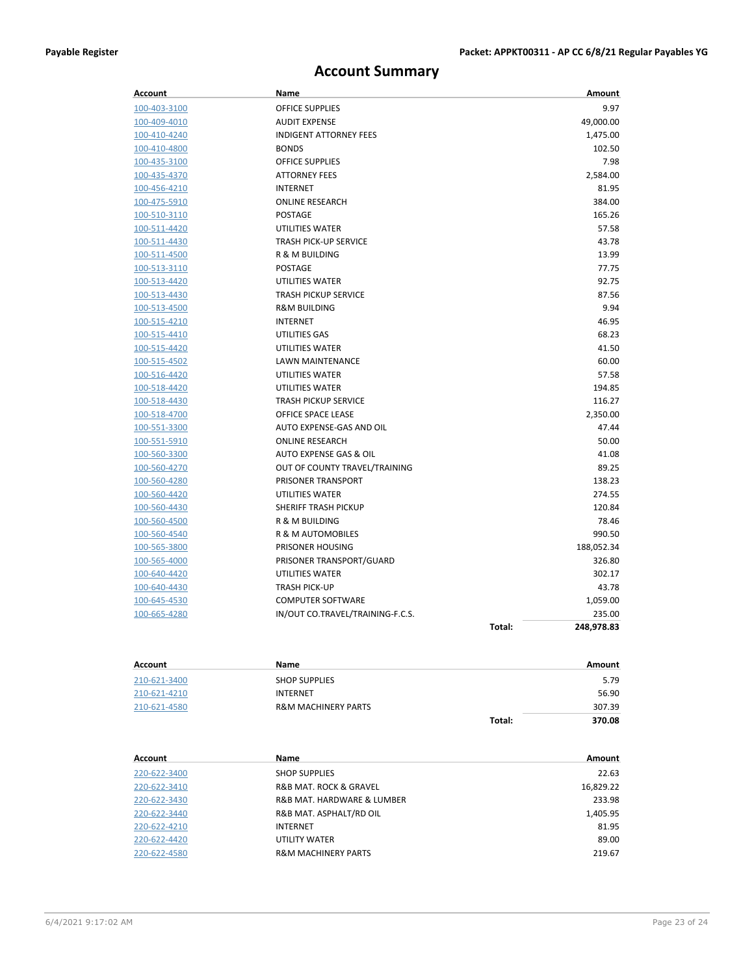### **Account Summary**

| Account      | Name                             |        | Amount     |
|--------------|----------------------------------|--------|------------|
| 100-403-3100 | <b>OFFICE SUPPLIES</b>           |        | 9.97       |
| 100-409-4010 | <b>AUDIT EXPENSE</b>             |        | 49,000.00  |
| 100-410-4240 | <b>INDIGENT ATTORNEY FEES</b>    |        | 1,475.00   |
| 100-410-4800 | <b>BONDS</b>                     |        | 102.50     |
| 100-435-3100 | <b>OFFICE SUPPLIES</b>           |        | 7.98       |
| 100-435-4370 | <b>ATTORNEY FEES</b>             |        | 2,584.00   |
| 100-456-4210 | <b>INTERNET</b>                  |        | 81.95      |
| 100-475-5910 | <b>ONLINE RESEARCH</b>           |        | 384.00     |
| 100-510-3110 | <b>POSTAGE</b>                   |        | 165.26     |
| 100-511-4420 | UTILITIES WATER                  |        | 57.58      |
| 100-511-4430 | <b>TRASH PICK-UP SERVICE</b>     |        | 43.78      |
| 100-511-4500 | R & M BUILDING                   |        | 13.99      |
| 100-513-3110 | POSTAGE                          |        | 77.75      |
| 100-513-4420 | UTILITIES WATER                  |        | 92.75      |
| 100-513-4430 | <b>TRASH PICKUP SERVICE</b>      |        | 87.56      |
| 100-513-4500 | <b>R&amp;M BUILDING</b>          |        | 9.94       |
| 100-515-4210 | <b>INTERNET</b>                  |        | 46.95      |
| 100-515-4410 | UTILITIES GAS                    |        | 68.23      |
| 100-515-4420 | UTILITIES WATER                  |        | 41.50      |
| 100-515-4502 | <b>LAWN MAINTENANCE</b>          |        | 60.00      |
| 100-516-4420 | UTILITIES WATER                  |        | 57.58      |
| 100-518-4420 | UTILITIES WATER                  |        | 194.85     |
| 100-518-4430 | <b>TRASH PICKUP SERVICE</b>      |        | 116.27     |
| 100-518-4700 | <b>OFFICE SPACE LEASE</b>        |        | 2,350.00   |
| 100-551-3300 | AUTO EXPENSE-GAS AND OIL         |        | 47.44      |
| 100-551-5910 | <b>ONLINE RESEARCH</b>           |        | 50.00      |
| 100-560-3300 | AUTO EXPENSE GAS & OIL           |        | 41.08      |
| 100-560-4270 | OUT OF COUNTY TRAVEL/TRAINING    |        | 89.25      |
| 100-560-4280 | PRISONER TRANSPORT               |        | 138.23     |
| 100-560-4420 | UTILITIES WATER                  |        | 274.55     |
| 100-560-4430 | <b>SHERIFF TRASH PICKUP</b>      |        | 120.84     |
| 100-560-4500 | <b>R &amp; M BUILDING</b>        |        | 78.46      |
| 100-560-4540 | R & M AUTOMOBILES                |        | 990.50     |
| 100-565-3800 | PRISONER HOUSING                 |        | 188,052.34 |
| 100-565-4000 | PRISONER TRANSPORT/GUARD         |        | 326.80     |
| 100-640-4420 | UTILITIES WATER                  |        | 302.17     |
| 100-640-4430 | <b>TRASH PICK-UP</b>             |        | 43.78      |
| 100-645-4530 | <b>COMPUTER SOFTWARE</b>         |        | 1,059.00   |
| 100-665-4280 | IN/OUT CO.TRAVEL/TRAINING-F.C.S. |        | 235.00     |
|              |                                  | Total: | 248,978.83 |

| Account      | Name                           |        | Amount |
|--------------|--------------------------------|--------|--------|
| 210-621-3400 | <b>SHOP SUPPLIES</b>           |        | 5.79   |
| 210-621-4210 | <b>INTERNET</b>                |        | 56.90  |
| 210-621-4580 | <b>R&amp;M MACHINERY PARTS</b> |        | 307.39 |
|              |                                | Total: | 370.08 |

| Account      | Name                           | Amount    |
|--------------|--------------------------------|-----------|
| 220-622-3400 | <b>SHOP SUPPLIES</b>           | 22.63     |
| 220-622-3410 | R&B MAT, ROCK & GRAVEL         | 16,829.22 |
| 220-622-3430 | R&B MAT, HARDWARE & LUMBER     | 233.98    |
| 220-622-3440 | R&B MAT. ASPHALT/RD OIL        | 1,405.95  |
| 220-622-4210 | <b>INTERNET</b>                | 81.95     |
| 220-622-4420 | UTILITY WATER                  | 89.00     |
| 220-622-4580 | <b>R&amp;M MACHINERY PARTS</b> | 219.67    |